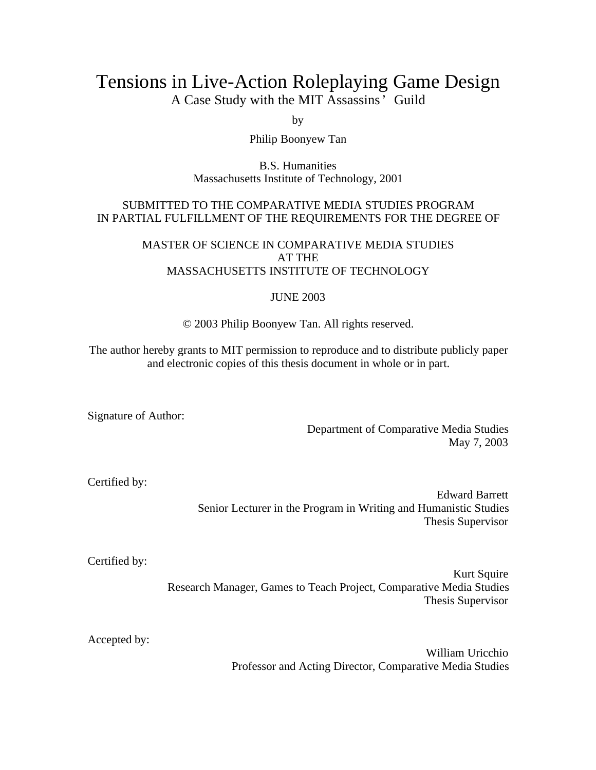# Tensions in Live-Action Roleplaying Game Design

A Case Study with the MIT Assassins' Guild

by

Philip Boonyew Tan

B.S. Humanities Massachusetts Institute of Technology, 2001

### SUBMITTED TO THE COMPARATIVE MEDIA STUDIES PROGRAM IN PARTIAL FULFILLMENT OF THE REQUIREMENTS FOR THE DEGREE OF

#### MASTER OF SCIENCE IN COMPARATIVE MEDIA STUDIES AT THE MASSACHUSETTS INSTITUTE OF TECHNOLOGY

### JUNE 2003

© 2003 Philip Boonyew Tan. All rights reserved.

The author hereby grants to MIT permission to reproduce and to distribute publicly paper and electronic copies of this thesis document in whole or in part.

Signature of Author:

Department of Comparative Media Studies May 7, 2003

Certified by:

Edward Barrett Senior Lecturer in the Program in Writing and Humanistic Studies Thesis Supervisor

Certified by:

Kurt Squire Research Manager, Games to Teach Project, Comparative Media Studies Thesis Supervisor

Accepted by:

William Uricchio Professor and Acting Director, Comparative Media Studies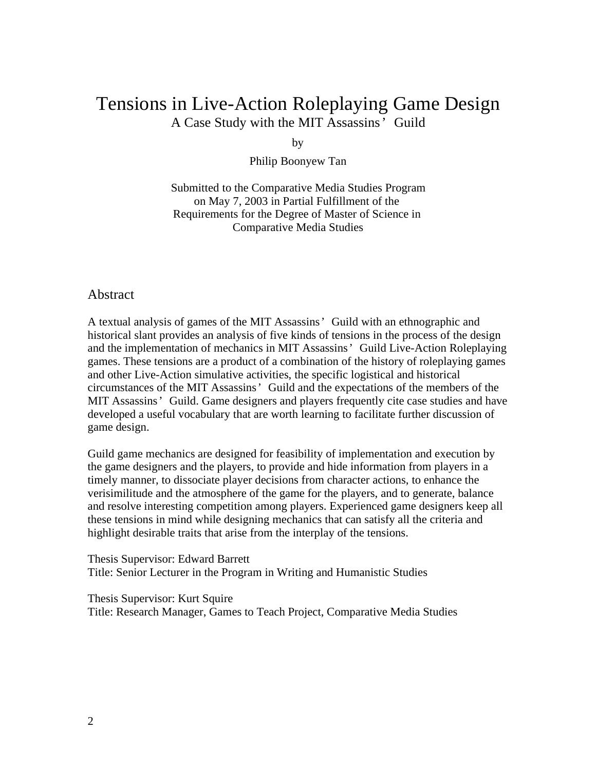# Tensions in Live-Action Roleplaying Game Design A Case Study with the MIT Assassins' Guild

by

Philip Boonyew Tan

Submitted to the Comparative Media Studies Program on May 7, 2003 in Partial Fulfillment of the Requirements for the Degree of Master of Science in Comparative Media Studies

### Abstract

A textual analysis of games of the MIT Assassins' Guild with an ethnographic and historical slant provides an analysis of five kinds of tensions in the process of the design and the implementation of mechanics in MIT Assassins' Guild Live-Action Roleplaying games. These tensions are a product of a combination of the history of roleplaying games and other Live-Action simulative activities, the specific logistical and historical circumstances of the MIT Assassins' Guild and the expectations of the members of the MIT Assassins' Guild. Game designers and players frequently cite case studies and have developed a useful vocabulary that are worth learning to facilitate further discussion of game design.

Guild game mechanics are designed for feasibility of implementation and execution by the game designers and the players, to provide and hide information from players in a timely manner, to dissociate player decisions from character actions, to enhance the verisimilitude and the atmosphere of the game for the players, and to generate, balance and resolve interesting competition among players. Experienced game designers keep all these tensions in mind while designing mechanics that can satisfy all the criteria and highlight desirable traits that arise from the interplay of the tensions.

Thesis Supervisor: Edward Barrett Title: Senior Lecturer in the Program in Writing and Humanistic Studies

Thesis Supervisor: Kurt Squire Title: Research Manager, Games to Teach Project, Comparative Media Studies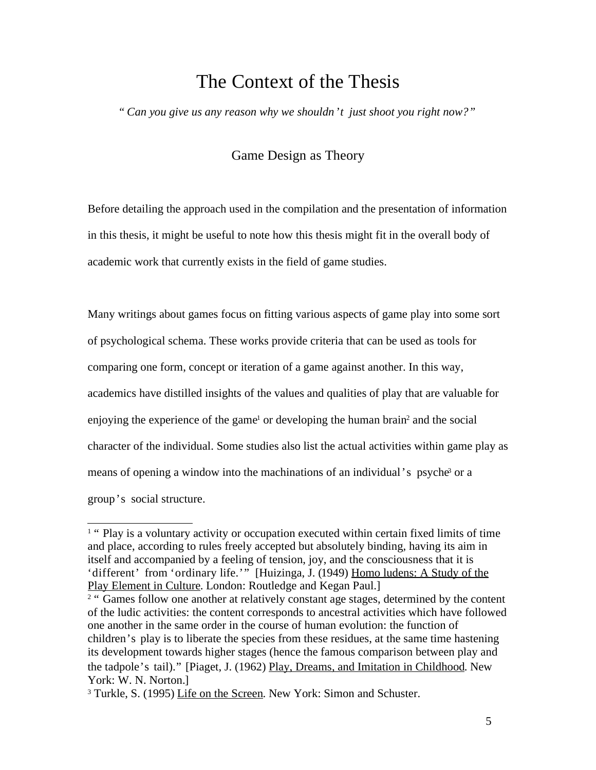# The Context of the Thesis

*" Can you give us any reason why we shouldn't just shoot you right now?"*

## Game Design as Theory

Before detailing the approach used in the compilation and the presentation of information in this thesis, it might be useful to note how this thesis might fit in the overall body of academic work that currently exists in the field of game studies.

Many writings about games focus on fitting various aspects of game play into some sort of psychological schema. These works provide criteria that can be used as tools for comparing one form, concept or iteration of a game against another. In this way, academics have distilled insights of the values and qualities of play that are valuable for enjoying the experience of the game<sup>1</sup> or developing the human brain<sup>2</sup> and the social character of the individual. Some studies also list the actual activities within game play as means of opening a window into the machinations of an individual's psyche<sup>3</sup> or a group's social structure.

<sup>&</sup>lt;sup>1</sup> " Play is a voluntary activity or occupation executed within certain fixed limits of time and place, according to rules freely accepted but absolutely binding, having its aim in itself and accompanied by a feeling of tension, joy, and the consciousness that it is 'different' from 'ordinary life.'" [Huizinga, J. (1949) Homo ludens: A Study of the Play Element in Culture. London: Routledge and Kegan Paul.]

<sup>&</sup>lt;sup>2</sup> " Games follow one another at relatively constant age stages, determined by the content of the ludic activities: the content corresponds to ancestral activities which have followed one another in the same order in the course of human evolution: the function of children's play is to liberate the species from these residues, at the same time hastening its development towards higher stages (hence the famous comparison between play and the tadpole's tail)." [Piaget, J. (1962) Play, Dreams, and Imitation in Childhood. New York: W. N. Norton.]

<sup>&</sup>lt;sup>3</sup> Turkle, S. (1995) Life on the Screen. New York: Simon and Schuster.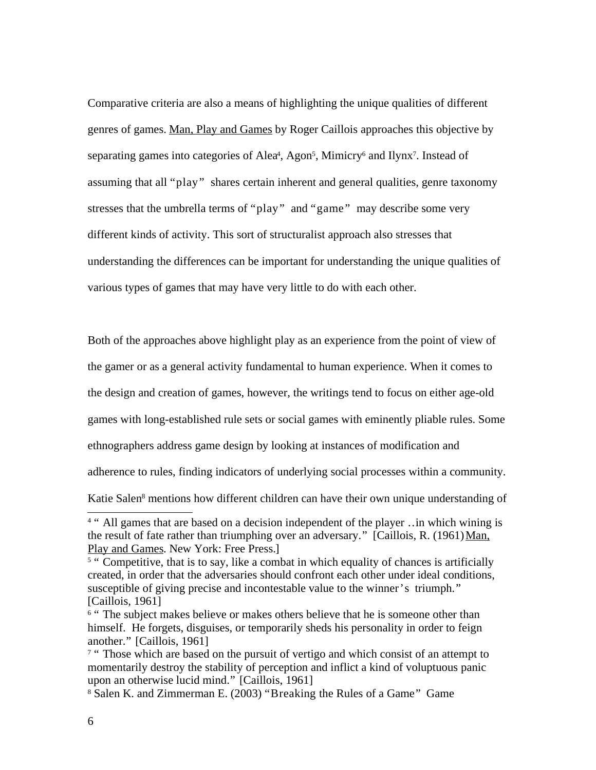Comparative criteria are also a means of highlighting the unique qualities of different genres of games. Man, Play and Games by Roger Caillois approaches this objective by separating games into categories of Alea<sup>4</sup>, Agon<sup>5</sup>, Mimicry<sup>6</sup> and Ilynx<sup>7</sup>. Instead of assuming that all "play" shares certain inherent and general qualities, genre taxonomy stresses that the umbrella terms of "play" and "game" may describe some very different kinds of activity. This sort of structuralist approach also stresses that understanding the differences can be important for understanding the unique qualities of various types of games that may have very little to do with each other.

Both of the approaches above highlight play as an experience from the point of view of

the gamer or as a general activity fundamental to human experience. When it comes to

the design and creation of games, however, the writings tend to focus on either age-old

games with long-established rule sets or social games with eminently pliable rules. Some

ethnographers address game design by looking at instances of modification and

adherence to rules, finding indicators of underlying social processes within a community.

Katie Salen 8 mentions how different children can have their own unique understanding of

<sup>&</sup>lt;sup>4 "</sup> All games that are based on a decision independent of the player ..in which wining is the result of fate rather than triumphing over an adversary." [Caillois, R. (1961) Man, Play and Games. New York: Free Press.]

<sup>&</sup>lt;sup>5</sup> " Competitive, that is to say, like a combat in which equality of chances is artificially created, in order that the adversaries should confront each other under ideal conditions, susceptible of giving precise and incontestable value to the winner's triumph." [Caillois, 1961]

<sup>&</sup>lt;sup>6</sup> " The subject makes believe or makes others believe that he is someone other than himself. He forgets, disguises, or temporarily sheds his personality in order to feign another." [Caillois, 1961]

<sup>&</sup>lt;sup>7</sup> " Those which are based on the pursuit of vertigo and which consist of an attempt to momentarily destroy the stability of perception and inflict a kind of voluptuous panic upon an otherwise lucid mind." [Caillois, 1961]

<sup>8</sup> Salen K. and Zimmerman E. (2003) "Breaking the Rules of a Game" Game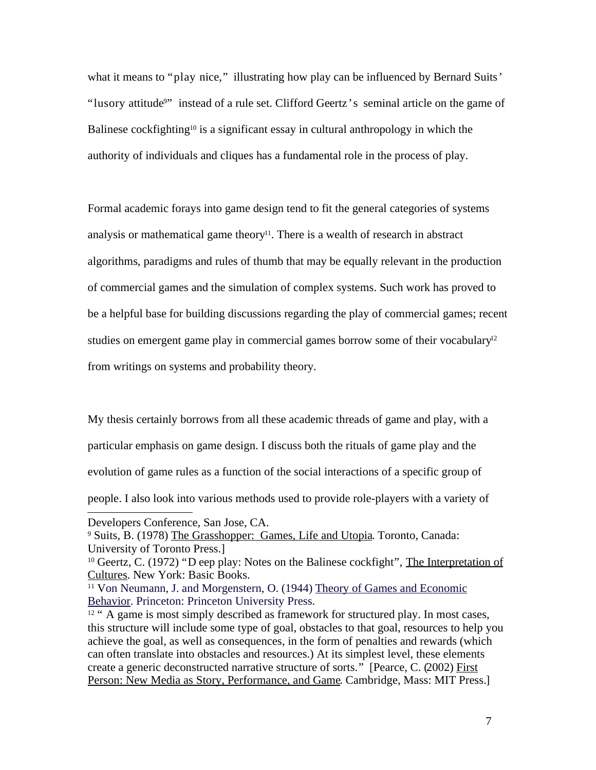what it means to "play nice," illustrating how play can be influenced by Bernard Suits' "lusory attitude<sup>9</sup>" instead of a rule set. Clifford Geertz's seminal article on the game of Balinese cockfighting<sup>10</sup> is a significant essay in cultural anthropology in which the authority of individuals and cliques has a fundamental role in the process of play.

Formal academic forays into game design tend to fit the general categories of systems analysis or mathematical game theory 11 . There is a wealth of research in abstract algorithms, paradigms and rules of thumb that may be equally relevant in the production of commercial games and the simulation of complex systems. Such work has proved to be a helpful base for building discussions regarding the play of commercial games; recent studies on emergent game play in commercial games borrow some of their vocabulary<sup>12</sup> from writings on systems and probability theory.

My thesis certainly borrows from all these academic threads of game and play, with a particular emphasis on game design. I discuss both the rituals of game play and the evolution of game rules as a function of the social interactions of a specific group of people. I also look into various methods used to provide role-players with a variety of

Developers Conference, San Jose, CA.

<sup>9</sup> Suits, B. (1978) The Grasshopper: Games, Life and Utopia. Toronto, Canada: University of Toronto Press.]

<sup>&</sup>lt;sup>10</sup> Geertz, C. (1972) "D eep play: Notes on the Balinese cockfight", The Interpretation of Cultures. New York: Basic Books.

<sup>&</sup>lt;sup>11</sup> Von Neumann, J. and Morgenstern, O. (1944) Theory of Games and Economic Behavior. Princeton: Princeton University Press.

<sup>&</sup>lt;sup>12</sup> " A game is most simply described as framework for structured play. In most cases, this structure will include some type of goal, obstacles to that goal, resources to help you achieve the goal, as well as consequences, in the form of penalties and rewards (which can often translate into obstacles and resources.) At its simplest level, these elements create a generic deconstructed narrative structure of sorts." [Pearce, C. (2002) First Person: New Media as Story, Performance, and Game. Cambridge, Mass: MIT Press.]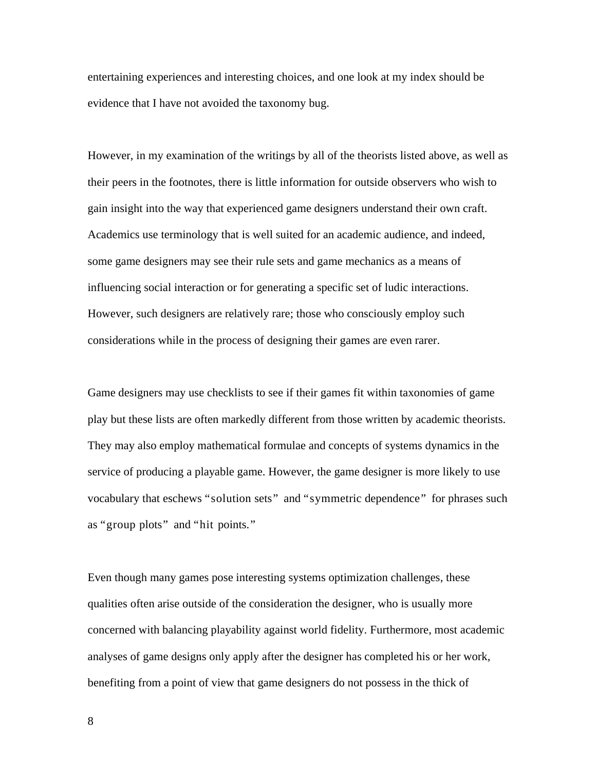entertaining experiences and interesting choices, and one look at my index should be evidence that I have not avoided the taxonomy bug.

However, in my examination of the writings by all of the theorists listed above, as well as their peers in the footnotes, there is little information for outside observers who wish to gain insight into the way that experienced game designers understand their own craft. Academics use terminology that is well suited for an academic audience, and indeed, some game designers may see their rule sets and game mechanics as a means of influencing social interaction or for generating a specific set of ludic interactions. However, such designers are relatively rare; those who consciously employ such considerations while in the process of designing their games are even rarer.

Game designers may use checklists to see if their games fit within taxonomies of game play but these lists are often markedly different from those written by academic theorists. They may also employ mathematical formulae and concepts of systems dynamics in the service of producing a playable game. However, the game designer is more likely to use vocabulary that eschews "solution sets" and "symmetric dependence" for phrases such as "group plots" and "hit points."

Even though many games pose interesting systems optimization challenges, these qualities often arise outside of the consideration the designer, who is usually more concerned with balancing playability against world fidelity. Furthermore, most academic analyses of game designs only apply after the designer has completed his or her work, benefiting from a point of view that game designers do not possess in the thick of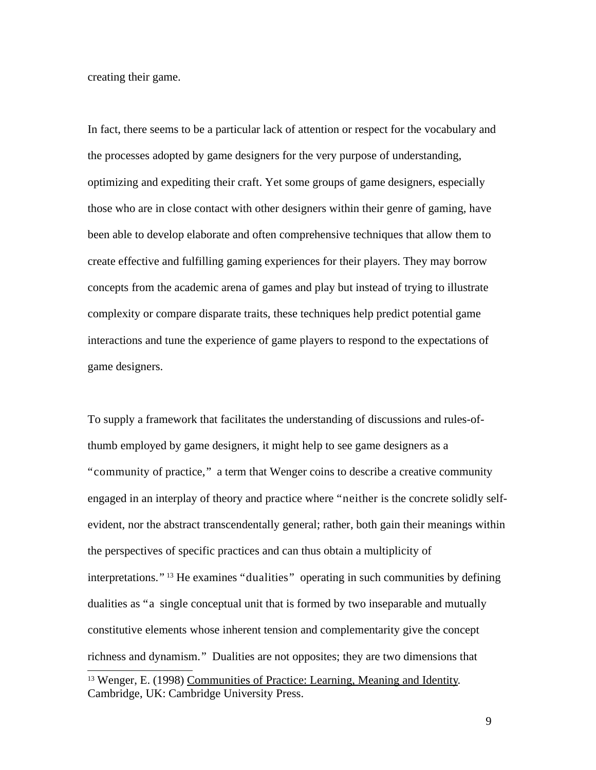creating their game.

In fact, there seems to be a particular lack of attention or respect for the vocabulary and the processes adopted by game designers for the very purpose of understanding, optimizing and expediting their craft. Yet some groups of game designers, especially those who are in close contact with other designers within their genre of gaming, have been able to develop elaborate and often comprehensive techniques that allow them to create effective and fulfilling gaming experiences for their players. They may borrow concepts from the academic arena of games and play but instead of trying to illustrate complexity or compare disparate traits, these techniques help predict potential game interactions and tune the experience of game players to respond to the expectations of game designers.

To supply a framework that facilitates the understanding of discussions and rules-ofthumb employed by game designers, it might help to see game designers as a "community of practice," a term that Wenger coins to describe a creative community engaged in an interplay of theory and practice where "neither is the concrete solidly selfevident, nor the abstract transcendentally general; rather, both gain their meanings within the perspectives of specific practices and can thus obtain a multiplicity of interpretations." <sup>13</sup> He examines "dualities" operating in such communities by defining dualities as "a single conceptual unit that is formed by two inseparable and mutually constitutive elements whose inherent tension and complementarity give the concept richness and dynamism." Dualities are not opposites; they are two dimensions that <sup>13</sup> Wenger, E. (1998) Communities of Practice: Learning, Meaning and Identity. Cambridge, UK: Cambridge University Press.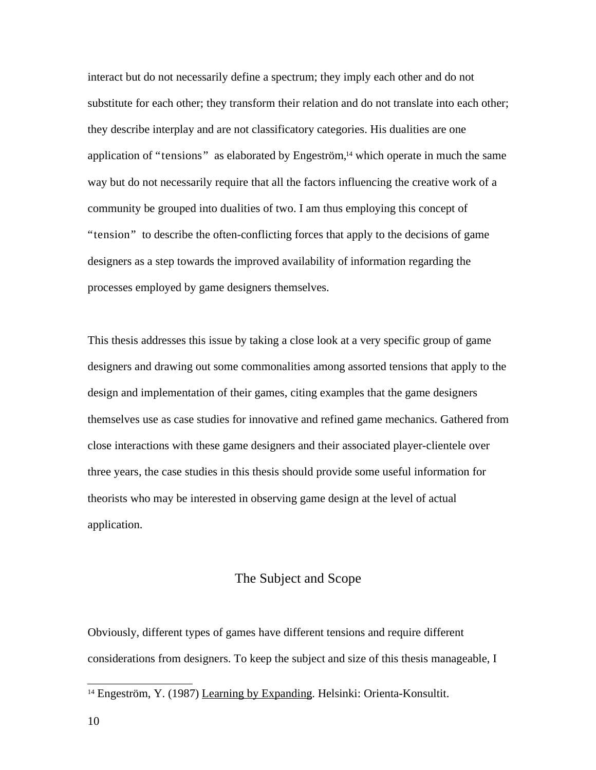interact but do not necessarily define a spectrum; they imply each other and do not substitute for each other; they transform their relation and do not translate into each other; they describe interplay and are not classificatory categories. His dualities are one application of "tensions" as elaborated by Engeström,<sup>14</sup> which operate in much the same way but do not necessarily require that all the factors influencing the creative work of a community be grouped into dualities of two. I am thus employing this concept of "tension" to describe the often-conflicting forces that apply to the decisions of game designers as a step towards the improved availability of information regarding the processes employed by game designers themselves.

This thesis addresses this issue by taking a close look at a very specific group of game designers and drawing out some commonalities among assorted tensions that apply to the design and implementation of their games, citing examples that the game designers themselves use as case studies for innovative and refined game mechanics. Gathered from close interactions with these game designers and their associated player-clientele over three years, the case studies in this thesis should provide some useful information for theorists who may be interested in observing game design at the level of actual application.

### The Subject and Scope

Obviously, different types of games have different tensions and require different considerations from designers. To keep the subject and size of this thesis manageable, I

<sup>&</sup>lt;sup>14</sup> Engeström, Y. (1987) Learning by Expanding. Helsinki: Orienta-Konsultit.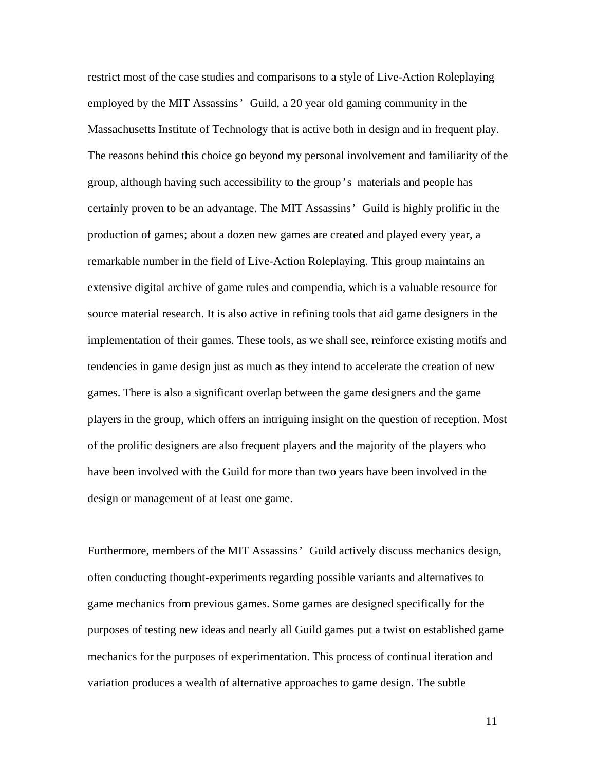restrict most of the case studies and comparisons to a style of Live-Action Roleplaying employed by the MIT Assassins' Guild, a 20 year old gaming community in the Massachusetts Institute of Technology that is active both in design and in frequent play. The reasons behind this choice go beyond my personal involvement and familiarity of the group, although having such accessibility to the group's materials and people has certainly proven to be an advantage. The MIT Assassins' Guild is highly prolific in the production of games; about a dozen new games are created and played every year, a remarkable number in the field of Live-Action Roleplaying. This group maintains an extensive digital archive of game rules and compendia, which is a valuable resource for source material research. It is also active in refining tools that aid game designers in the implementation of their games. These tools, as we shall see, reinforce existing motifs and tendencies in game design just as much as they intend to accelerate the creation of new games. There is also a significant overlap between the game designers and the game players in the group, which offers an intriguing insight on the question of reception. Most of the prolific designers are also frequent players and the majority of the players who have been involved with the Guild for more than two years have been involved in the design or management of at least one game.

Furthermore, members of the MIT Assassins' Guild actively discuss mechanics design, often conducting thought-experiments regarding possible variants and alternatives to game mechanics from previous games. Some games are designed specifically for the purposes of testing new ideas and nearly all Guild games put a twist on established game mechanics for the purposes of experimentation. This process of continual iteration and variation produces a wealth of alternative approaches to game design. The subtle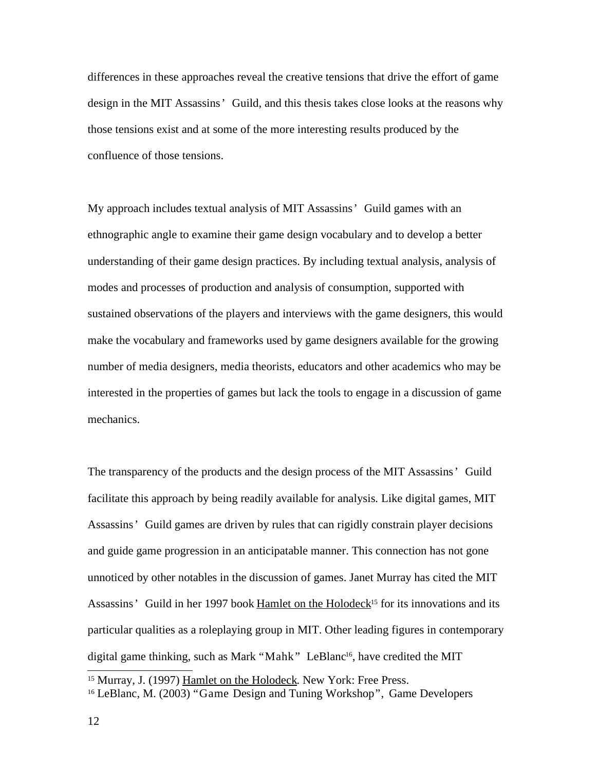differences in these approaches reveal the creative tensions that drive the effort of game design in the MIT Assassins' Guild, and this thesis takes close looks at the reasons why those tensions exist and at some of the more interesting results produced by the confluence of those tensions.

My approach includes textual analysis of MIT Assassins' Guild games with an ethnographic angle to examine their game design vocabulary and to develop a better understanding of their game design practices. By including textual analysis, analysis of modes and processes of production and analysis of consumption, supported with sustained observations of the players and interviews with the game designers, this would make the vocabulary and frameworks used by game designers available for the growing number of media designers, media theorists, educators and other academics who may be interested in the properties of games but lack the tools to engage in a discussion of game mechanics.

The transparency of the products and the design process of the MIT Assassins' Guild facilitate this approach by being readily available for analysis. Like digital games, MIT Assassins' Guild games are driven by rules that can rigidly constrain player decisions and guide game progression in an anticipatable manner. This connection has not gone unnoticed by other notables in the discussion of games. Janet Murray has cited the MIT Assassins' Guild in her 1997 book Hamlet on the Holodeck<sup>15</sup> for its innovations and its particular qualities as a roleplaying group in MIT. Other leading figures in contemporary digital game thinking, such as Mark "Mahk" LeBlanc<sup>16</sup>, have credited the MIT

<sup>15</sup> Murray, J. (1997) Hamlet on the Holodeck. New York: Free Press.

<sup>16</sup> LeBlanc, M. (2003) "Game Design and Tuning Workshop", Game Developers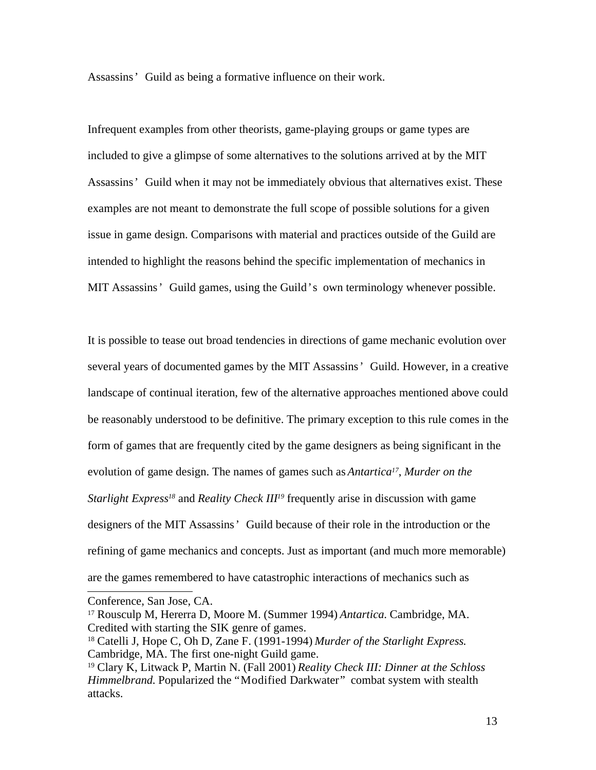Assassins' Guild as being a formative influence on their work.

Infrequent examples from other theorists, game-playing groups or game types are included to give a glimpse of some alternatives to the solutions arrived at by the MIT Assassins' Guild when it may not be immediately obvious that alternatives exist. These examples are not meant to demonstrate the full scope of possible solutions for a given issue in game design. Comparisons with material and practices outside of the Guild are intended to highlight the reasons behind the specific implementation of mechanics in MIT Assassins' Guild games, using the Guild's own terminology whenever possible.

It is possible to tease out broad tendencies in directions of game mechanic evolution over several years of documented games by the MIT Assassins' Guild. However, in a creative landscape of continual iteration, few of the alternative approaches mentioned above could be reasonably understood to be definitive. The primary exception to this rule comes in the form of games that are frequently cited by the game designers as being significant in the evolution of game design. The names of games such as *Antartica 17* , *Murder on the Starlight Express<sup>18</sup>* and *Reality Check III<sup>19</sup> frequently arise in discussion with game* designers of the MIT Assassins' Guild because of their role in the introduction or the refining of game mechanics and concepts. Just as important (and much more memorable) are the games remembered to have catastrophic interactions of mechanics such as

Conference, San Jose, CA.

<sup>17</sup> Rousculp M, Hererra D, Moore M. (Summer 1994) *Antartica*. Cambridge, MA. Credited with starting the SIK genre of games.

<sup>18</sup> Catelli J, Hope C, Oh D, Zane F. (1991-1994) *Murder of the Starlight Express*. Cambridge, MA. The first one-night Guild game.

<sup>19</sup> Clary K, Litwack P, Martin N. (Fall 2001) *Reality Check III: Dinner at the Schloss Himmelbrand.* Popularized the "Modified Darkwater" combat system with stealth attacks.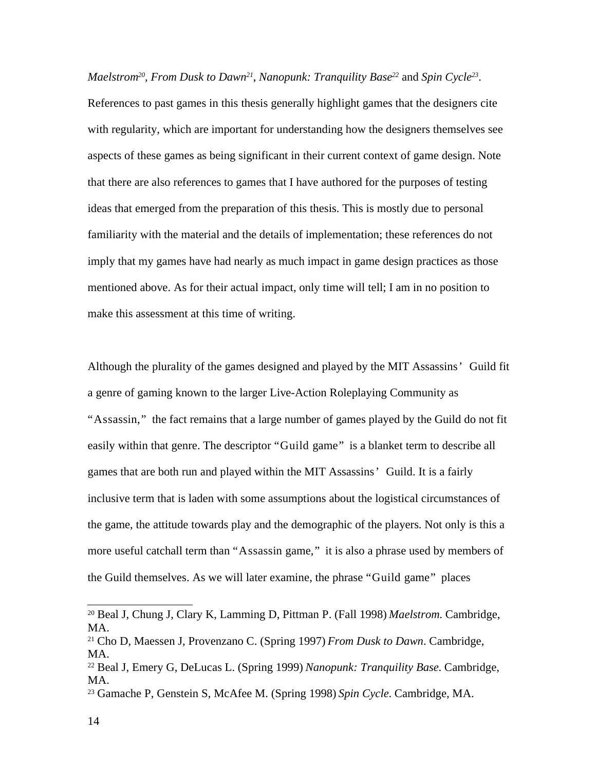Maelstrom<sup>20</sup>, From Dusk to Dawn<sup>21</sup>, Nanopunk: Tranquility Base<sup>22</sup> and Spin Cycle<sup>23</sup>.

References to past games in this thesis generally highlight games that the designers cite with regularity, which are important for understanding how the designers themselves see aspects of these games as being significant in their current context of game design. Note that there are also references to games that I have authored for the purposes of testing ideas that emerged from the preparation of this thesis. This is mostly due to personal familiarity with the material and the details of implementation; these references do not imply that my games have had nearly as much impact in game design practices as those mentioned above. As for their actual impact, only time will tell; I am in no position to make this assessment at this time of writing.

Although the plurality of the games designed and played by the MIT Assassins' Guild fit a genre of gaming known to the larger Live-Action Roleplaying Community as "Assassin," the fact remains that a large number of games played by the Guild do not fit easily within that genre. The descriptor "Guild game" is a blanket term to describe all games that are both run and played within the MIT Assassins' Guild. It is a fairly inclusive term that is laden with some assumptions about the logistical circumstances of the game, the attitude towards play and the demographic of the players. Not only is this a more useful catchall term than "Assassin game," it is also a phrase used by members of the Guild themselves. As we will later examine, the phrase "Guild game" places

<sup>20</sup> Beal J, Chung J, Clary K, Lamming D, Pittman P. (Fall 1998) *Maelstrom*. Cambridge, MA.

<sup>21</sup> Cho D, Maessen J, Provenzano C. (Spring 1997) *From Dusk to Dawn*. Cambridge, MA.

<sup>22</sup> Beal J, Emery G, DeLucas L. (Spring 1999) *Nanopunk: Tranquility Base*. Cambridge, MA.

<sup>23</sup> Gamache P, Genstein S, McAfee M. (Spring 1998) *Spin Cycle*. Cambridge, MA.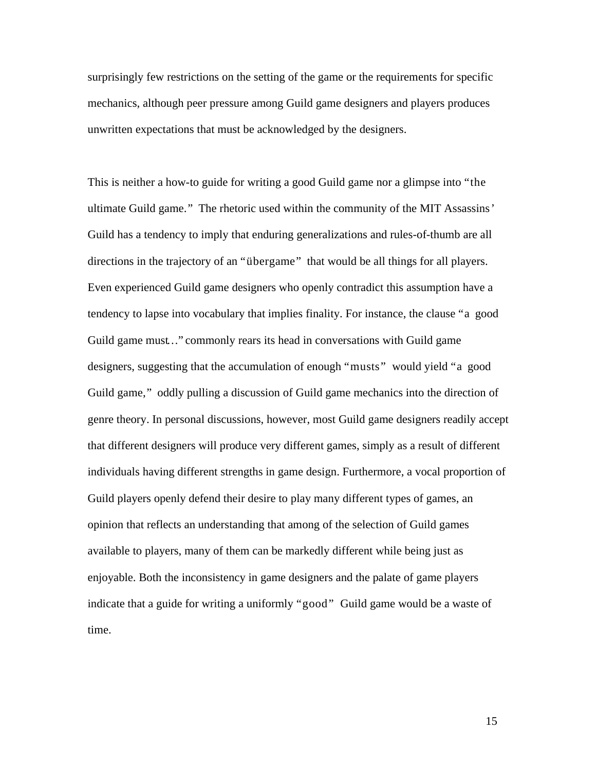surprisingly few restrictions on the setting of the game or the requirements for specific mechanics, although peer pressure among Guild game designers and players produces unwritten expectations that must be acknowledged by the designers.

This is neither a how-to guide for writing a good Guild game nor a glimpse into "the ultimate Guild game." The rhetoric used within the community of the MIT Assassins' Guild has a tendency to imply that enduring generalizations and rules-of-thumb are all directions in the trajectory of an "übergame" that would be all things for all players. Even experienced Guild game designers who openly contradict this assumption have a tendency to lapse into vocabulary that implies finality. For instance, the clause "a good Guild game must…" commonly rears its head in conversations with Guild game designers, suggesting that the accumulation of enough "musts" would yield "a good Guild game," oddly pulling a discussion of Guild game mechanics into the direction of genre theory. In personal discussions, however, most Guild game designers readily accept that different designers will produce very different games, simply as a result of different individuals having different strengths in game design. Furthermore, a vocal proportion of Guild players openly defend their desire to play many different types of games, an opinion that reflects an understanding that among of the selection of Guild games available to players, many of them can be markedly different while being just as enjoyable. Both the inconsistency in game designers and the palate of game players indicate that a guide for writing a uniformly "good" Guild game would be a waste of time.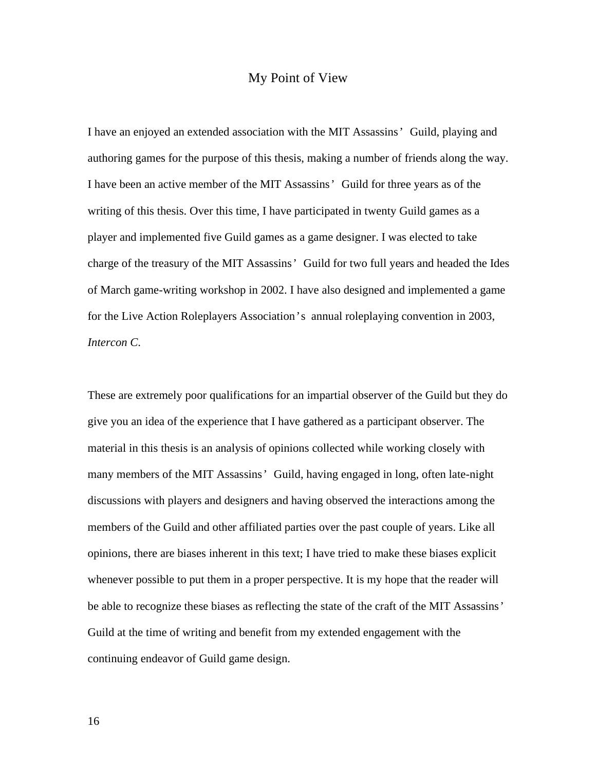### My Point of View

I have an enjoyed an extended association with the MIT Assassins' Guild, playing and authoring games for the purpose of this thesis, making a number of friends along the way. I have been an active member of the MIT Assassins' Guild for three years as of the writing of this thesis. Over this time, I have participated in twenty Guild games as a player and implemented five Guild games as a game designer. I was elected to take charge of the treasury of the MIT Assassins' Guild for two full years and headed the Ides of March game-writing workshop in 2002. I have also designed and implemented a game for the Live Action Roleplayers Association's annual roleplaying convention in 2003, *Intercon C*.

These are extremely poor qualifications for an impartial observer of the Guild but they do give you an idea of the experience that I have gathered as a participant observer. The material in this thesis is an analysis of opinions collected while working closely with many members of the MIT Assassins' Guild, having engaged in long, often late-night discussions with players and designers and having observed the interactions among the members of the Guild and other affiliated parties over the past couple of years. Like all opinions, there are biases inherent in this text; I have tried to make these biases explicit whenever possible to put them in a proper perspective. It is my hope that the reader will be able to recognize these biases as reflecting the state of the craft of the MIT Assassins' Guild at the time of writing and benefit from my extended engagement with the continuing endeavor of Guild game design.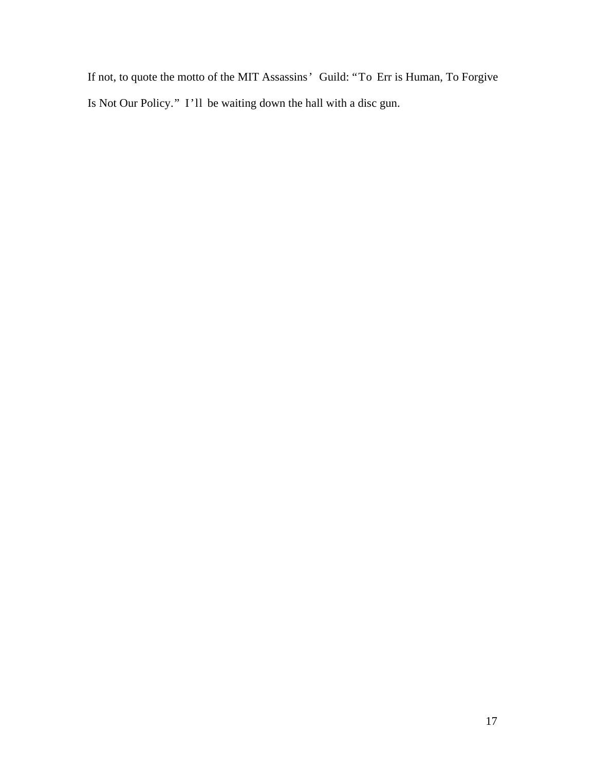If not, to quote the motto of the MIT Assassins' Guild: "To Err is Human, To Forgive Is Not Our Policy." I'll be waiting down the hall with a disc gun.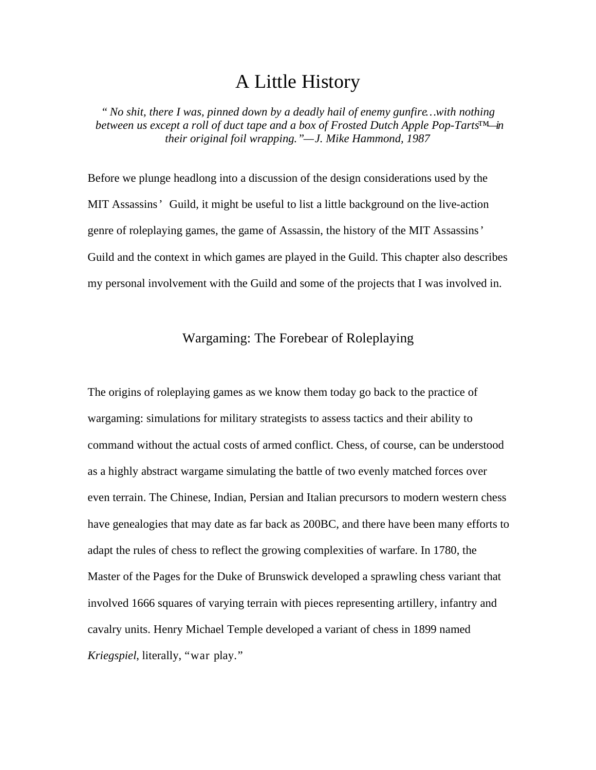# A Little History

*" No shit, there I was, pinned down by a deadly hail of enemy gunfire… with nothing between us except a roll of duct tape and a box of Frosted Dutch Apple Pop-Tarts™—in their original foil wrapping."— J. Mike Hammond, 1987*

Before we plunge headlong into a discussion of the design considerations used by the MIT Assassins' Guild, it might be useful to list a little background on the live-action genre of roleplaying games, the game of Assassin, the history of the MIT Assassins' Guild and the context in which games are played in the Guild. This chapter also describes my personal involvement with the Guild and some of the projects that I was involved in.

# Wargaming: The Forebear of Roleplaying

The origins of roleplaying games as we know them today go back to the practice of wargaming: simulations for military strategists to assess tactics and their ability to command without the actual costs of armed conflict. Chess, of course, can be understood as a highly abstract wargame simulating the battle of two evenly matched forces over even terrain. The Chinese, Indian, Persian and Italian precursors to modern western chess have genealogies that may date as far back as 200BC, and there have been many efforts to adapt the rules of chess to reflect the growing complexities of warfare. In 1780, the Master of the Pages for the Duke of Brunswick developed a sprawling chess variant that involved 1666 squares of varying terrain with pieces representing artillery, infantry and cavalry units. Henry Michael Temple developed a variant of chess in 1899 named *Kriegspiel*, literally, "war play."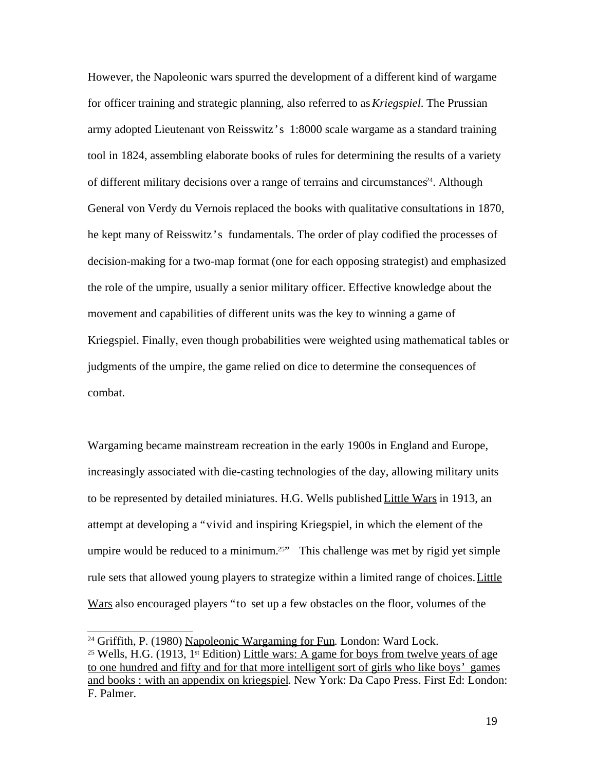However, the Napoleonic wars spurred the development of a different kind of wargame for officer training and strategic planning, also referred to as*Kriegspiel*. The Prussian army adopted Lieutenant von Reisswitz's 1:8000 scale wargame as a standard training tool in 1824, assembling elaborate books of rules for determining the results of a variety of different military decisions over a range of terrains and circumstances <sup>24</sup>. Although General von Verdy du Vernois replaced the books with qualitative consultations in 1870, he kept many of Reisswitz's fundamentals. The order of play codified the processes of decision-making for a two-map format (one for each opposing strategist) and emphasized the role of the umpire, usually a senior military officer. Effective knowledge about the movement and capabilities of different units was the key to winning a game of Kriegspiel. Finally, even though probabilities were weighted using mathematical tables or judgments of the umpire, the game relied on dice to determine the consequences of combat.

Wargaming became mainstream recreation in the early 1900s in England and Europe, increasingly associated with die-casting technologies of the day, allowing military units to be represented by detailed miniatures. H.G. Wells published Little Wars in 1913, an attempt at developing a "vivid and inspiring Kriegspiel, in which the element of the umpire would be reduced to a minimum.<sup>25"</sup> This challenge was met by rigid yet simple rule sets that allowed young players to strategize within a limited range of choices. Little Wars also encouraged players "to set up a few obstacles on the floor, volumes of the

<sup>&</sup>lt;sup>24</sup> Griffith, P. (1980) Napoleonic Wargaming for Fun. London: Ward Lock.

<sup>&</sup>lt;sup>25</sup> Wells, H.G. (1913, 1<sup>st</sup> Edition) Little wars: A game for boys from twelve years of age to one hundred and fifty and for that more intelligent sort of girls who like boys' games and books : with an appendix on kriegspiel. New York: Da Capo Press. First Ed: London: F. Palmer.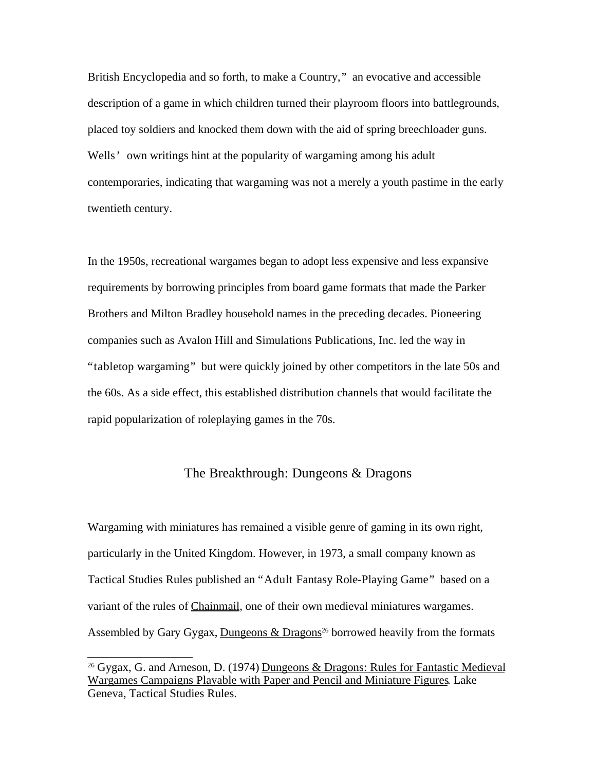British Encyclopedia and so forth, to make a Country," an evocative and accessible description of a game in which children turned their playroom floors into battlegrounds, placed toy soldiers and knocked them down with the aid of spring breechloader guns. Wells' own writings hint at the popularity of wargaming among his adult contemporaries, indicating that wargaming was not a merely a youth pastime in the early twentieth century.

In the 1950s, recreational wargames began to adopt less expensive and less expansive requirements by borrowing principles from board game formats that made the Parker Brothers and Milton Bradley household names in the preceding decades. Pioneering companies such as Avalon Hill and Simulations Publications, Inc. led the way in "tabletop wargaming" but were quickly joined by other competitors in the late 50s and the 60s. As a side effect, this established distribution channels that would facilitate the rapid popularization of roleplaying games in the 70s.

### The Breakthrough: Dungeons & Dragons

Wargaming with miniatures has remained a visible genre of gaming in its own right, particularly in the United Kingdom. However, in 1973, a small company known as Tactical Studies Rules published an "Adult Fantasy Role-Playing Game" based on a variant of the rules of Chainmail, one of their own medieval miniatures wargames. Assembled by Gary Gygax, **Dungeons & Dragons**<sup>26</sup> borrowed heavily from the formats

<sup>&</sup>lt;sup>26</sup> Gygax, G. and Arneson, D. (1974) Dungeons & Dragons: Rules for Fantastic Medieval Wargames Campaigns Playable with Paper and Pencil and Miniature Figures. Lake Geneva, Tactical Studies Rules.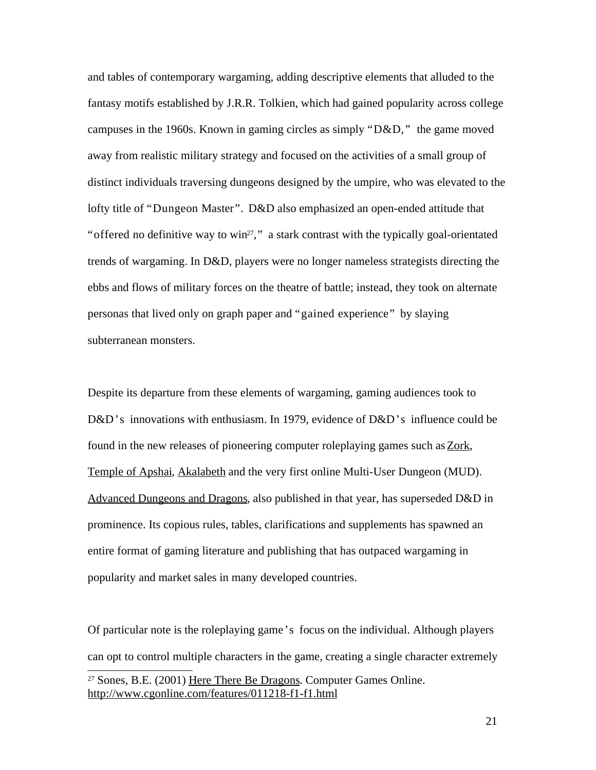and tables of contemporary wargaming, adding descriptive elements that alluded to the fantasy motifs established by J.R.R. Tolkien, which had gained popularity across college campuses in the 1960s. Known in gaming circles as simply " $D&D$ ," the game moved away from realistic military strategy and focused on the activities of a small group of distinct individuals traversing dungeons designed by the umpire, who was elevated to the lofty title of "Dungeon Master". D&D also emphasized an open-ended attitude that "offered no definitive way to win<sup>27</sup>," a stark contrast with the typically goal-orientated trends of wargaming. In D&D, players were no longer nameless strategists directing the ebbs and flows of military forces on the theatre of battle; instead, they took on alternate personas that lived only on graph paper and "gained experience" by slaying subterranean monsters.

Despite its departure from these elements of wargaming, gaming audiences took to D&D's innovations with enthusiasm. In 1979, evidence of D&D's influence could be found in the new releases of pioneering computer roleplaying games such as Zork, Temple of Apshai, Akalabeth and the very first online Multi-User Dungeon (MUD). Advanced Dungeons and Dragons, also published in that year, has superseded D&D in prominence. Its copious rules, tables, clarifications and supplements has spawned an entire format of gaming literature and publishing that has outpaced wargaming in popularity and market sales in many developed countries.

Of particular note is the roleplaying game's focus on the individual. Although players can opt to control multiple characters in the game, creating a single character extremely <sup>27</sup> Sones, B.E. (2001) Here There Be Dragons. Computer Games Online. http://www.cgonline.com/features/011218-f1-f1.html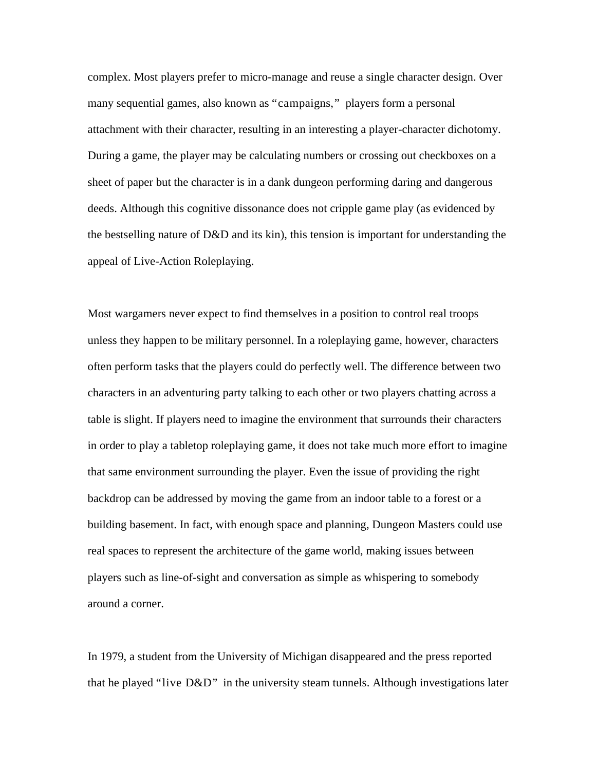complex. Most players prefer to micro-manage and reuse a single character design. Over many sequential games, also known as "campaigns," players form a personal attachment with their character, resulting in an interesting a player-character dichotomy. During a game, the player may be calculating numbers or crossing out checkboxes on a sheet of paper but the character is in a dank dungeon performing daring and dangerous deeds. Although this cognitive dissonance does not cripple game play (as evidenced by the bestselling nature of D&D and its kin), this tension is important for understanding the appeal of Live-Action Roleplaying.

Most wargamers never expect to find themselves in a position to control real troops unless they happen to be military personnel. In a roleplaying game, however, characters often perform tasks that the players could do perfectly well. The difference between two characters in an adventuring party talking to each other or two players chatting across a table is slight. If players need to imagine the environment that surrounds their characters in order to play a tabletop roleplaying game, it does not take much more effort to imagine that same environment surrounding the player. Even the issue of providing the right backdrop can be addressed by moving the game from an indoor table to a forest or a building basement. In fact, with enough space and planning, Dungeon Masters could use real spaces to represent the architecture of the game world, making issues between players such as line-of-sight and conversation as simple as whispering to somebody around a corner.

In 1979, a student from the University of Michigan disappeared and the press reported that he played "live D&D" in the university steam tunnels. Although investigations later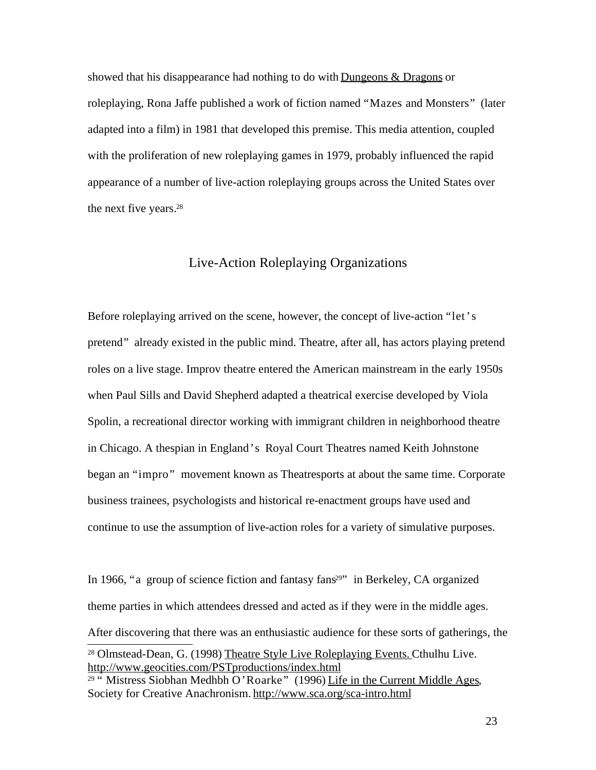showed that his disappearance had nothing to do with Dungeons  $\&$  Dragons or roleplaying, Rona Jaffe published a work of fiction named "Mazes and Monsters" (later adapted into a film) in 1981 that developed this premise. This media attention, coupled with the proliferation of new roleplaying games in 1979, probably influenced the rapid appearance of a number of live-action roleplaying groups across the United States over the next five years. 28

## Live-Action Roleplaying Organizations

Before roleplaying arrived on the scene, however, the concept of live-action "let's pretend" already existed in the public mind. Theatre, after all, has actors playing pretend roles on a live stage. Improv theatre entered the American mainstream in the early 1950s when Paul Sills and David Shepherd adapted a theatrical exercise developed by Viola Spolin, a recreational director working with immigrant children in neighborhood theatre in Chicago. A thespian in England's Royal Court Theatres named Keith Johnstone began an "impro" movement known as Theatresports at about the same time. Corporate business trainees, psychologists and historical re-enactment groups have used and continue to use the assumption of live-action roles for a variety of simulative purposes.

In 1966, "a group of science fiction and fantasy  $fans<sup>29</sup>$ " in Berkeley, CA organized theme parties in which attendees dressed and acted as if they were in the middle ages. After discovering that there was an enthusiastic audience for these sorts of gatherings, the <sup>28</sup> Olmstead-Dean, G. (1998) Theatre Style Live Roleplaying Events. Cthulhu Live. http://www.geocities.com/PSTproductions/index.html

<sup>&</sup>lt;sup>29 "</sup> Mistress Siobhan Medhbh O'Roarke" (1996) Life in the Current Middle Ages, Society for Creative Anachronism. http://www.sca.org/sca-intro.html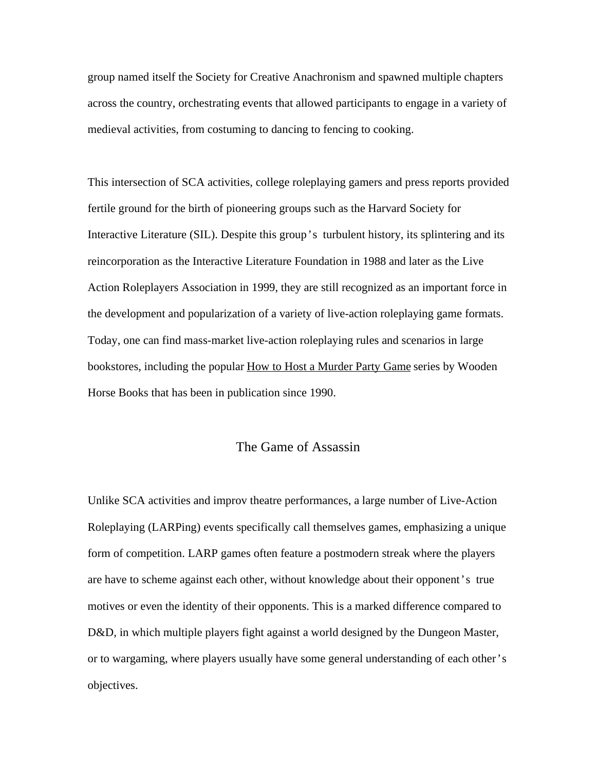group named itself the Society for Creative Anachronism and spawned multiple chapters across the country, orchestrating events that allowed participants to engage in a variety of medieval activities, from costuming to dancing to fencing to cooking.

This intersection of SCA activities, college roleplaying gamers and press reports provided fertile ground for the birth of pioneering groups such as the Harvard Society for Interactive Literature (SIL). Despite this group's turbulent history, its splintering and its reincorporation as the Interactive Literature Foundation in 1988 and later as the Live Action Roleplayers Association in 1999, they are still recognized as an important force in the development and popularization of a variety of live-action roleplaying game formats. Today, one can find mass-market live-action roleplaying rules and scenarios in large bookstores, including the popular How to Host a Murder Party Game series by Wooden Horse Books that has been in publication since 1990.

## The Game of Assassin

Unlike SCA activities and improv theatre performances, a large number of Live-Action Roleplaying (LARPing) events specifically call themselves games, emphasizing a unique form of competition. LARP games often feature a postmodern streak where the players are have to scheme against each other, without knowledge about their opponent's true motives or even the identity of their opponents. This is a marked difference compared to D&D, in which multiple players fight against a world designed by the Dungeon Master, or to wargaming, where players usually have some general understanding of each other's objectives.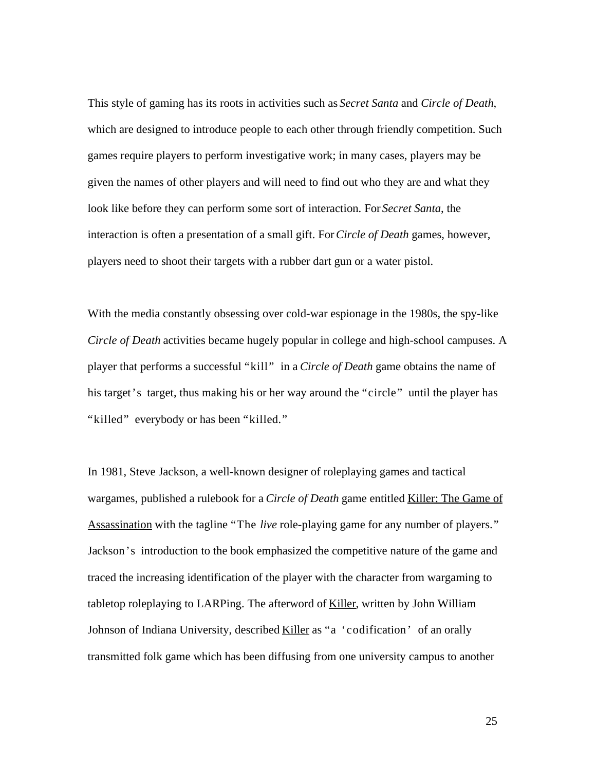This style of gaming has its roots in activities such as *Secret Santa* and *Circle of Death*, which are designed to introduce people to each other through friendly competition. Such games require players to perform investigative work; in many cases, players may be given the names of other players and will need to find out who they are and what they look like before they can perform some sort of interaction. For *Secret Santa*, the interaction is often a presentation of a small gift. For*Circle of Death* games, however, players need to shoot their targets with a rubber dart gun or a water pistol.

With the media constantly obsessing over cold-war espionage in the 1980s, the spy-like *Circle of Death* activities became hugely popular in college and high-school campuses. A player that performs a successful "kill" in a *Circle of Death* game obtains the name of his target's target, thus making his or her way around the "circle" until the player has "killed" everybody or has been "killed."

In 1981, Steve Jackson, a well-known designer of roleplaying games and tactical wargames, published a rulebook for a *Circle of Death* game entitled Killer: The Game of Assassination with the tagline "The *live* role-playing game for any number of players." Jackson's introduction to the book emphasized the competitive nature of the game and traced the increasing identification of the player with the character from wargaming to tabletop roleplaying to LARPing. The afterword of Killer, written by John William Johnson of Indiana University, described Killer as "a 'codification' of an orally transmitted folk game which has been diffusing from one university campus to another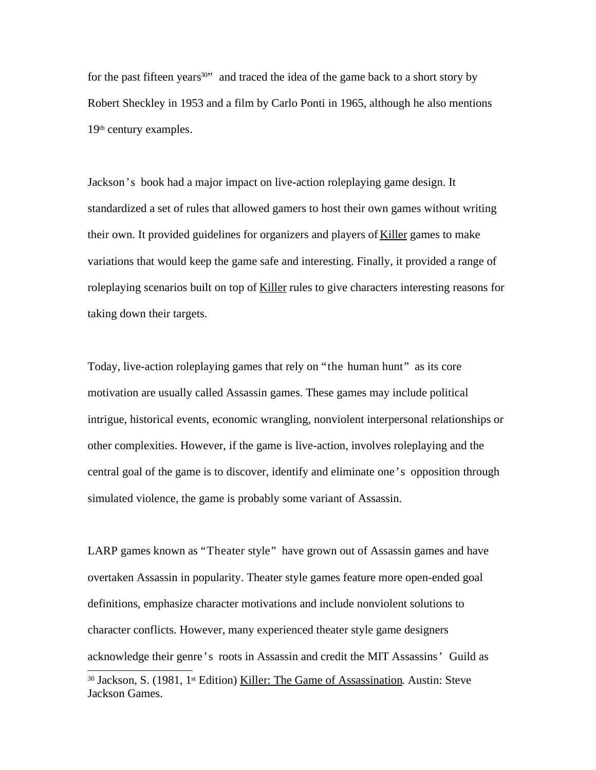for the past fifteen years<sup>30</sup>" and traced the idea of the game back to a short story by Robert Sheckley in 1953 and a film by Carlo Ponti in 1965, although he also mentions 19<sup>th</sup> century examples.

Jackson's book had a major impact on live-action roleplaying game design. It standardized a set of rules that allowed gamers to host their own games without writing their own. It provided guidelines for organizers and players of Killer games to make variations that would keep the game safe and interesting. Finally, it provided a range of roleplaying scenarios built on top of Killer rules to give characters interesting reasons for taking down their targets.

Today, live-action roleplaying games that rely on "the human hunt" as its core motivation are usually called Assassin games. These games may include political intrigue, historical events, economic wrangling, nonviolent interpersonal relationships or other complexities. However, if the game is live-action, involves roleplaying and the central goal of the game is to discover, identify and eliminate one's opposition through simulated violence, the game is probably some variant of Assassin.

LARP games known as "Theater style" have grown out of Assassin games and have overtaken Assassin in popularity. Theater style games feature more open-ended goal definitions, emphasize character motivations and include nonviolent solutions to character conflicts. However, many experienced theater style game designers acknowledge their genre's roots in Assassin and credit the MIT Assassins' Guild as

<sup>&</sup>lt;sup>30</sup> Jackson, S. (1981, 1<sup>st</sup> Edition) <u>Killer: The Game of Assassination</u>. Austin: Steve Jackson Games.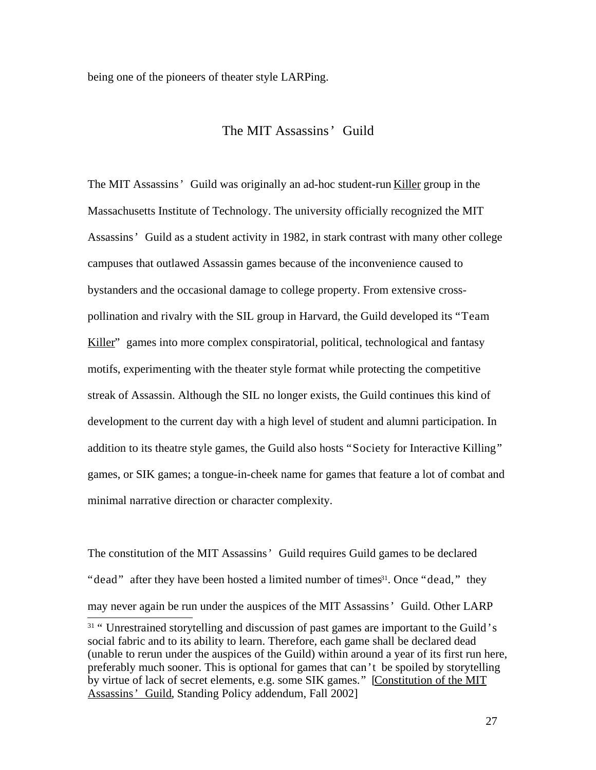being one of the pioneers of theater style LARPing.

# The MIT Assassins' Guild

The MIT Assassins' Guild was originally an ad-hoc student-run Killer group in the Massachusetts Institute of Technology. The university officially recognized the MIT Assassins' Guild as a student activity in 1982, in stark contrast with many other college campuses that outlawed Assassin games because of the inconvenience caused to bystanders and the occasional damage to college property. From extensive crosspollination and rivalry with the SIL group in Harvard, the Guild developed its "Team Killer" games into more complex conspiratorial, political, technological and fantasy motifs, experimenting with the theater style format while protecting the competitive streak of Assassin. Although the SIL no longer exists, the Guild continues this kind of development to the current day with a high level of student and alumni participation. In addition to its theatre style games, the Guild also hosts "Society for Interactive Killing" games, or SIK games; a tongue-in-cheek name for games that feature a lot of combat and minimal narrative direction or character complexity.

The constitution of the MIT Assassins' Guild requires Guild games to be declared "dead" after they have been hosted a limited number of times<sup>31</sup>. Once "dead," they may never again be run under the auspices of the MIT Assassins' Guild. Other LARP

<sup>&</sup>lt;sup>31</sup> "Unrestrained storytelling and discussion of past games are important to the Guild's social fabric and to its ability to learn. Therefore, each game shall be declared dead (unable to rerun under the auspices of the Guild) within around a year of its first run here, preferably much sooner. This is optional for games that can't be spoiled by storytelling by virtue of lack of secret elements, e.g. some SIK games." [Constitution of the MIT Assassins' Guild, Standing Policy addendum, Fall 2002]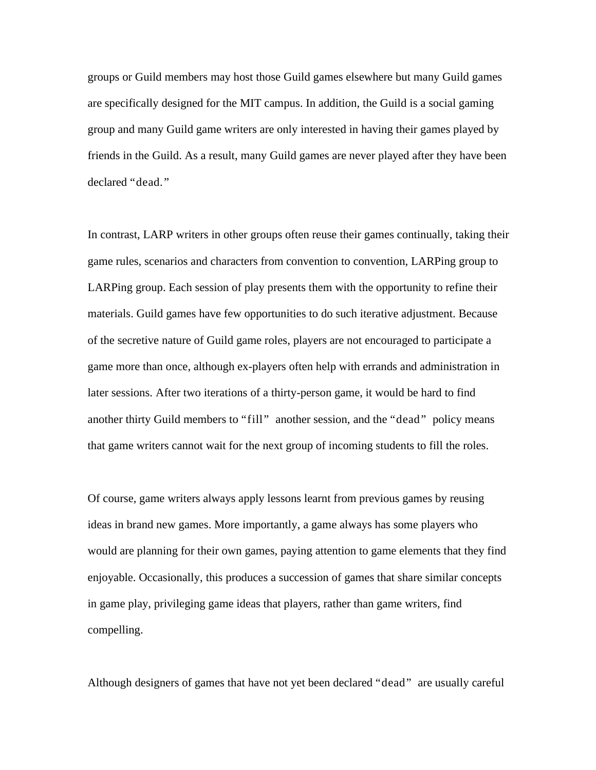groups or Guild members may host those Guild games elsewhere but many Guild games are specifically designed for the MIT campus. In addition, the Guild is a social gaming group and many Guild game writers are only interested in having their games played by friends in the Guild. As a result, many Guild games are never played after they have been declared "dead."

In contrast, LARP writers in other groups often reuse their games continually, taking their game rules, scenarios and characters from convention to convention, LARPing group to LARPing group. Each session of play presents them with the opportunity to refine their materials. Guild games have few opportunities to do such iterative adjustment. Because of the secretive nature of Guild game roles, players are not encouraged to participate a game more than once, although ex-players often help with errands and administration in later sessions. After two iterations of a thirty-person game, it would be hard to find another thirty Guild members to "fill" another session, and the "dead" policy means that game writers cannot wait for the next group of incoming students to fill the roles.

Of course, game writers always apply lessons learnt from previous games by reusing ideas in brand new games. More importantly, a game always has some players who would are planning for their own games, paying attention to game elements that they find enjoyable. Occasionally, this produces a succession of games that share similar concepts in game play, privileging game ideas that players, rather than game writers, find compelling.

Although designers of games that have not yet been declared "dead" are usually careful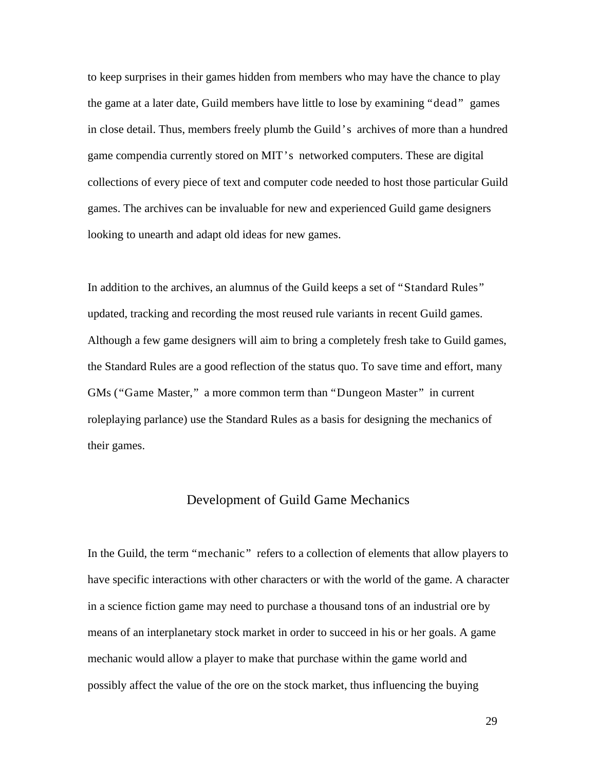to keep surprises in their games hidden from members who may have the chance to play the game at a later date, Guild members have little to lose by examining "dead" games in close detail. Thus, members freely plumb the Guild's archives of more than a hundred game compendia currently stored on MIT's networked computers. These are digital collections of every piece of text and computer code needed to host those particular Guild games. The archives can be invaluable for new and experienced Guild game designers looking to unearth and adapt old ideas for new games.

In addition to the archives, an alumnus of the Guild keeps a set of "Standard Rules" updated, tracking and recording the most reused rule variants in recent Guild games. Although a few game designers will aim to bring a completely fresh take to Guild games, the Standard Rules are a good reflection of the status quo. To save time and effort, many GMs ("Game Master," a more common term than "Dungeon Master" in current roleplaying parlance) use the Standard Rules as a basis for designing the mechanics of their games.

## Development of Guild Game Mechanics

In the Guild, the term "mechanic" refers to a collection of elements that allow players to have specific interactions with other characters or with the world of the game. A character in a science fiction game may need to purchase a thousand tons of an industrial ore by means of an interplanetary stock market in order to succeed in his or her goals. A game mechanic would allow a player to make that purchase within the game world and possibly affect the value of the ore on the stock market, thus influencing the buying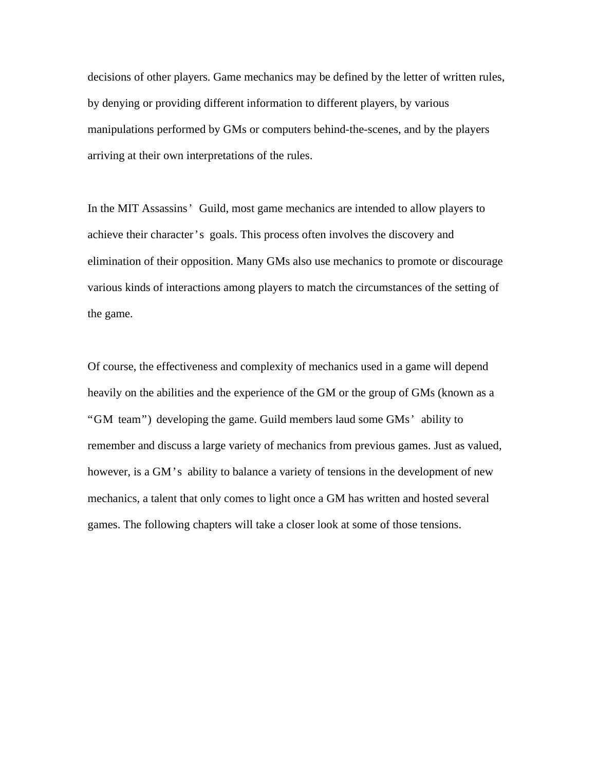decisions of other players. Game mechanics may be defined by the letter of written rules, by denying or providing different information to different players, by various manipulations performed by GMs or computers behind-the-scenes, and by the players arriving at their own interpretations of the rules.

In the MIT Assassins' Guild, most game mechanics are intended to allow players to achieve their character's goals. This process often involves the discovery and elimination of their opposition. Many GMs also use mechanics to promote or discourage various kinds of interactions among players to match the circumstances of the setting of the game.

Of course, the effectiveness and complexity of mechanics used in a game will depend heavily on the abilities and the experience of the GM or the group of GMs (known as a "GM team") developing the game. Guild members laud some GMs' ability to remember and discuss a large variety of mechanics from previous games. Just as valued, however, is a GM's ability to balance a variety of tensions in the development of new mechanics, a talent that only comes to light once a GM has written and hosted several games. The following chapters will take a closer look at some of those tensions.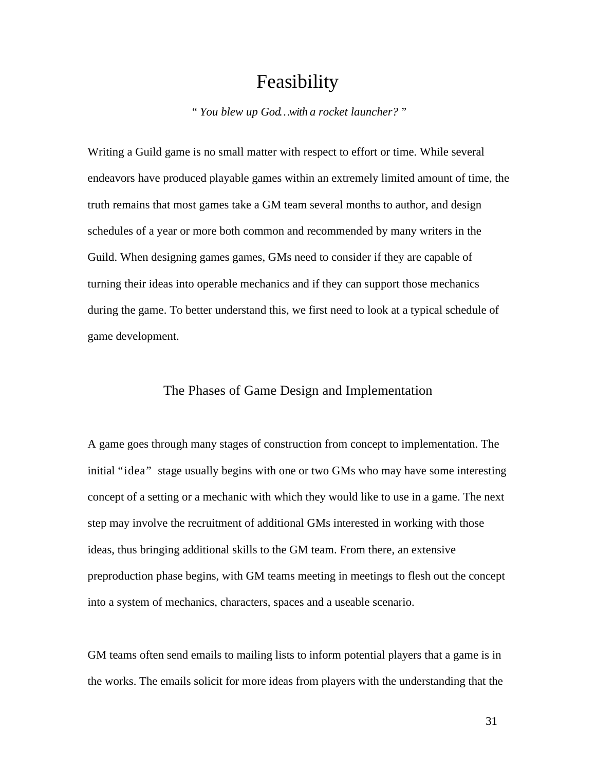# Feasibility

*" You blew up God…with a rocket launcher? "*

Writing a Guild game is no small matter with respect to effort or time. While several endeavors have produced playable games within an extremely limited amount of time, the truth remains that most games take a GM team several months to author, and design schedules of a year or more both common and recommended by many writers in the Guild. When designing games games, GMs need to consider if they are capable of turning their ideas into operable mechanics and if they can support those mechanics during the game. To better understand this, we first need to look at a typical schedule of game development.

# The Phases of Game Design and Implementation

A game goes through many stages of construction from concept to implementation. The initial "idea" stage usually begins with one or two GMs who may have some interesting concept of a setting or a mechanic with which they would like to use in a game. The next step may involve the recruitment of additional GMs interested in working with those ideas, thus bringing additional skills to the GM team. From there, an extensive preproduction phase begins, with GM teams meeting in meetings to flesh out the concept into a system of mechanics, characters, spaces and a useable scenario.

GM teams often send emails to mailing lists to inform potential players that a game is in the works. The emails solicit for more ideas from players with the understanding that the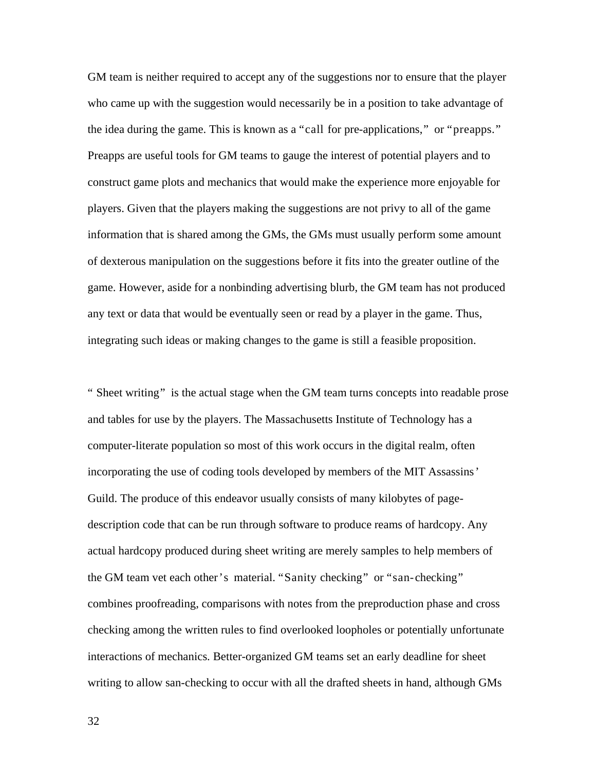GM team is neither required to accept any of the suggestions nor to ensure that the player who came up with the suggestion would necessarily be in a position to take advantage of the idea during the game. This is known as a "call for pre-applications," or "preapps." Preapps are useful tools for GM teams to gauge the interest of potential players and to construct game plots and mechanics that would make the experience more enjoyable for players. Given that the players making the suggestions are not privy to all of the game information that is shared among the GMs, the GMs must usually perform some amount of dexterous manipulation on the suggestions before it fits into the greater outline of the game. However, aside for a nonbinding advertising blurb, the GM team has not produced any text or data that would be eventually seen or read by a player in the game. Thus, integrating such ideas or making changes to the game is still a feasible proposition.

" Sheet writing" is the actual stage when the GM team turns concepts into readable prose and tables for use by the players. The Massachusetts Institute of Technology has a computer-literate population so most of this work occurs in the digital realm, often incorporating the use of coding tools developed by members of the MIT Assassins' Guild. The produce of this endeavor usually consists of many kilobytes of pagedescription code that can be run through software to produce reams of hardcopy. Any actual hardcopy produced during sheet writing are merely samples to help members of the GM team vet each other's material. "Sanity checking" or "san-checking" combines proofreading, comparisons with notes from the preproduction phase and cross checking among the written rules to find overlooked loopholes or potentially unfortunate interactions of mechanics. Better-organized GM teams set an early deadline for sheet writing to allow san-checking to occur with all the drafted sheets in hand, although GMs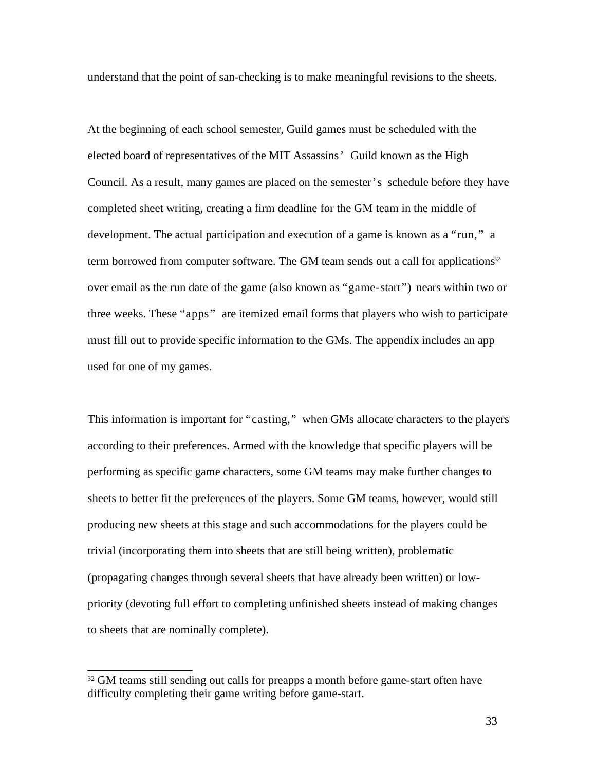understand that the point of san-checking is to make meaningful revisions to the sheets.

At the beginning of each school semester, Guild games must be scheduled with the elected board of representatives of the MIT Assassins' Guild known as the High Council. As a result, many games are placed on the semester's schedule before they have completed sheet writing, creating a firm deadline for the GM team in the middle of development. The actual participation and execution of a game is known as a "run," a term borrowed from computer software. The GM team sends out a call for applications $3<sup>2</sup>$ over email as the run date of the game (also known as "game-start") nears within two or three weeks. These "apps" are itemized email forms that players who wish to participate must fill out to provide specific information to the GMs. The appendix includes an app used for one of my games.

This information is important for "casting," when GMs allocate characters to the players according to their preferences. Armed with the knowledge that specific players will be performing as specific game characters, some GM teams may make further changes to sheets to better fit the preferences of the players. Some GM teams, however, would still producing new sheets at this stage and such accommodations for the players could be trivial (incorporating them into sheets that are still being written), problematic (propagating changes through several sheets that have already been written) or lowpriority (devoting full effort to completing unfinished sheets instead of making changes to sheets that are nominally complete).

<sup>&</sup>lt;sup>32</sup> GM teams still sending out calls for preapps a month before game-start often have difficulty completing their game writing before game-start.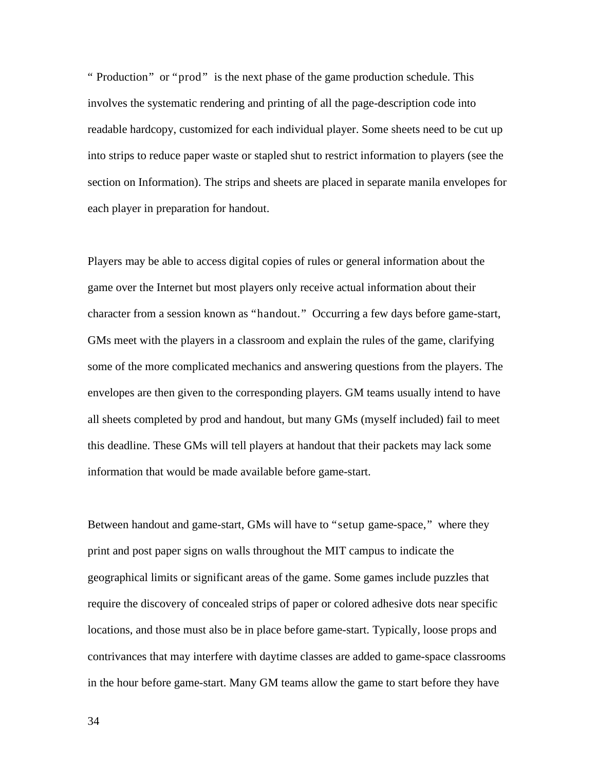" Production" or "prod" is the next phase of the game production schedule. This involves the systematic rendering and printing of all the page-description code into readable hardcopy, customized for each individual player. Some sheets need to be cut up into strips to reduce paper waste or stapled shut to restrict information to players (see the section on Information). The strips and sheets are placed in separate manila envelopes for each player in preparation for handout.

Players may be able to access digital copies of rules or general information about the game over the Internet but most players only receive actual information about their character from a session known as "handout." Occurring a few days before game-start, GMs meet with the players in a classroom and explain the rules of the game, clarifying some of the more complicated mechanics and answering questions from the players. The envelopes are then given to the corresponding players. GM teams usually intend to have all sheets completed by prod and handout, but many GMs (myself included) fail to meet this deadline. These GMs will tell players at handout that their packets may lack some information that would be made available before game-start.

Between handout and game-start, GMs will have to "setup game-space," where they print and post paper signs on walls throughout the MIT campus to indicate the geographical limits or significant areas of the game. Some games include puzzles that require the discovery of concealed strips of paper or colored adhesive dots near specific locations, and those must also be in place before game-start. Typically, loose props and contrivances that may interfere with daytime classes are added to game-space classrooms in the hour before game-start. Many GM teams allow the game to start before they have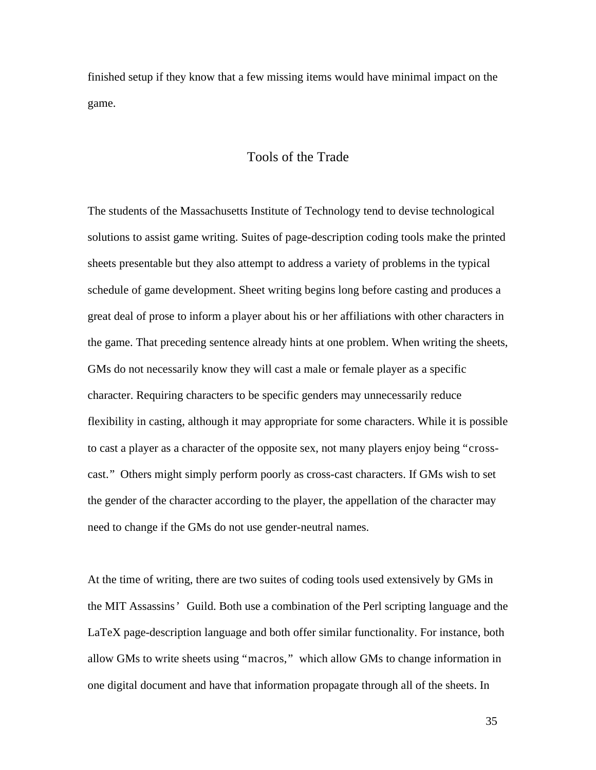finished setup if they know that a few missing items would have minimal impact on the game.

### Tools of the Trade

The students of the Massachusetts Institute of Technology tend to devise technological solutions to assist game writing. Suites of page-description coding tools make the printed sheets presentable but they also attempt to address a variety of problems in the typical schedule of game development. Sheet writing begins long before casting and produces a great deal of prose to inform a player about his or her affiliations with other characters in the game. That preceding sentence already hints at one problem. When writing the sheets, GMs do not necessarily know they will cast a male or female player as a specific character. Requiring characters to be specific genders may unnecessarily reduce flexibility in casting, although it may appropriate for some characters. While it is possible to cast a player as a character of the opposite sex, not many players enjoy being "crosscast." Others might simply perform poorly as cross-cast characters. If GMs wish to set the gender of the character according to the player, the appellation of the character may need to change if the GMs do not use gender-neutral names.

At the time of writing, there are two suites of coding tools used extensively by GMs in the MIT Assassins' Guild. Both use a combination of the Perl scripting language and the LaTeX page-description language and both offer similar functionality. For instance, both allow GMs to write sheets using "macros," which allow GMs to change information in one digital document and have that information propagate through all of the sheets. In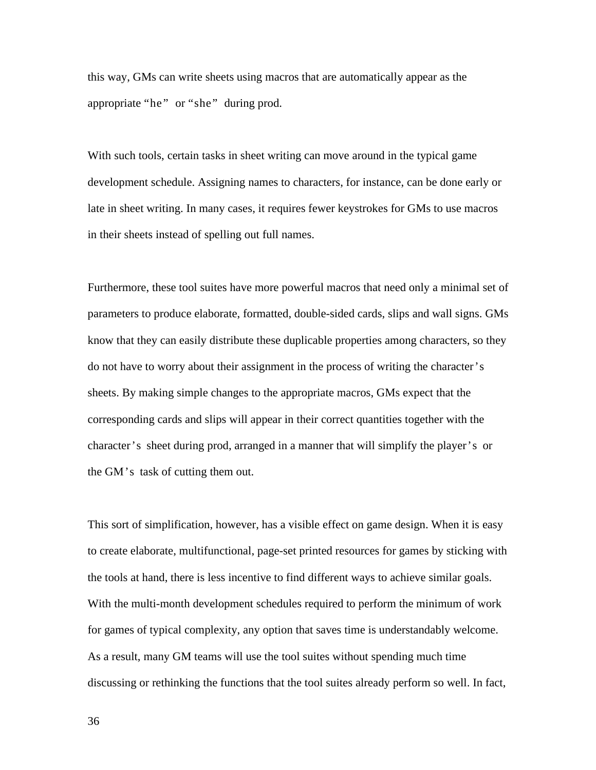this way, GMs can write sheets using macros that are automatically appear as the appropriate "he" or "she" during prod.

With such tools, certain tasks in sheet writing can move around in the typical game development schedule. Assigning names to characters, for instance, can be done early or late in sheet writing. In many cases, it requires fewer keystrokes for GMs to use macros in their sheets instead of spelling out full names.

Furthermore, these tool suites have more powerful macros that need only a minimal set of parameters to produce elaborate, formatted, double-sided cards, slips and wall signs. GMs know that they can easily distribute these duplicable properties among characters, so they do not have to worry about their assignment in the process of writing the character's sheets. By making simple changes to the appropriate macros, GMs expect that the corresponding cards and slips will appear in their correct quantities together with the character's sheet during prod, arranged in a manner that will simplify the player's or the GM's task of cutting them out.

This sort of simplification, however, has a visible effect on game design. When it is easy to create elaborate, multifunctional, page-set printed resources for games by sticking with the tools at hand, there is less incentive to find different ways to achieve similar goals. With the multi-month development schedules required to perform the minimum of work for games of typical complexity, any option that saves time is understandably welcome. As a result, many GM teams will use the tool suites without spending much time discussing or rethinking the functions that the tool suites already perform so well. In fact,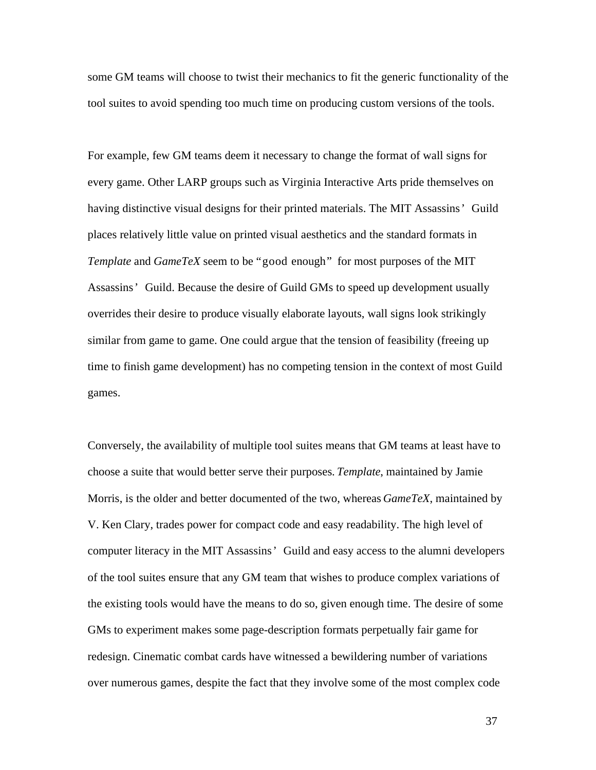some GM teams will choose to twist their mechanics to fit the generic functionality of the tool suites to avoid spending too much time on producing custom versions of the tools.

For example, few GM teams deem it necessary to change the format of wall signs for every game. Other LARP groups such as Virginia Interactive Arts pride themselves on having distinctive visual designs for their printed materials. The MIT Assassins' Guild places relatively little value on printed visual aesthetics and the standard formats in *Template* and *GameTeX* seem to be "good enough" for most purposes of the MIT Assassins' Guild. Because the desire of Guild GMs to speed up development usually overrides their desire to produce visually elaborate layouts, wall signs look strikingly similar from game to game. One could argue that the tension of feasibility (freeing up time to finish game development) has no competing tension in the context of most Guild games.

Conversely, the availability of multiple tool suites means that GM teams at least have to choose a suite that would better serve their purposes. *Template*, maintained by Jamie Morris, is the older and better documented of the two, whereas *GameTeX*, maintained by V. Ken Clary, trades power for compact code and easy readability. The high level of computer literacy in the MIT Assassins' Guild and easy access to the alumni developers of the tool suites ensure that any GM team that wishes to produce complex variations of the existing tools would have the means to do so, given enough time. The desire of some GMs to experiment makes some page-description formats perpetually fair game for redesign. Cinematic combat cards have witnessed a bewildering number of variations over numerous games, despite the fact that they involve some of the most complex code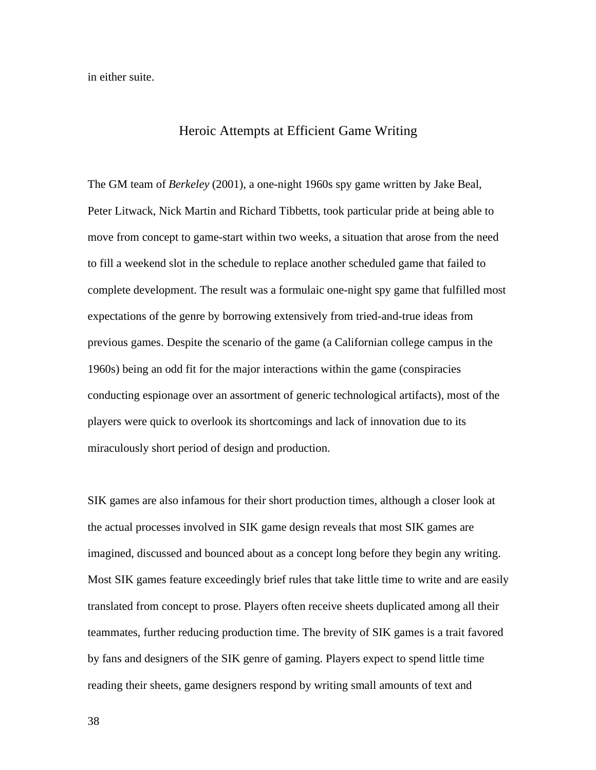in either suite.

#### Heroic Attempts at Efficient Game Writing

The GM team of *Berkeley* (2001), a one-night 1960s spy game written by Jake Beal, Peter Litwack, Nick Martin and Richard Tibbetts, took particular pride at being able to move from concept to game-start within two weeks, a situation that arose from the need to fill a weekend slot in the schedule to replace another scheduled game that failed to complete development. The result was a formulaic one-night spy game that fulfilled most expectations of the genre by borrowing extensively from tried-and-true ideas from previous games. Despite the scenario of the game (a Californian college campus in the 1960s) being an odd fit for the major interactions within the game (conspiracies conducting espionage over an assortment of generic technological artifacts), most of the players were quick to overlook its shortcomings and lack of innovation due to its miraculously short period of design and production.

SIK games are also infamous for their short production times, although a closer look at the actual processes involved in SIK game design reveals that most SIK games are imagined, discussed and bounced about as a concept long before they begin any writing. Most SIK games feature exceedingly brief rules that take little time to write and are easily translated from concept to prose. Players often receive sheets duplicated among all their teammates, further reducing production time. The brevity of SIK games is a trait favored by fans and designers of the SIK genre of gaming. Players expect to spend little time reading their sheets, game designers respond by writing small amounts of text and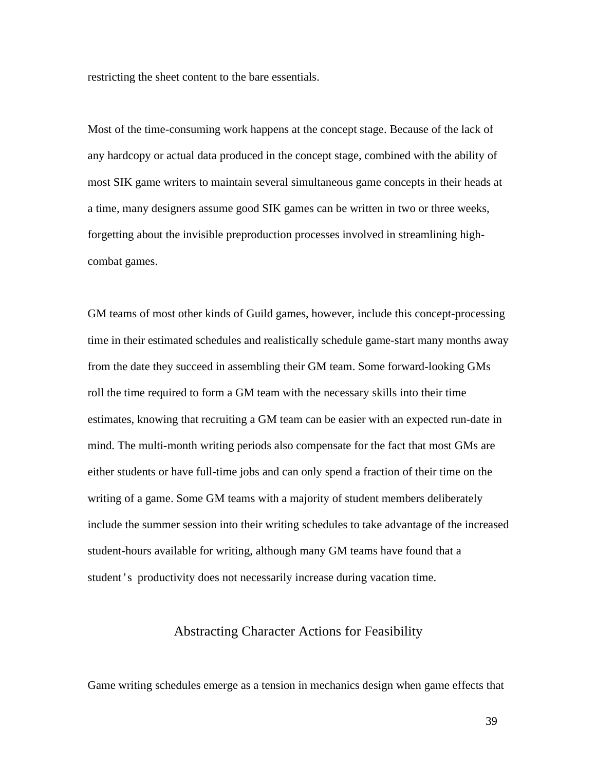restricting the sheet content to the bare essentials.

Most of the time-consuming work happens at the concept stage. Because of the lack of any hardcopy or actual data produced in the concept stage, combined with the ability of most SIK game writers to maintain several simultaneous game concepts in their heads at a time, many designers assume good SIK games can be written in two or three weeks, forgetting about the invisible preproduction processes involved in streamlining highcombat games.

GM teams of most other kinds of Guild games, however, include this concept-processing time in their estimated schedules and realistically schedule game-start many months away from the date they succeed in assembling their GM team. Some forward-looking GMs roll the time required to form a GM team with the necessary skills into their time estimates, knowing that recruiting a GM team can be easier with an expected run-date in mind. The multi-month writing periods also compensate for the fact that most GMs are either students or have full-time jobs and can only spend a fraction of their time on the writing of a game. Some GM teams with a majority of student members deliberately include the summer session into their writing schedules to take advantage of the increased student-hours available for writing, although many GM teams have found that a student's productivity does not necessarily increase during vacation time.

### Abstracting Character Actions for Feasibility

Game writing schedules emerge as a tension in mechanics design when game effects that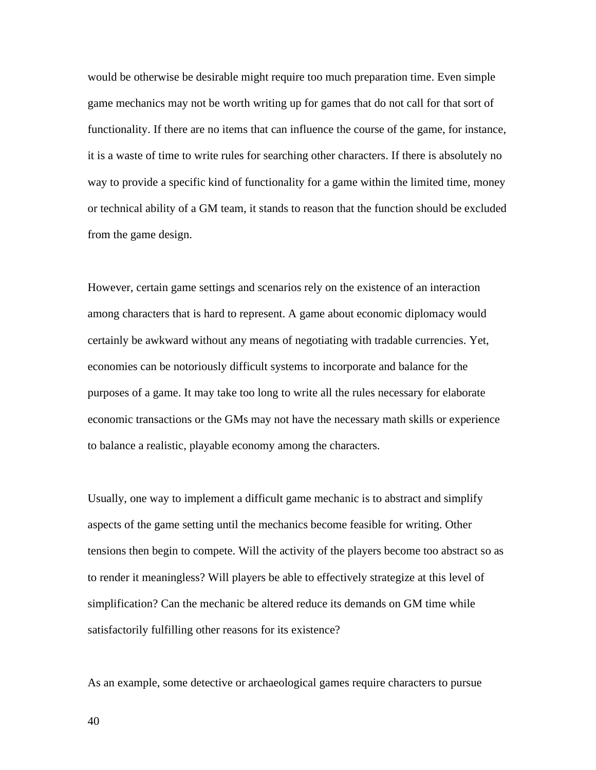would be otherwise be desirable might require too much preparation time. Even simple game mechanics may not be worth writing up for games that do not call for that sort of functionality. If there are no items that can influence the course of the game, for instance, it is a waste of time to write rules for searching other characters. If there is absolutely no way to provide a specific kind of functionality for a game within the limited time, money or technical ability of a GM team, it stands to reason that the function should be excluded from the game design.

However, certain game settings and scenarios rely on the existence of an interaction among characters that is hard to represent. A game about economic diplomacy would certainly be awkward without any means of negotiating with tradable currencies. Yet, economies can be notoriously difficult systems to incorporate and balance for the purposes of a game. It may take too long to write all the rules necessary for elaborate economic transactions or the GMs may not have the necessary math skills or experience to balance a realistic, playable economy among the characters.

Usually, one way to implement a difficult game mechanic is to abstract and simplify aspects of the game setting until the mechanics become feasible for writing. Other tensions then begin to compete. Will the activity of the players become too abstract so as to render it meaningless? Will players be able to effectively strategize at this level of simplification? Can the mechanic be altered reduce its demands on GM time while satisfactorily fulfilling other reasons for its existence?

As an example, some detective or archaeological games require characters to pursue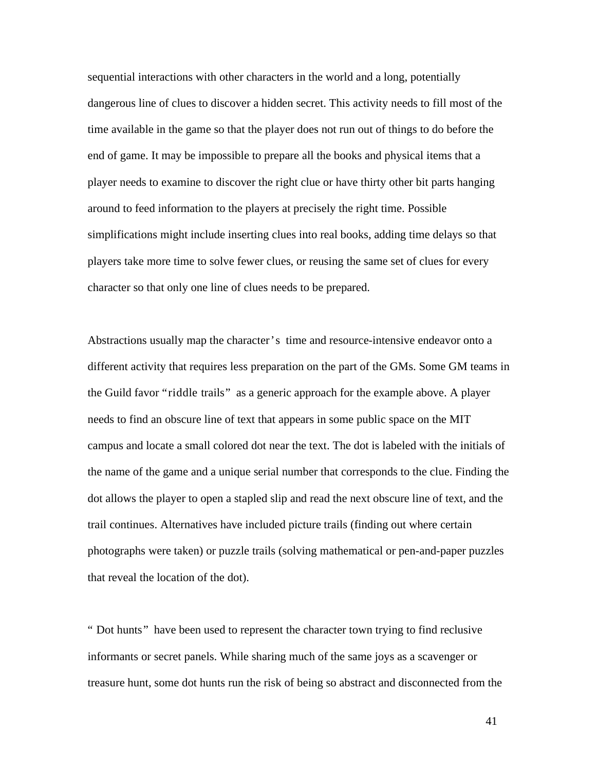sequential interactions with other characters in the world and a long, potentially dangerous line of clues to discover a hidden secret. This activity needs to fill most of the time available in the game so that the player does not run out of things to do before the end of game. It may be impossible to prepare all the books and physical items that a player needs to examine to discover the right clue or have thirty other bit parts hanging around to feed information to the players at precisely the right time. Possible simplifications might include inserting clues into real books, adding time delays so that players take more time to solve fewer clues, or reusing the same set of clues for every character so that only one line of clues needs to be prepared.

Abstractions usually map the character's time and resource-intensive endeavor onto a different activity that requires less preparation on the part of the GMs. Some GM teams in the Guild favor "riddle trails" as a generic approach for the example above. A player needs to find an obscure line of text that appears in some public space on the MIT campus and locate a small colored dot near the text. The dot is labeled with the initials of the name of the game and a unique serial number that corresponds to the clue. Finding the dot allows the player to open a stapled slip and read the next obscure line of text, and the trail continues. Alternatives have included picture trails (finding out where certain photographs were taken) or puzzle trails (solving mathematical or pen-and-paper puzzles that reveal the location of the dot).

" Dot hunts" have been used to represent the character town trying to find reclusive informants or secret panels. While sharing much of the same joys as a scavenger or treasure hunt, some dot hunts run the risk of being so abstract and disconnected from the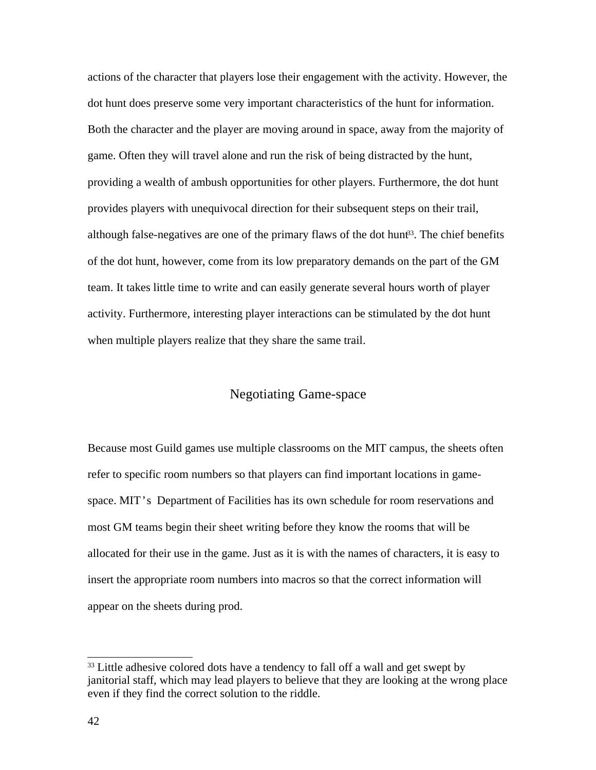actions of the character that players lose their engagement with the activity. However, the dot hunt does preserve some very important characteristics of the hunt for information. Both the character and the player are moving around in space, away from the majority of game. Often they will travel alone and run the risk of being distracted by the hunt, providing a wealth of ambush opportunities for other players. Furthermore, the dot hunt provides players with unequivocal direction for their subsequent steps on their trail, although false-negatives are one of the primary flaws of the dot hunt<sup>33</sup>. The chief benefits of the dot hunt, however, come from its low preparatory demands on the part of the GM team. It takes little time to write and can easily generate several hours worth of player activity. Furthermore, interesting player interactions can be stimulated by the dot hunt when multiple players realize that they share the same trail.

## Negotiating Game-space

Because most Guild games use multiple classrooms on the MIT campus, the sheets often refer to specific room numbers so that players can find important locations in gamespace. MIT's Department of Facilities has its own schedule for room reservations and most GM teams begin their sheet writing before they know the rooms that will be allocated for their use in the game. Just as it is with the names of characters, it is easy to insert the appropriate room numbers into macros so that the correct information will appear on the sheets during prod.

<sup>&</sup>lt;sup>33</sup> Little adhesive colored dots have a tendency to fall off a wall and get swept by janitorial staff, which may lead players to believe that they are looking at the wrong place even if they find the correct solution to the riddle.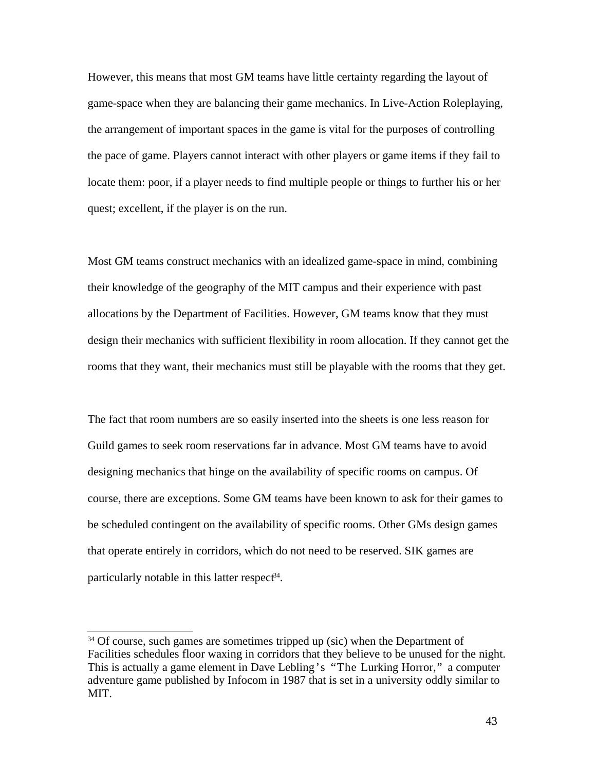However, this means that most GM teams have little certainty regarding the layout of game-space when they are balancing their game mechanics. In Live-Action Roleplaying, the arrangement of important spaces in the game is vital for the purposes of controlling the pace of game. Players cannot interact with other players or game items if they fail to locate them: poor, if a player needs to find multiple people or things to further his or her quest; excellent, if the player is on the run.

Most GM teams construct mechanics with an idealized game-space in mind, combining their knowledge of the geography of the MIT campus and their experience with past allocations by the Department of Facilities. However, GM teams know that they must design their mechanics with sufficient flexibility in room allocation. If they cannot get the rooms that they want, their mechanics must still be playable with the rooms that they get.

The fact that room numbers are so easily inserted into the sheets is one less reason for Guild games to seek room reservations far in advance. Most GM teams have to avoid designing mechanics that hinge on the availability of specific rooms on campus. Of course, there are exceptions. Some GM teams have been known to ask for their games to be scheduled contingent on the availability of specific rooms. Other GMs design games that operate entirely in corridors, which do not need to be reserved. SIK games are particularly notable in this latter respect<sup>34</sup>.

 $34$  Of course, such games are sometimes tripped up (sic) when the Department of Facilities schedules floor waxing in corridors that they believe to be unused for the night. This is actually a game element in Dave Lebling's "The Lurking Horror," a computer adventure game published by Infocom in 1987 that is set in a university oddly similar to MIT.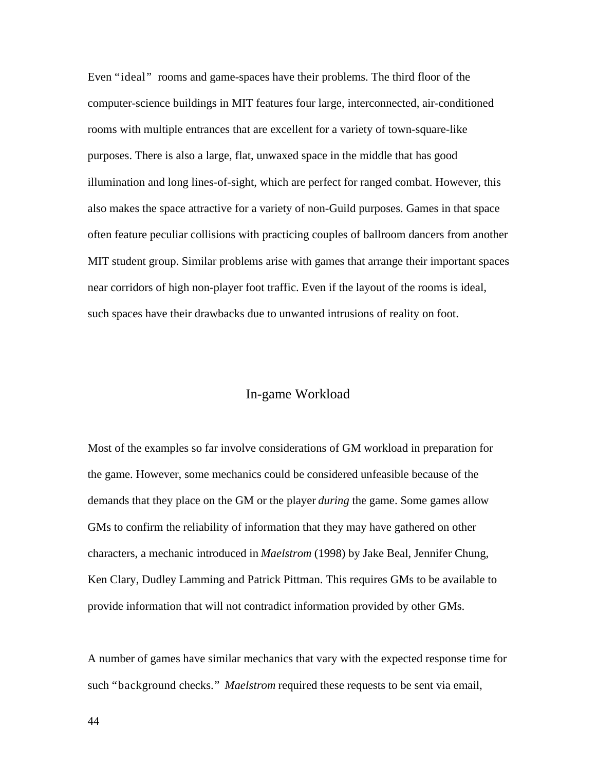Even "ideal" rooms and game-spaces have their problems. The third floor of the computer-science buildings in MIT features four large, interconnected, air-conditioned rooms with multiple entrances that are excellent for a variety of town-square-like purposes. There is also a large, flat, unwaxed space in the middle that has good illumination and long lines-of-sight, which are perfect for ranged combat. However, this also makes the space attractive for a variety of non-Guild purposes. Games in that space often feature peculiar collisions with practicing couples of ballroom dancers from another MIT student group. Similar problems arise with games that arrange their important spaces near corridors of high non-player foot traffic. Even if the layout of the rooms is ideal, such spaces have their drawbacks due to unwanted intrusions of reality on foot.

## In-game Workload

Most of the examples so far involve considerations of GM workload in preparation for the game. However, some mechanics could be considered unfeasible because of the demands that they place on the GM or the player *during* the game. Some games allow GMs to confirm the reliability of information that they may have gathered on other characters, a mechanic introduced in *Maelstrom* (1998) by Jake Beal, Jennifer Chung, Ken Clary, Dudley Lamming and Patrick Pittman. This requires GMs to be available to provide information that will not contradict information provided by other GMs.

A number of games have similar mechanics that vary with the expected response time for such "background checks." *Maelstrom* required these requests to be sent via email,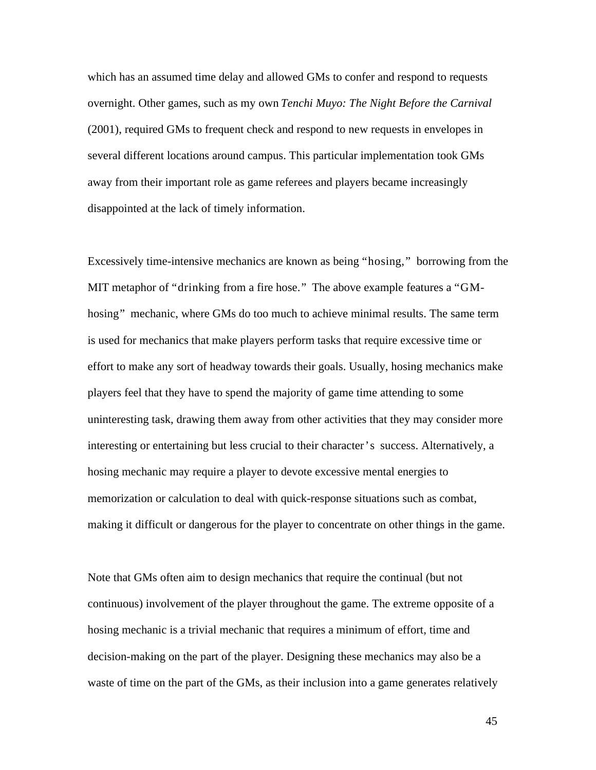which has an assumed time delay and allowed GMs to confer and respond to requests overnight. Other games, such as my own *Tenchi Muyo: The Night Before the Carnival* (2001), required GMs to frequent check and respond to new requests in envelopes in several different locations around campus. This particular implementation took GMs away from their important role as game referees and players became increasingly disappointed at the lack of timely information.

Excessively time-intensive mechanics are known as being "hosing," borrowing from the MIT metaphor of "drinking from a fire hose." The above example features a "GMhosing" mechanic, where GMs do too much to achieve minimal results. The same term is used for mechanics that make players perform tasks that require excessive time or effort to make any sort of headway towards their goals. Usually, hosing mechanics make players feel that they have to spend the majority of game time attending to some uninteresting task, drawing them away from other activities that they may consider more interesting or entertaining but less crucial to their character's success. Alternatively, a hosing mechanic may require a player to devote excessive mental energies to memorization or calculation to deal with quick-response situations such as combat, making it difficult or dangerous for the player to concentrate on other things in the game.

Note that GMs often aim to design mechanics that require the continual (but not continuous) involvement of the player throughout the game. The extreme opposite of a hosing mechanic is a trivial mechanic that requires a minimum of effort, time and decision-making on the part of the player. Designing these mechanics may also be a waste of time on the part of the GMs, as their inclusion into a game generates relatively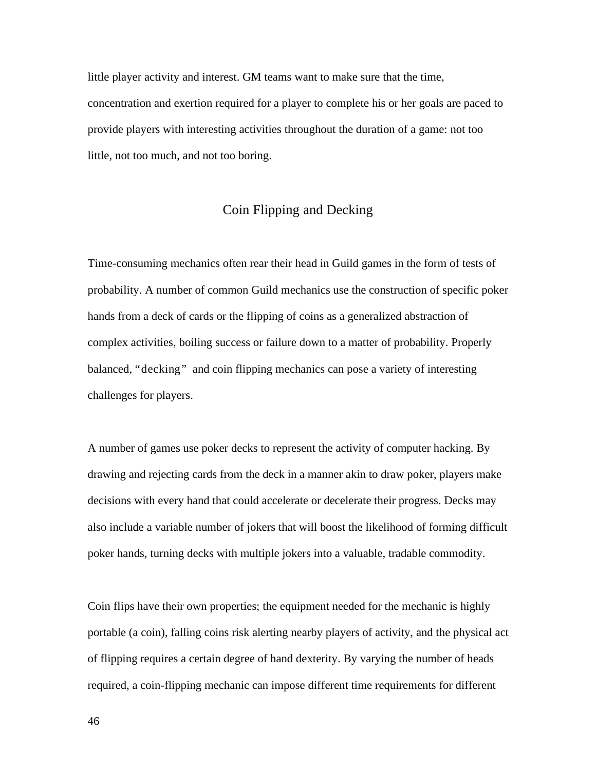little player activity and interest. GM teams want to make sure that the time, concentration and exertion required for a player to complete his or her goals are paced to provide players with interesting activities throughout the duration of a game: not too little, not too much, and not too boring.

# Coin Flipping and Decking

Time-consuming mechanics often rear their head in Guild games in the form of tests of probability. A number of common Guild mechanics use the construction of specific poker hands from a deck of cards or the flipping of coins as a generalized abstraction of complex activities, boiling success or failure down to a matter of probability. Properly balanced, "decking" and coin flipping mechanics can pose a variety of interesting challenges for players.

A number of games use poker decks to represent the activity of computer hacking. By drawing and rejecting cards from the deck in a manner akin to draw poker, players make decisions with every hand that could accelerate or decelerate their progress. Decks may also include a variable number of jokers that will boost the likelihood of forming difficult poker hands, turning decks with multiple jokers into a valuable, tradable commodity.

Coin flips have their own properties; the equipment needed for the mechanic is highly portable (a coin), falling coins risk alerting nearby players of activity, and the physical act of flipping requires a certain degree of hand dexterity. By varying the number of heads required, a coin-flipping mechanic can impose different time requirements for different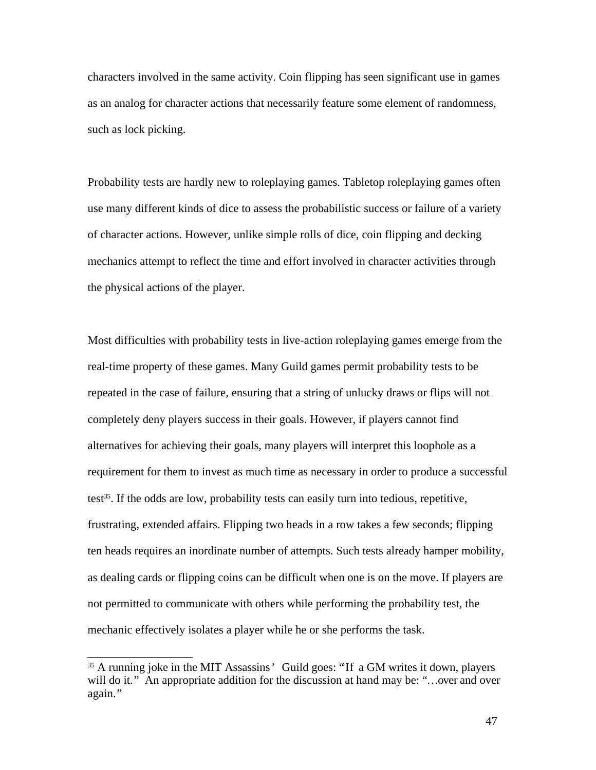characters involved in the same activity. Coin flipping has seen significant use in games as an analog for character actions that necessarily feature some element of randomness, such as lock picking.

Probability tests are hardly new to roleplaying games. Tabletop roleplaying games often use many different kinds of dice to assess the probabilistic success or failure of a variety of character actions. However, unlike simple rolls of dice, coin flipping and decking mechanics attempt to reflect the time and effort involved in character activities through the physical actions of the player.

Most difficulties with probability tests in live-action roleplaying games emerge from the real-time property of these games. Many Guild games permit probability tests to be repeated in the case of failure, ensuring that a string of unlucky draws or flips will not completely deny players success in their goals. However, if players cannot find alternatives for achieving their goals, many players will interpret this loophole as a requirement for them to invest as much time as necessary in order to produce a successful test 35 . If the odds are low, probability tests can easily turn into tedious, repetitive, frustrating, extended affairs. Flipping two heads in a row takes a few seconds; flipping ten heads requires an inordinate number of attempts. Such tests already hamper mobility, as dealing cards or flipping coins can be difficult when one is on the move. If players are not permitted to communicate with others while performing the probability test, the mechanic effectively isolates a player while he or she performs the task.

<sup>&</sup>lt;sup>35</sup> A running joke in the MIT Assassins' Guild goes: "If a GM writes it down, players will do it." An appropriate addition for the discussion at hand may be: "...over and over again."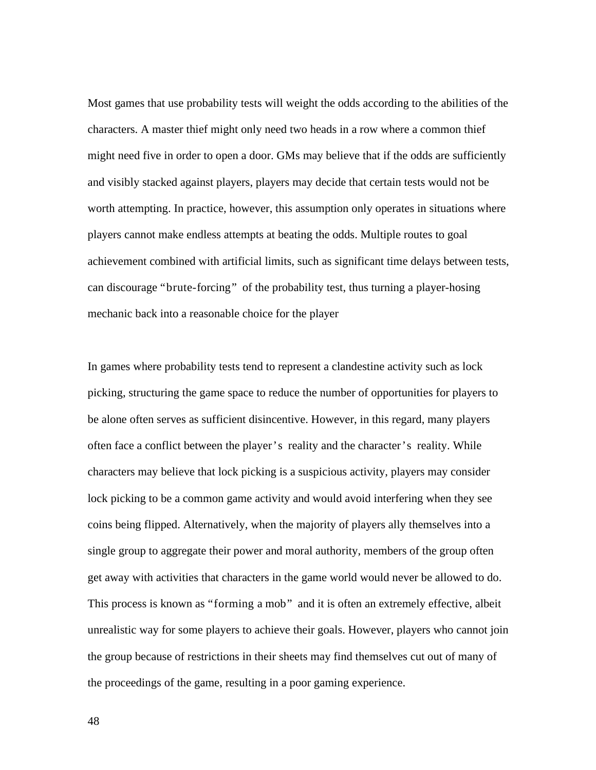Most games that use probability tests will weight the odds according to the abilities of the characters. A master thief might only need two heads in a row where a common thief might need five in order to open a door. GMs may believe that if the odds are sufficiently and visibly stacked against players, players may decide that certain tests would not be worth attempting. In practice, however, this assumption only operates in situations where players cannot make endless attempts at beating the odds. Multiple routes to goal achievement combined with artificial limits, such as significant time delays between tests, can discourage "brute-forcing" of the probability test, thus turning a player-hosing mechanic back into a reasonable choice for the player

In games where probability tests tend to represent a clandestine activity such as lock picking, structuring the game space to reduce the number of opportunities for players to be alone often serves as sufficient disincentive. However, in this regard, many players often face a conflict between the player's reality and the character's reality. While characters may believe that lock picking is a suspicious activity, players may consider lock picking to be a common game activity and would avoid interfering when they see coins being flipped. Alternatively, when the majority of players ally themselves into a single group to aggregate their power and moral authority, members of the group often get away with activities that characters in the game world would never be allowed to do. This process is known as "forming a mob" and it is often an extremely effective, albeit unrealistic way for some players to achieve their goals. However, players who cannot join the group because of restrictions in their sheets may find themselves cut out of many of the proceedings of the game, resulting in a poor gaming experience.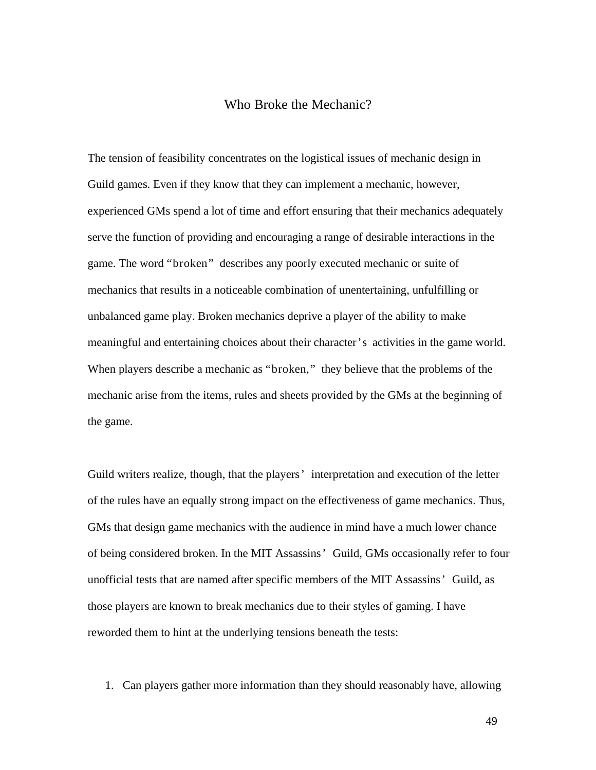## Who Broke the Mechanic?

The tension of feasibility concentrates on the logistical issues of mechanic design in Guild games. Even if they know that they can implement a mechanic, however, experienced GMs spend a lot of time and effort ensuring that their mechanics adequately serve the function of providing and encouraging a range of desirable interactions in the game. The word "broken" describes any poorly executed mechanic or suite of mechanics that results in a noticeable combination of unentertaining, unfulfilling or unbalanced game play. Broken mechanics deprive a player of the ability to make meaningful and entertaining choices about their character's activities in the game world. When players describe a mechanic as "broken," they believe that the problems of the mechanic arise from the items, rules and sheets provided by the GMs at the beginning of the game.

Guild writers realize, though, that the players' interpretation and execution of the letter of the rules have an equally strong impact on the effectiveness of game mechanics. Thus, GMs that design game mechanics with the audience in mind have a much lower chance of being considered broken. In the MIT Assassins' Guild, GMs occasionally refer to four unofficial tests that are named after specific members of the MIT Assassins' Guild, as those players are known to break mechanics due to their styles of gaming. I have reworded them to hint at the underlying tensions beneath the tests:

1. Can players gather more information than they should reasonably have, allowing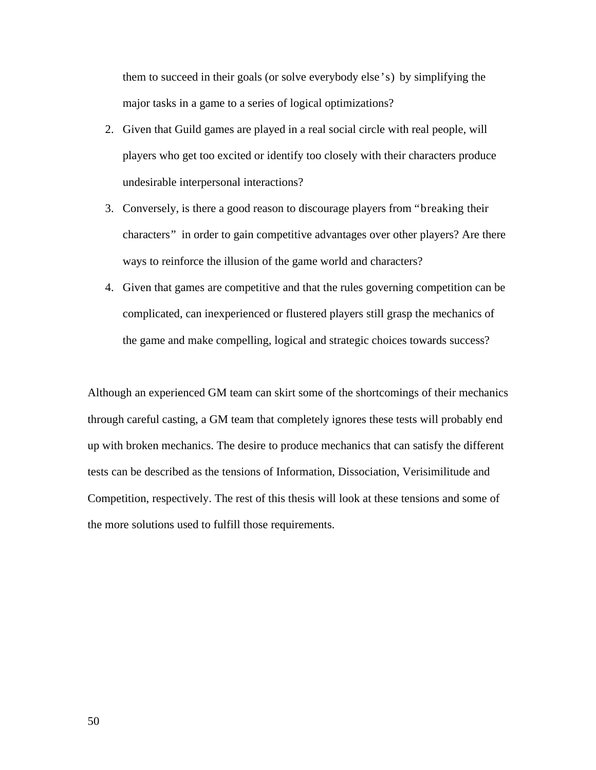them to succeed in their goals (or solve everybody else's) by simplifying the major tasks in a game to a series of logical optimizations?

- 2. Given that Guild games are played in a real social circle with real people, will players who get too excited or identify too closely with their characters produce undesirable interpersonal interactions?
- 3. Conversely, is there a good reason to discourage players from "breaking their characters" in order to gain competitive advantages over other players? Are there ways to reinforce the illusion of the game world and characters?
- 4. Given that games are competitive and that the rules governing competition can be complicated, can inexperienced or flustered players still grasp the mechanics of the game and make compelling, logical and strategic choices towards success?

Although an experienced GM team can skirt some of the shortcomings of their mechanics through careful casting, a GM team that completely ignores these tests will probably end up with broken mechanics. The desire to produce mechanics that can satisfy the different tests can be described as the tensions of Information, Dissociation, Verisimilitude and Competition, respectively. The rest of this thesis will look at these tensions and some of the more solutions used to fulfill those requirements.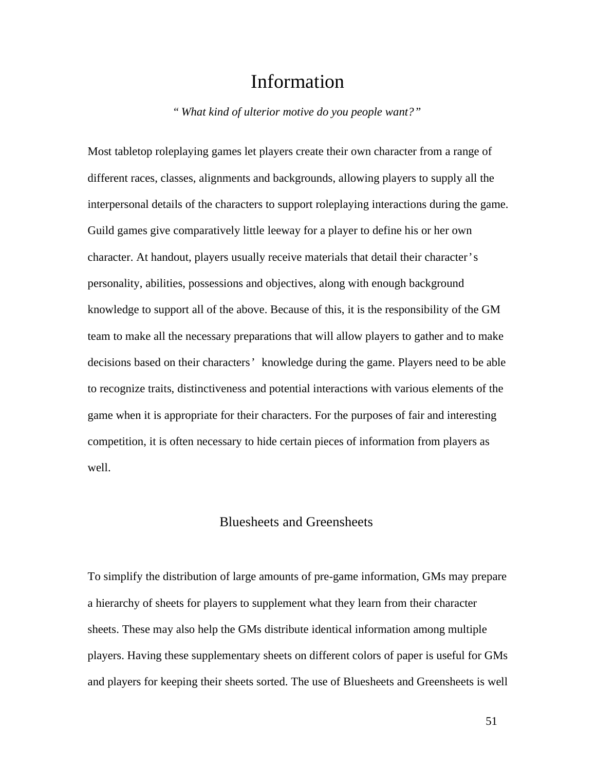# Information

*" What kind of ulterior motive do you people want?"*

Most tabletop roleplaying games let players create their own character from a range of different races, classes, alignments and backgrounds, allowing players to supply all the interpersonal details of the characters to support roleplaying interactions during the game. Guild games give comparatively little leeway for a player to define his or her own character. At handout, players usually receive materials that detail their character's personality, abilities, possessions and objectives, along with enough background knowledge to support all of the above. Because of this, it is the responsibility of the GM team to make all the necessary preparations that will allow players to gather and to make decisions based on their characters' knowledge during the game. Players need to be able to recognize traits, distinctiveness and potential interactions with various elements of the game when it is appropriate for their characters. For the purposes of fair and interesting competition, it is often necessary to hide certain pieces of information from players as well.

#### Bluesheets and Greensheets

To simplify the distribution of large amounts of pre-game information, GMs may prepare a hierarchy of sheets for players to supplement what they learn from their character sheets. These may also help the GMs distribute identical information among multiple players. Having these supplementary sheets on different colors of paper is useful for GMs and players for keeping their sheets sorted. The use of Bluesheets and Greensheets is well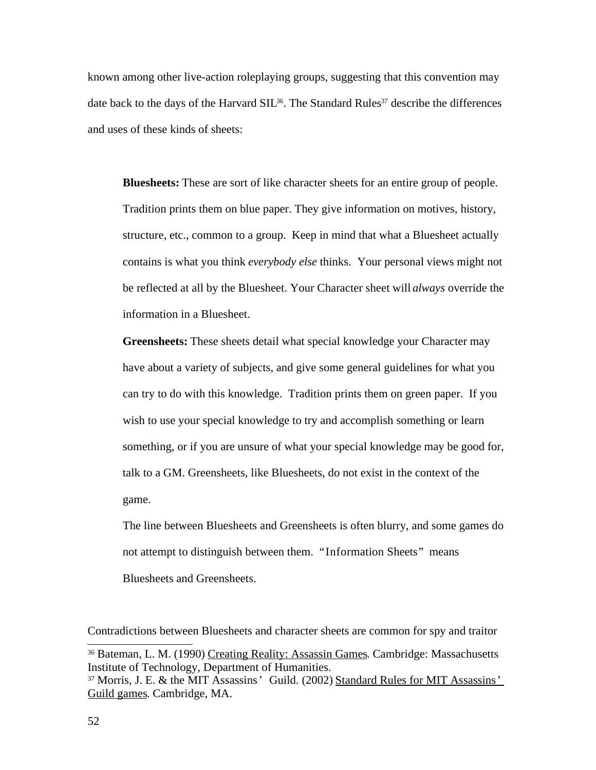known among other live-action roleplaying groups, suggesting that this convention may date back to the days of the Harvard SIL<sup>36</sup>. The Standard Rules<sup>37</sup> describe the differences and uses of these kinds of sheets:

**Bluesheets:** These are sort of like character sheets for an entire group of people. Tradition prints them on blue paper. They give information on motives, history, structure, etc., common to a group. Keep in mind that what a Bluesheet actually contains is what you think *everybody else* thinks. Your personal views might not be reflected at all by the Bluesheet. Your Character sheet will *always* override the information in a Bluesheet.

**Greensheets:** These sheets detail what special knowledge your Character may have about a variety of subjects, and give some general guidelines for what you can try to do with this knowledge. Tradition prints them on green paper. If you wish to use your special knowledge to try and accomplish something or learn something, or if you are unsure of what your special knowledge may be good for, talk to a GM. Greensheets, like Bluesheets, do not exist in the context of the game.

The line between Bluesheets and Greensheets is often blurry, and some games do not attempt to distinguish between them. "Information Sheets" means Bluesheets and Greensheets.

Contradictions between Bluesheets and character sheets are common for spy and traitor

<sup>&</sup>lt;sup>36</sup> Bateman, L. M. (1990) Creating Reality: Assassin Games. Cambridge: Massachusetts Institute of Technology, Department of Humanities.

<sup>37</sup> Morris, J. E. & the MIT Assassins' Guild. (2002) Standard Rules for MIT Assassins' Guild games. Cambridge, MA.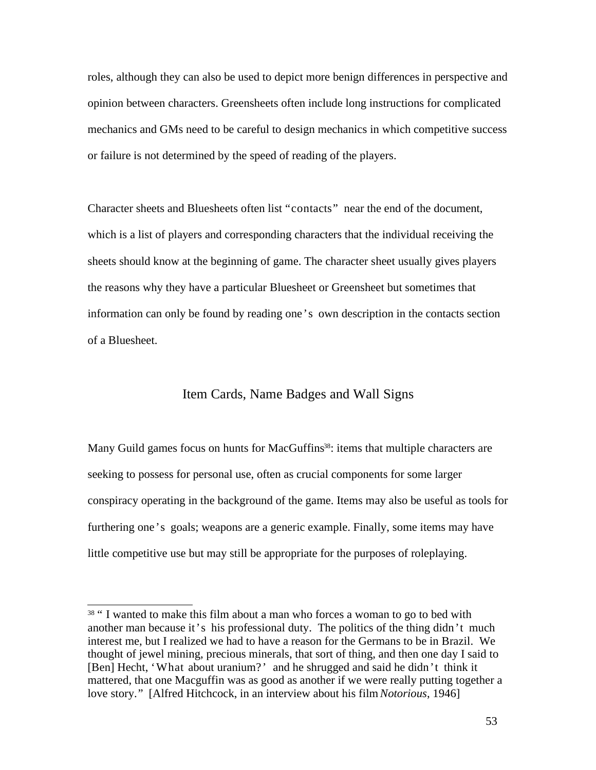roles, although they can also be used to depict more benign differences in perspective and opinion between characters. Greensheets often include long instructions for complicated mechanics and GMs need to be careful to design mechanics in which competitive success or failure is not determined by the speed of reading of the players.

Character sheets and Bluesheets often list "contacts" near the end of the document, which is a list of players and corresponding characters that the individual receiving the sheets should know at the beginning of game. The character sheet usually gives players the reasons why they have a particular Bluesheet or Greensheet but sometimes that information can only be found by reading one's own description in the contacts section of a Bluesheet.

### Item Cards, Name Badges and Wall Signs

Many Guild games focus on hunts for MacGuffins<sup>38</sup>: items that multiple characters are seeking to possess for personal use, often as crucial components for some larger conspiracy operating in the background of the game. Items may also be useful as tools for furthering one's goals; weapons are a generic example. Finally, some items may have little competitive use but may still be appropriate for the purposes of roleplaying.

<sup>&</sup>lt;sup>38</sup> " I wanted to make this film about a man who forces a woman to go to bed with another man because it's his professional duty. The politics of the thing didn't much interest me, but I realized we had to have a reason for the Germans to be in Brazil. We thought of jewel mining, precious minerals, that sort of thing, and then one day I said to [Ben] Hecht, 'What about uranium?' and he shrugged and said he didn't think it mattered, that one Macguffin was as good as another if we were really putting together a love story." [Alfred Hitchcock, in an interview about his film *Notorious*, 1946]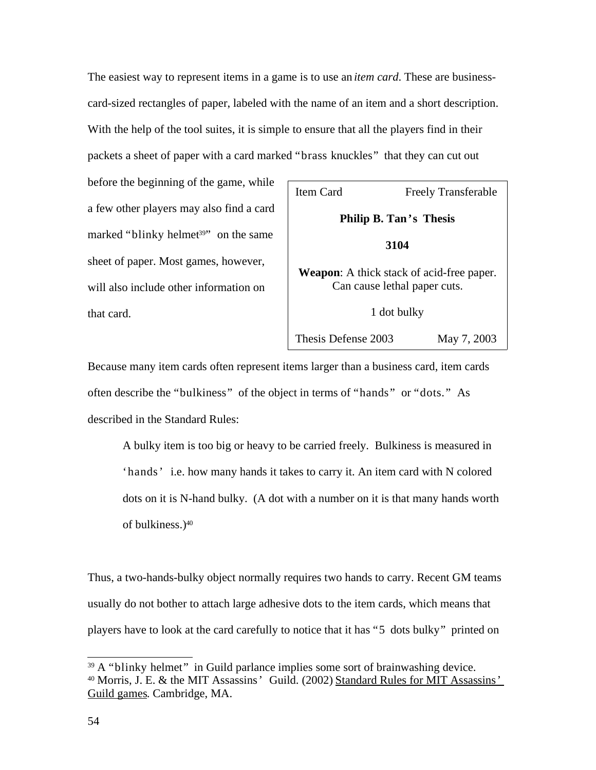The easiest way to represent items in a game is to use an *item card*. These are businesscard-sized rectangles of paper, labeled with the name of an item and a short description. With the help of the tool suites, it is simple to ensure that all the players find in their packets a sheet of paper with a card marked "brass knuckles" that they can cut out

before the beginning of the game, while a few other players may also find a card marked "blinky helmet<sup>39</sup>" on the same sheet of paper. Most games, however, will also include other information on that card.

| Item Card<br><b>Freely Transferable</b>                                          |  |             |
|----------------------------------------------------------------------------------|--|-------------|
| Philip B. Tan's Thesis                                                           |  |             |
| 3104                                                                             |  |             |
| <b>Weapon:</b> A thick stack of acid-free paper.<br>Can cause lethal paper cuts. |  |             |
| 1 dot bulky                                                                      |  |             |
| Thesis Defense 2003                                                              |  | May 7, 2003 |

Because many item cards often represent items larger than a business card, item cards often describe the "bulkiness" of the object in terms of "hands" or "dots." As described in the Standard Rules:

A bulky item is too big or heavy to be carried freely. Bulkiness is measured in 'hands' i.e. how many hands it takes to carry it. An item card with N colored dots on it is N-hand bulky. (A dot with a number on it is that many hands worth of bulkiness.)<sup>40</sup>

Thus, a two-hands-bulky object normally requires two hands to carry. Recent GM teams usually do not bother to attach large adhesive dots to the item cards, which means that players have to look at the card carefully to notice that it has "5 dots bulky" printed on

<sup>&</sup>lt;sup>39</sup> A "blinky helmet" in Guild parlance implies some sort of brainwashing device. <sup>40</sup> Morris, J. E. & the MIT Assassins' Guild. (2002) Standard Rules for MIT Assassins' Guild games. Cambridge, MA.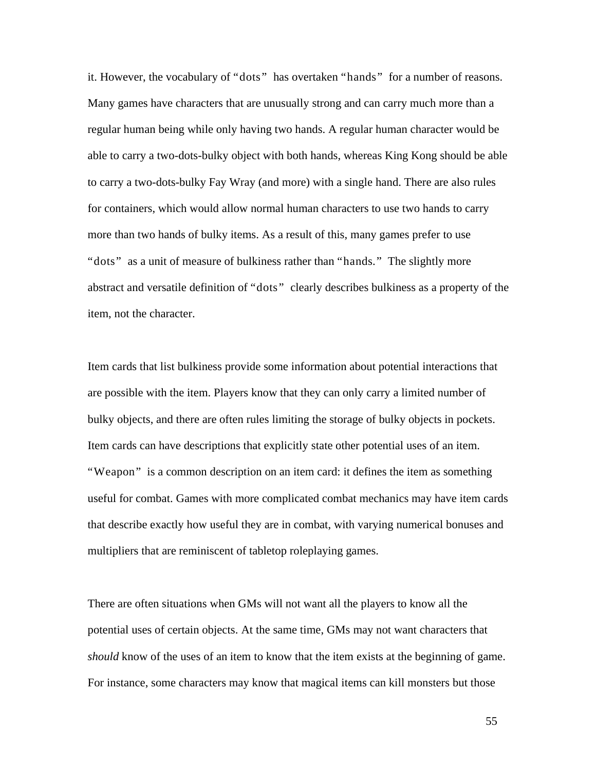it. However, the vocabulary of "dots" has overtaken "hands" for a number of reasons. Many games have characters that are unusually strong and can carry much more than a regular human being while only having two hands. A regular human character would be able to carry a two-dots-bulky object with both hands, whereas King Kong should be able to carry a two-dots-bulky Fay Wray (and more) with a single hand. There are also rules for containers, which would allow normal human characters to use two hands to carry more than two hands of bulky items. As a result of this, many games prefer to use "dots" as a unit of measure of bulkiness rather than "hands." The slightly more abstract and versatile definition of "dots" clearly describes bulkiness as a property of the item, not the character.

Item cards that list bulkiness provide some information about potential interactions that are possible with the item. Players know that they can only carry a limited number of bulky objects, and there are often rules limiting the storage of bulky objects in pockets. Item cards can have descriptions that explicitly state other potential uses of an item. "Weapon" is a common description on an item card: it defines the item as something useful for combat. Games with more complicated combat mechanics may have item cards that describe exactly how useful they are in combat, with varying numerical bonuses and multipliers that are reminiscent of tabletop roleplaying games.

There are often situations when GMs will not want all the players to know all the potential uses of certain objects. At the same time, GMs may not want characters that *should* know of the uses of an item to know that the item exists at the beginning of game. For instance, some characters may know that magical items can kill monsters but those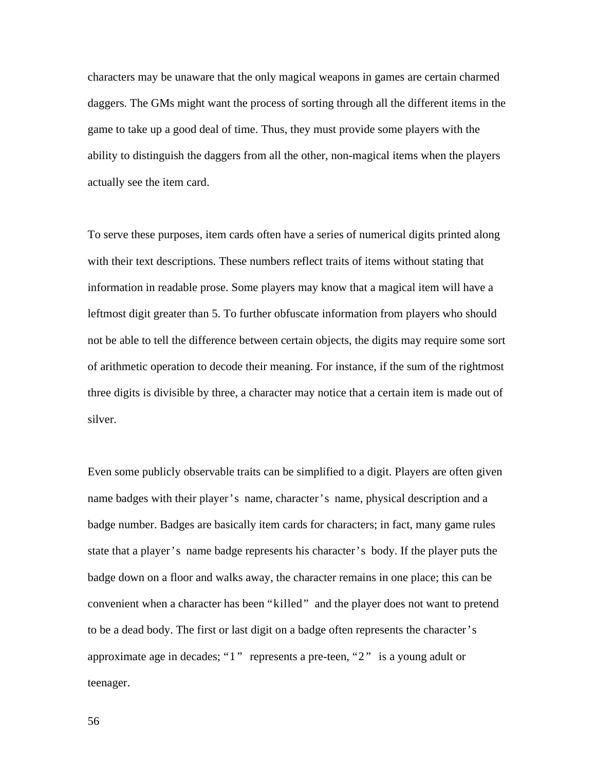characters may be unaware that the only magical weapons in games are certain charmed daggers. The GMs might want the process of sorting through all the different items in the game to take up a good deal of time. Thus, they must provide some players with the ability to distinguish the daggers from all the other, non-magical items when the players actually see the item card.

To serve these purposes, item cards often have a series of numerical digits printed along with their text descriptions. These numbers reflect traits of items without stating that information in readable prose. Some players may know that a magical item will have a leftmost digit greater than 5. To further obfuscate information from players who should not be able to tell the difference between certain objects, the digits may require some sort of arithmetic operation to decode their meaning. For instance, if the sum of the rightmost three digits is divisible by three, a character may notice that a certain item is made out of silver.

Even some publicly observable traits can be simplified to a digit. Players are often given name badges with their player's name, character's name, physical description and a badge number. Badges are basically item cards for characters; in fact, many game rules state that a player's name badge represents his character's body. If the player puts the badge down on a floor and walks away, the character remains in one place; this can be convenient when a character has been "killed" and the player does not want to pretend to be a dead body. The first or last digit on a badge often represents the character's approximate age in decades; "1" represents a pre-teen, "2" is a young adult or teenager.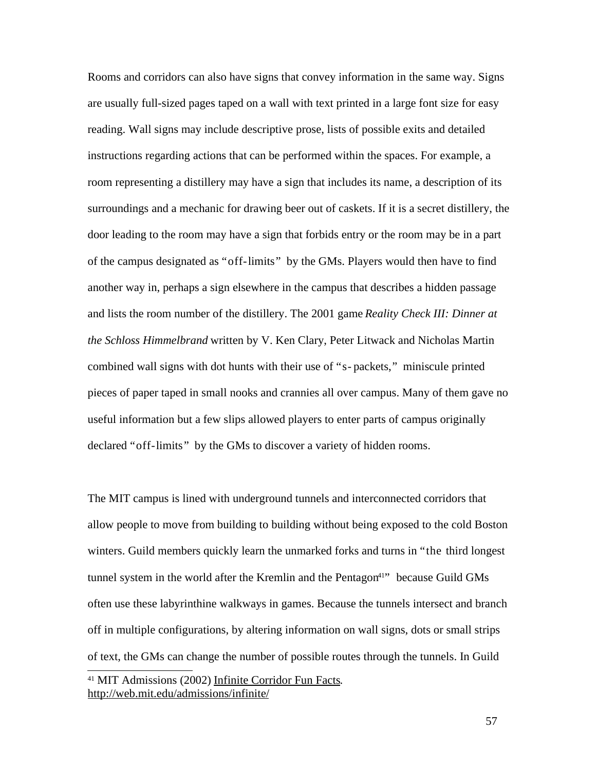Rooms and corridors can also have signs that convey information in the same way. Signs are usually full-sized pages taped on a wall with text printed in a large font size for easy reading. Wall signs may include descriptive prose, lists of possible exits and detailed instructions regarding actions that can be performed within the spaces. For example, a room representing a distillery may have a sign that includes its name, a description of its surroundings and a mechanic for drawing beer out of caskets. If it is a secret distillery, the door leading to the room may have a sign that forbids entry or the room may be in a part of the campus designated as "off-limits" by the GMs. Players would then have to find another way in, perhaps a sign elsewhere in the campus that describes a hidden passage and lists the room number of the distillery. The 2001 game *Reality Check III: Dinner at the Schloss Himmelbrand* written by V. Ken Clary, Peter Litwack and Nicholas Martin combined wall signs with dot hunts with their use of "s- packets," miniscule printed pieces of paper taped in small nooks and crannies all over campus. Many of them gave no useful information but a few slips allowed players to enter parts of campus originally declared "off-limits" by the GMs to discover a variety of hidden rooms.

The MIT campus is lined with underground tunnels and interconnected corridors that allow people to move from building to building without being exposed to the cold Boston winters. Guild members quickly learn the unmarked forks and turns in "the third longest tunnel system in the world after the Kremlin and the Pentagon<sup>41"</sup> because Guild GMs often use these labyrinthine walkways in games. Because the tunnels intersect and branch off in multiple configurations, by altering information on wall signs, dots or small strips of text, the GMs can change the number of possible routes through the tunnels. In Guild <sup>41</sup> MIT Admissions (2002) Infinite Corridor Fun Facts.

http://web.mit.edu/admissions/infinite/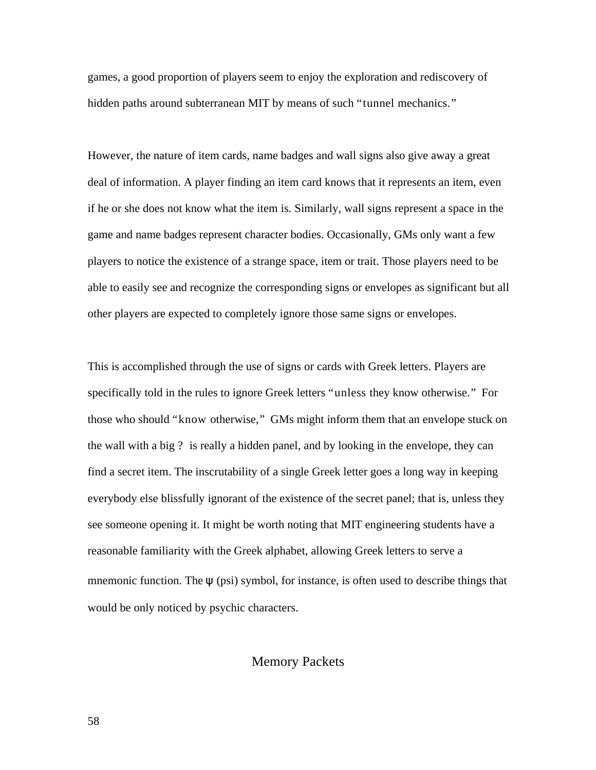games, a good proportion of players seem to enjoy the exploration and rediscovery of hidden paths around subterranean MIT by means of such "tunnel mechanics."

However, the nature of item cards, name badges and wall signs also give away a great deal of information. A player finding an item card knows that it represents an item, even if he or she does not know what the item is. Similarly, wall signs represent a space in the game and name badges represent character bodies. Occasionally, GMs only want a few players to notice the existence of a strange space, item or trait. Those players need to be able to easily see and recognize the corresponding signs or envelopes as significant but all other players are expected to completely ignore those same signs or envelopes.

This is accomplished through the use of signs or cards with Greek letters. Players are specifically told in the rules to ignore Greek letters "unless they know otherwise." For those who should "know otherwise," GMs might inform them that an envelope stuck on the wall with a big ? is really a hidden panel, and by looking in the envelope, they can find a secret item. The inscrutability of a single Greek letter goes a long way in keeping everybody else blissfully ignorant of the existence of the secret panel; that is, unless they see someone opening it. It might be worth noting that MIT engineering students have a reasonable familiarity with the Greek alphabet, allowing Greek letters to serve a mnemonic function. The  $\psi$  (psi) symbol, for instance, is often used to describe things that would be only noticed by psychic characters.

### Memory Packets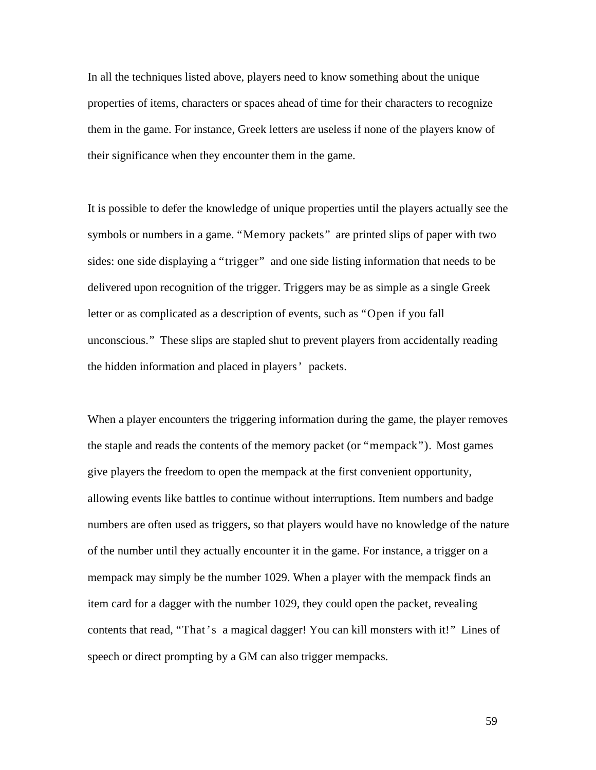In all the techniques listed above, players need to know something about the unique properties of items, characters or spaces ahead of time for their characters to recognize them in the game. For instance, Greek letters are useless if none of the players know of their significance when they encounter them in the game.

It is possible to defer the knowledge of unique properties until the players actually see the symbols or numbers in a game. "Memory packets" are printed slips of paper with two sides: one side displaying a "trigger" and one side listing information that needs to be delivered upon recognition of the trigger. Triggers may be as simple as a single Greek letter or as complicated as a description of events, such as "Open if you fall unconscious." These slips are stapled shut to prevent players from accidentally reading the hidden information and placed in players' packets.

When a player encounters the triggering information during the game, the player removes the staple and reads the contents of the memory packet (or "mempack"). Most games give players the freedom to open the mempack at the first convenient opportunity, allowing events like battles to continue without interruptions. Item numbers and badge numbers are often used as triggers, so that players would have no knowledge of the nature of the number until they actually encounter it in the game. For instance, a trigger on a mempack may simply be the number 1029. When a player with the mempack finds an item card for a dagger with the number 1029, they could open the packet, revealing contents that read, "That's a magical dagger! You can kill monsters with it!" Lines of speech or direct prompting by a GM can also trigger mempacks.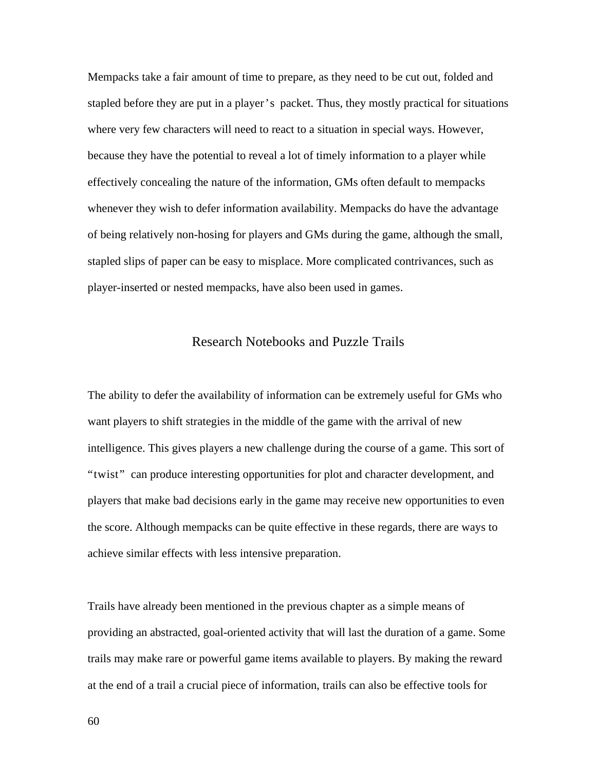Mempacks take a fair amount of time to prepare, as they need to be cut out, folded and stapled before they are put in a player's packet. Thus, they mostly practical for situations where very few characters will need to react to a situation in special ways. However, because they have the potential to reveal a lot of timely information to a player while effectively concealing the nature of the information, GMs often default to mempacks whenever they wish to defer information availability. Mempacks do have the advantage of being relatively non-hosing for players and GMs during the game, although the small, stapled slips of paper can be easy to misplace. More complicated contrivances, such as player-inserted or nested mempacks, have also been used in games.

# Research Notebooks and Puzzle Trails

The ability to defer the availability of information can be extremely useful for GMs who want players to shift strategies in the middle of the game with the arrival of new intelligence. This gives players a new challenge during the course of a game. This sort of "twist" can produce interesting opportunities for plot and character development, and players that make bad decisions early in the game may receive new opportunities to even the score. Although mempacks can be quite effective in these regards, there are ways to achieve similar effects with less intensive preparation.

Trails have already been mentioned in the previous chapter as a simple means of providing an abstracted, goal-oriented activity that will last the duration of a game. Some trails may make rare or powerful game items available to players. By making the reward at the end of a trail a crucial piece of information, trails can also be effective tools for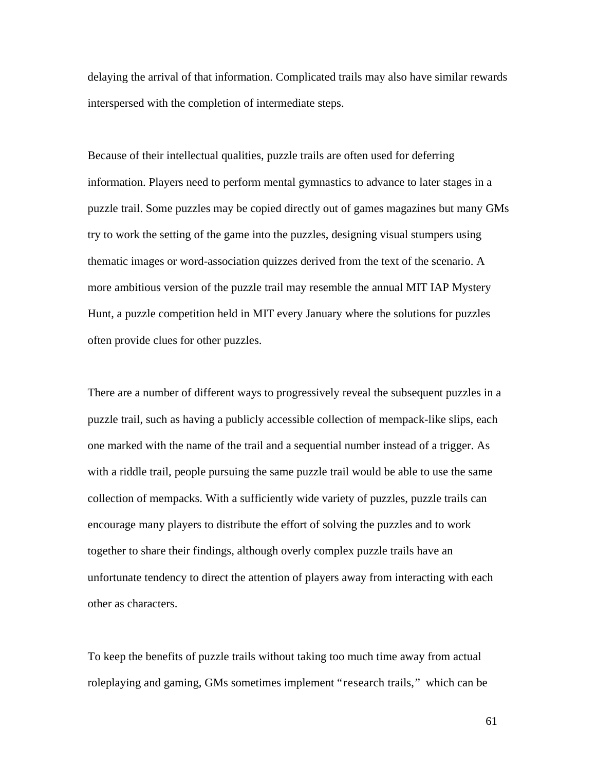delaying the arrival of that information. Complicated trails may also have similar rewards interspersed with the completion of intermediate steps.

Because of their intellectual qualities, puzzle trails are often used for deferring information. Players need to perform mental gymnastics to advance to later stages in a puzzle trail. Some puzzles may be copied directly out of games magazines but many GMs try to work the setting of the game into the puzzles, designing visual stumpers using thematic images or word-association quizzes derived from the text of the scenario. A more ambitious version of the puzzle trail may resemble the annual MIT IAP Mystery Hunt, a puzzle competition held in MIT every January where the solutions for puzzles often provide clues for other puzzles.

There are a number of different ways to progressively reveal the subsequent puzzles in a puzzle trail, such as having a publicly accessible collection of mempack-like slips, each one marked with the name of the trail and a sequential number instead of a trigger. As with a riddle trail, people pursuing the same puzzle trail would be able to use the same collection of mempacks. With a sufficiently wide variety of puzzles, puzzle trails can encourage many players to distribute the effort of solving the puzzles and to work together to share their findings, although overly complex puzzle trails have an unfortunate tendency to direct the attention of players away from interacting with each other as characters.

To keep the benefits of puzzle trails without taking too much time away from actual roleplaying and gaming, GMs sometimes implement "research trails," which can be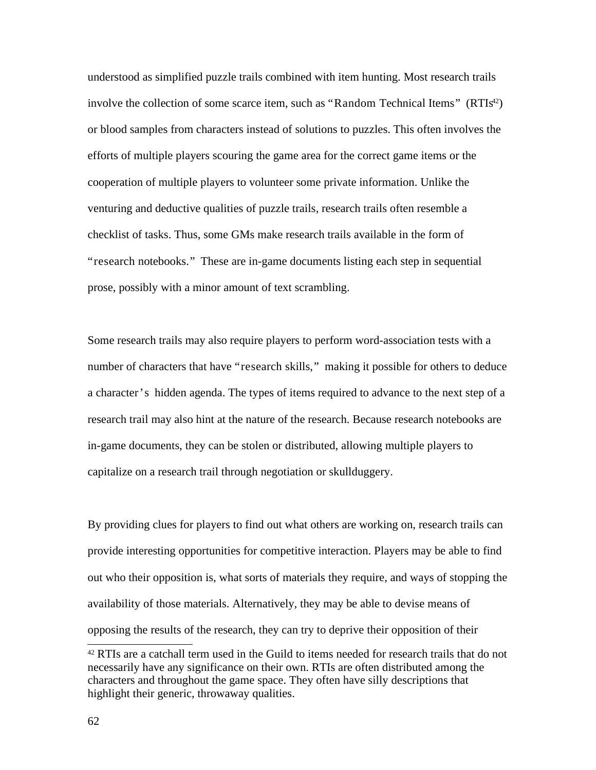understood as simplified puzzle trails combined with item hunting. Most research trails involve the collection of some scarce item, such as "Random Technical Items" (RTIs<sup>42</sup>) or blood samples from characters instead of solutions to puzzles. This often involves the efforts of multiple players scouring the game area for the correct game items or the cooperation of multiple players to volunteer some private information. Unlike the venturing and deductive qualities of puzzle trails, research trails often resemble a checklist of tasks. Thus, some GMs make research trails available in the form of "research notebooks." These are in-game documents listing each step in sequential prose, possibly with a minor amount of text scrambling.

Some research trails may also require players to perform word-association tests with a number of characters that have "research skills," making it possible for others to deduce a character's hidden agenda. The types of items required to advance to the next step of a research trail may also hint at the nature of the research. Because research notebooks are in-game documents, they can be stolen or distributed, allowing multiple players to capitalize on a research trail through negotiation or skullduggery.

By providing clues for players to find out what others are working on, research trails can provide interesting opportunities for competitive interaction. Players may be able to find out who their opposition is, what sorts of materials they require, and ways of stopping the availability of those materials. Alternatively, they may be able to devise means of opposing the results of the research, they can try to deprive their opposition of their

 $42$  RTIs are a catchall term used in the Guild to items needed for research trails that do not necessarily have any significance on their own. RTIs are often distributed among the characters and throughout the game space. They often have silly descriptions that highlight their generic, throwaway qualities.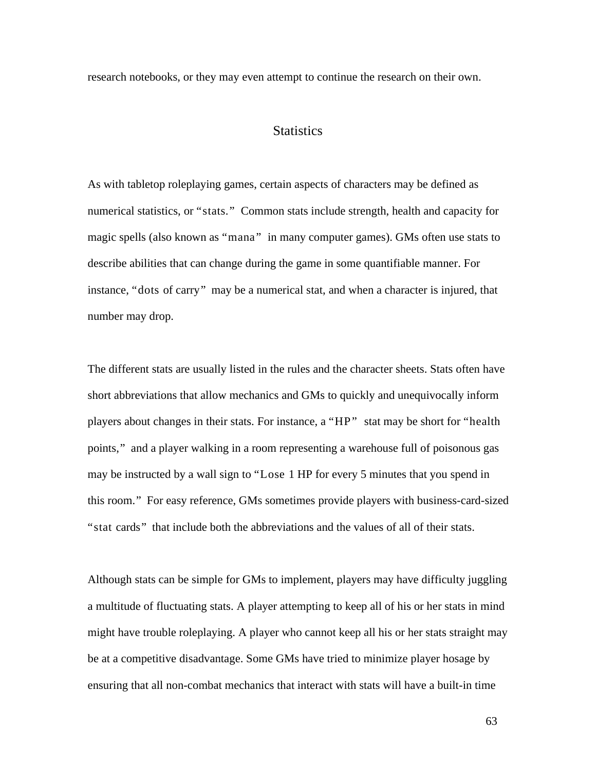research notebooks, or they may even attempt to continue the research on their own.

## **Statistics**

As with tabletop roleplaying games, certain aspects of characters may be defined as numerical statistics, or "stats." Common stats include strength, health and capacity for magic spells (also known as "mana" in many computer games). GMs often use stats to describe abilities that can change during the game in some quantifiable manner. For instance, "dots of carry" may be a numerical stat, and when a character is injured, that number may drop.

The different stats are usually listed in the rules and the character sheets. Stats often have short abbreviations that allow mechanics and GMs to quickly and unequivocally inform players about changes in their stats. For instance, a "HP" stat may be short for "health points," and a player walking in a room representing a warehouse full of poisonous gas may be instructed by a wall sign to "Lose 1 HP for every 5 minutes that you spend in this room." For easy reference, GMs sometimes provide players with business-card-sized "stat cards" that include both the abbreviations and the values of all of their stats.

Although stats can be simple for GMs to implement, players may have difficulty juggling a multitude of fluctuating stats. A player attempting to keep all of his or her stats in mind might have trouble roleplaying. A player who cannot keep all his or her stats straight may be at a competitive disadvantage. Some GMs have tried to minimize player hosage by ensuring that all non-combat mechanics that interact with stats will have a built-in time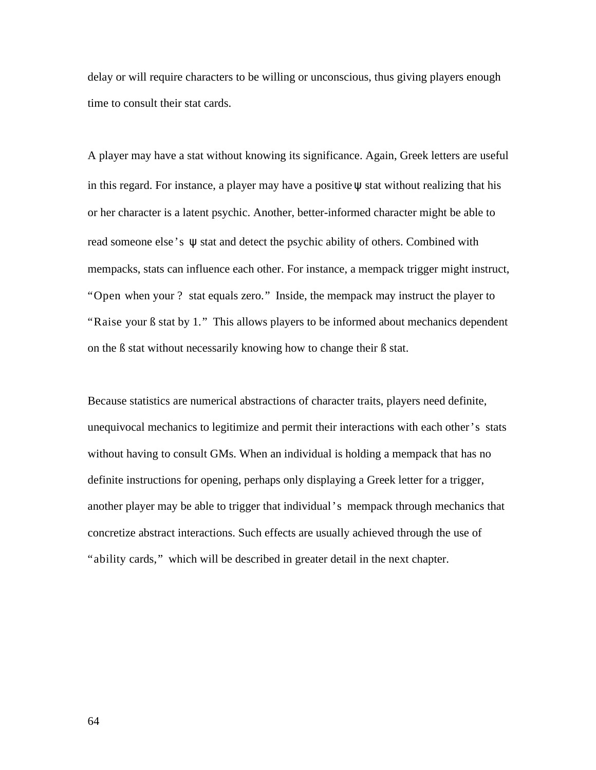delay or will require characters to be willing or unconscious, thus giving players enough time to consult their stat cards.

A player may have a stat without knowing its significance. Again, Greek letters are useful in this regard. For instance, a player may have a positive  $\psi$  stat without realizing that his or her character is a latent psychic. Another, better-informed character might be able to read someone else's ψ stat and detect the psychic ability of others. Combined with mempacks, stats can influence each other. For instance, a mempack trigger might instruct, "Open when your ? stat equals zero." Inside, the mempack may instruct the player to "Raise your ß stat by 1." This allows players to be informed about mechanics dependent on the ß stat without necessarily knowing how to change their ß stat.

Because statistics are numerical abstractions of character traits, players need definite, unequivocal mechanics to legitimize and permit their interactions with each other's stats without having to consult GMs. When an individual is holding a mempack that has no definite instructions for opening, perhaps only displaying a Greek letter for a trigger, another player may be able to trigger that individual's mempack through mechanics that concretize abstract interactions. Such effects are usually achieved through the use of "ability cards," which will be described in greater detail in the next chapter.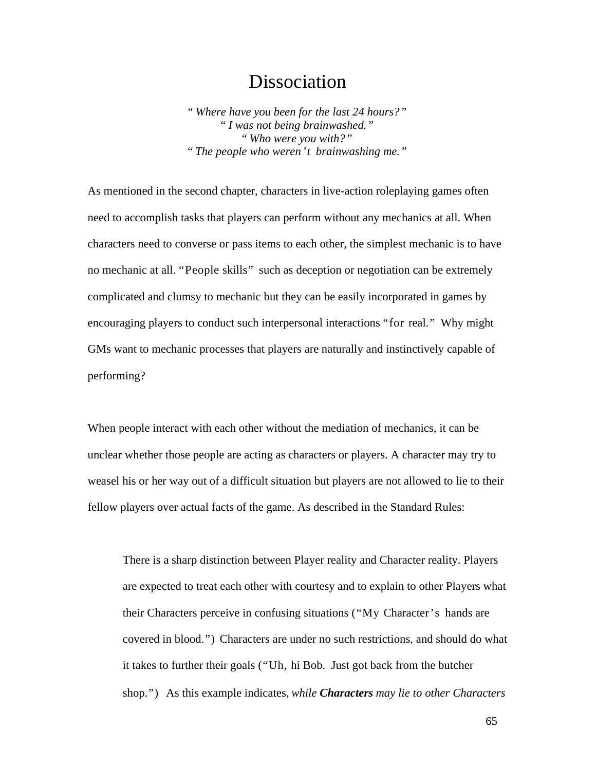# Dissociation

*" Where have you been for the last 24 hours?" " I was not being brainwashed." " Who were you with?" " The people who weren't brainwashing me."*

As mentioned in the second chapter, characters in live-action roleplaying games often need to accomplish tasks that players can perform without any mechanics at all. When characters need to converse or pass items to each other, the simplest mechanic is to have no mechanic at all. "People skills" such as deception or negotiation can be extremely complicated and clumsy to mechanic but they can be easily incorporated in games by encouraging players to conduct such interpersonal interactions "for real." Why might GMs want to mechanic processes that players are naturally and instinctively capable of performing?

When people interact with each other without the mediation of mechanics, it can be unclear whether those people are acting as characters or players. A character may try to weasel his or her way out of a difficult situation but players are not allowed to lie to their fellow players over actual facts of the game. As described in the Standard Rules:

There is a sharp distinction between Player reality and Character reality. Players are expected to treat each other with courtesy and to explain to other Players what their Characters perceive in confusing situations ("My Character's hands are covered in blood.") Characters are under no such restrictions, and should do what it takes to further their goals ("Uh, hi Bob. Just got back from the butcher shop.") As this example indicates, *while Characters may lie to other Characters*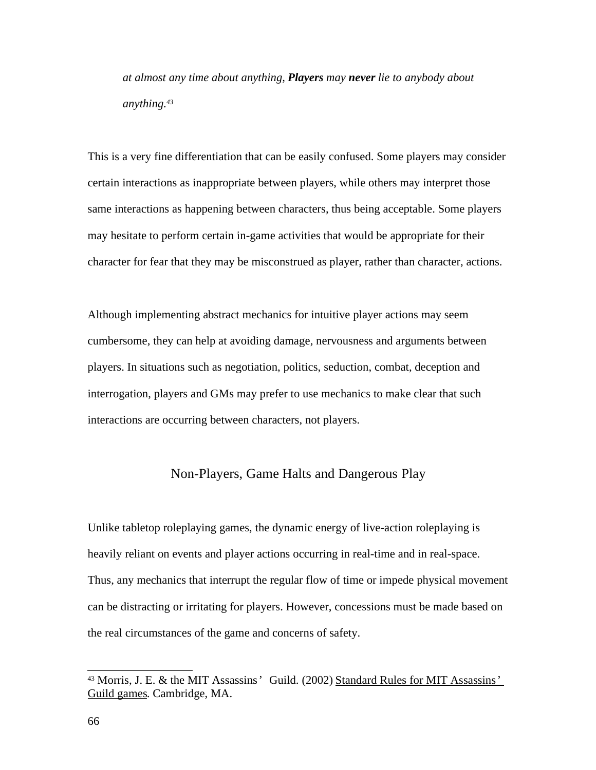*at almost any time about anything, Players may never lie to anybody about anything.<sup>43</sup>*

This is a very fine differentiation that can be easily confused. Some players may consider certain interactions as inappropriate between players, while others may interpret those same interactions as happening between characters, thus being acceptable. Some players may hesitate to perform certain in-game activities that would be appropriate for their character for fear that they may be misconstrued as player, rather than character, actions.

Although implementing abstract mechanics for intuitive player actions may seem cumbersome, they can help at avoiding damage, nervousness and arguments between players. In situations such as negotiation, politics, seduction, combat, deception and interrogation, players and GMs may prefer to use mechanics to make clear that such interactions are occurring between characters, not players.

## Non-Players, Game Halts and Dangerous Play

Unlike tabletop roleplaying games, the dynamic energy of live-action roleplaying is heavily reliant on events and player actions occurring in real-time and in real-space. Thus, any mechanics that interrupt the regular flow of time or impede physical movement can be distracting or irritating for players. However, concessions must be made based on the real circumstances of the game and concerns of safety.

<sup>&</sup>lt;sup>43</sup> Morris, J. E. & the MIT Assassins' Guild. (2002) Standard Rules for MIT Assassins' Guild games. Cambridge, MA.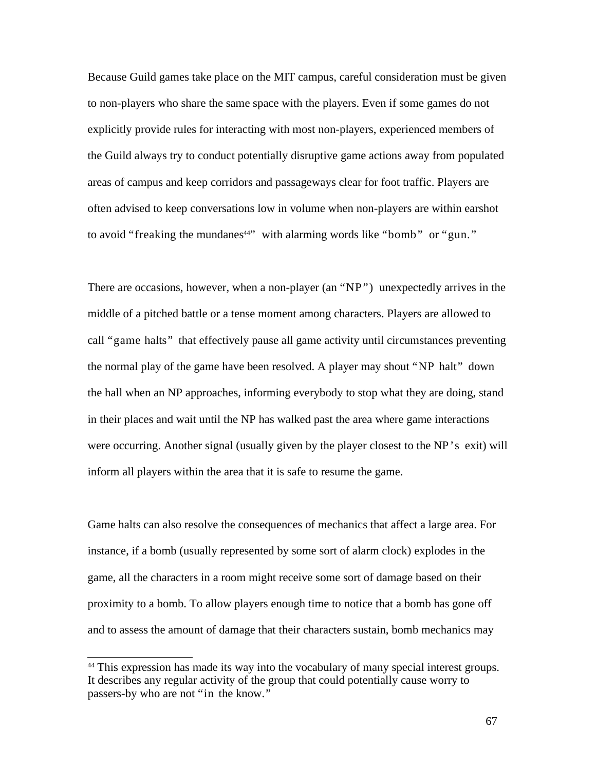Because Guild games take place on the MIT campus, careful consideration must be given to non-players who share the same space with the players. Even if some games do not explicitly provide rules for interacting with most non-players, experienced members of the Guild always try to conduct potentially disruptive game actions away from populated areas of campus and keep corridors and passageways clear for foot traffic. Players are often advised to keep conversations low in volume when non-players are within earshot to avoid "freaking the mundanes<sup>44</sup>" with alarming words like "bomb" or "gun."

There are occasions, however, when a non-player (an "NP") unexpectedly arrives in the middle of a pitched battle or a tense moment among characters. Players are allowed to call "game halts" that effectively pause all game activity until circumstances preventing the normal play of the game have been resolved. A player may shout "NP halt" down the hall when an NP approaches, informing everybody to stop what they are doing, stand in their places and wait until the NP has walked past the area where game interactions were occurring. Another signal (usually given by the player closest to the NP's exit) will inform all players within the area that it is safe to resume the game.

Game halts can also resolve the consequences of mechanics that affect a large area. For instance, if a bomb (usually represented by some sort of alarm clock) explodes in the game, all the characters in a room might receive some sort of damage based on their proximity to a bomb. To allow players enough time to notice that a bomb has gone off and to assess the amount of damage that their characters sustain, bomb mechanics may

<sup>&</sup>lt;sup>44</sup> This expression has made its way into the vocabulary of many special interest groups. It describes any regular activity of the group that could potentially cause worry to passers-by who are not "in the know."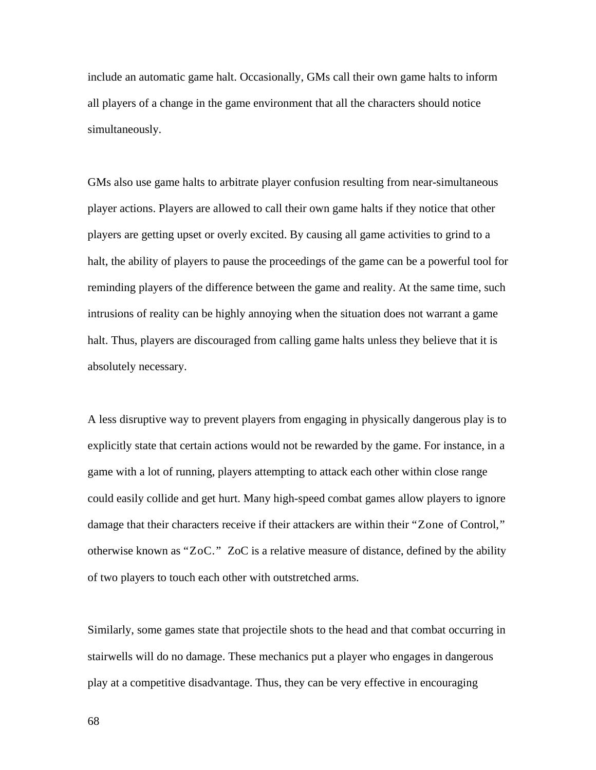include an automatic game halt. Occasionally, GMs call their own game halts to inform all players of a change in the game environment that all the characters should notice simultaneously.

GMs also use game halts to arbitrate player confusion resulting from near-simultaneous player actions. Players are allowed to call their own game halts if they notice that other players are getting upset or overly excited. By causing all game activities to grind to a halt, the ability of players to pause the proceedings of the game can be a powerful tool for reminding players of the difference between the game and reality. At the same time, such intrusions of reality can be highly annoying when the situation does not warrant a game halt. Thus, players are discouraged from calling game halts unless they believe that it is absolutely necessary.

A less disruptive way to prevent players from engaging in physically dangerous play is to explicitly state that certain actions would not be rewarded by the game. For instance, in a game with a lot of running, players attempting to attack each other within close range could easily collide and get hurt. Many high-speed combat games allow players to ignore damage that their characters receive if their attackers are within their "Zone of Control," otherwise known as "ZoC." ZoC is a relative measure of distance, defined by the ability of two players to touch each other with outstretched arms.

Similarly, some games state that projectile shots to the head and that combat occurring in stairwells will do no damage. These mechanics put a player who engages in dangerous play at a competitive disadvantage. Thus, they can be very effective in encouraging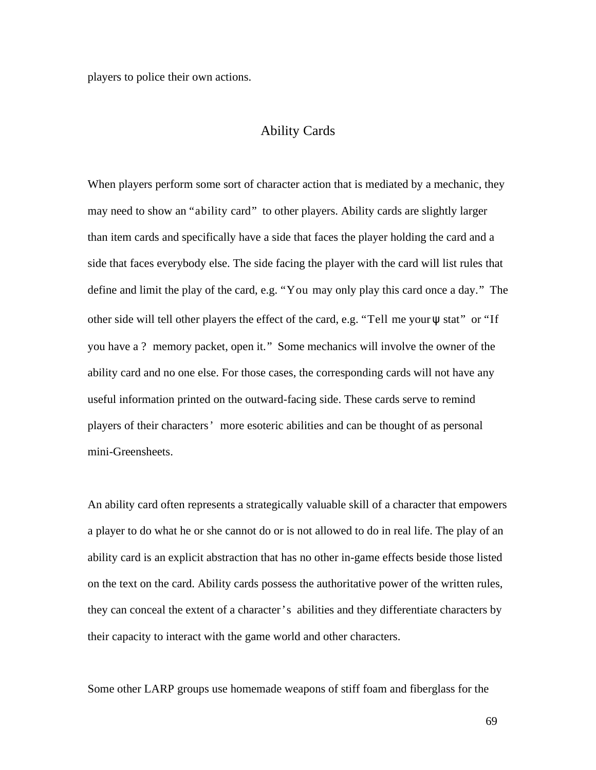players to police their own actions.

#### Ability Cards

When players perform some sort of character action that is mediated by a mechanic, they may need to show an "ability card" to other players. Ability cards are slightly larger than item cards and specifically have a side that faces the player holding the card and a side that faces everybody else. The side facing the player with the card will list rules that define and limit the play of the card, e.g. "You may only play this card once a day." The other side will tell other players the effect of the card, e.g. "Tell me your  $\psi$  stat" or "If you have a ? memory packet, open it." Some mechanics will involve the owner of the ability card and no one else. For those cases, the corresponding cards will not have any useful information printed on the outward-facing side. These cards serve to remind players of their characters' more esoteric abilities and can be thought of as personal mini-Greensheets.

An ability card often represents a strategically valuable skill of a character that empowers a player to do what he or she cannot do or is not allowed to do in real life. The play of an ability card is an explicit abstraction that has no other in-game effects beside those listed on the text on the card. Ability cards possess the authoritative power of the written rules, they can conceal the extent of a character's abilities and they differentiate characters by their capacity to interact with the game world and other characters.

Some other LARP groups use homemade weapons of stiff foam and fiberglass for the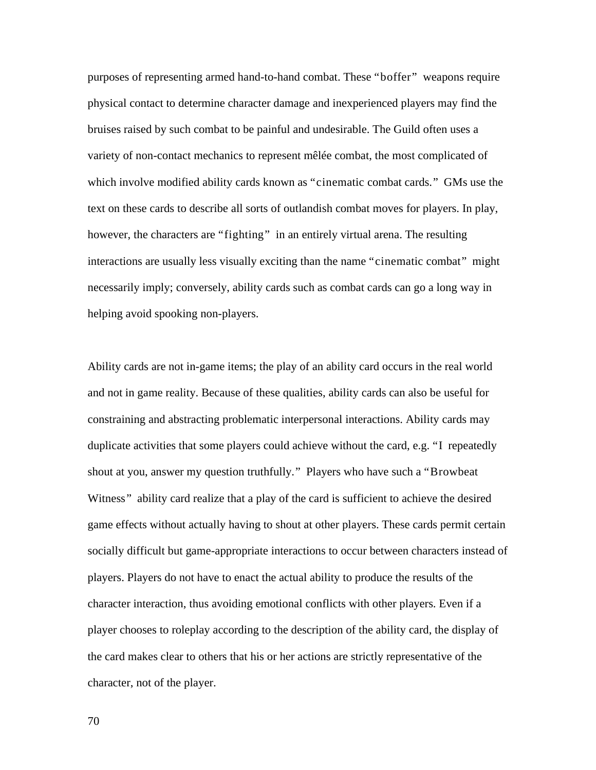purposes of representing armed hand-to-hand combat. These "boffer" weapons require physical contact to determine character damage and inexperienced players may find the bruises raised by such combat to be painful and undesirable. The Guild often uses a variety of non-contact mechanics to represent mêlée combat, the most complicated of which involve modified ability cards known as "cinematic combat cards." GMs use the text on these cards to describe all sorts of outlandish combat moves for players. In play, however, the characters are "fighting" in an entirely virtual arena. The resulting interactions are usually less visually exciting than the name "cinematic combat" might necessarily imply; conversely, ability cards such as combat cards can go a long way in helping avoid spooking non-players.

Ability cards are not in-game items; the play of an ability card occurs in the real world and not in game reality. Because of these qualities, ability cards can also be useful for constraining and abstracting problematic interpersonal interactions. Ability cards may duplicate activities that some players could achieve without the card, e.g. "I repeatedly shout at you, answer my question truthfully." Players who have such a "Browbeat Witness" ability card realize that a play of the card is sufficient to achieve the desired game effects without actually having to shout at other players. These cards permit certain socially difficult but game-appropriate interactions to occur between characters instead of players. Players do not have to enact the actual ability to produce the results of the character interaction, thus avoiding emotional conflicts with other players. Even if a player chooses to roleplay according to the description of the ability card, the display of the card makes clear to others that his or her actions are strictly representative of the character, not of the player.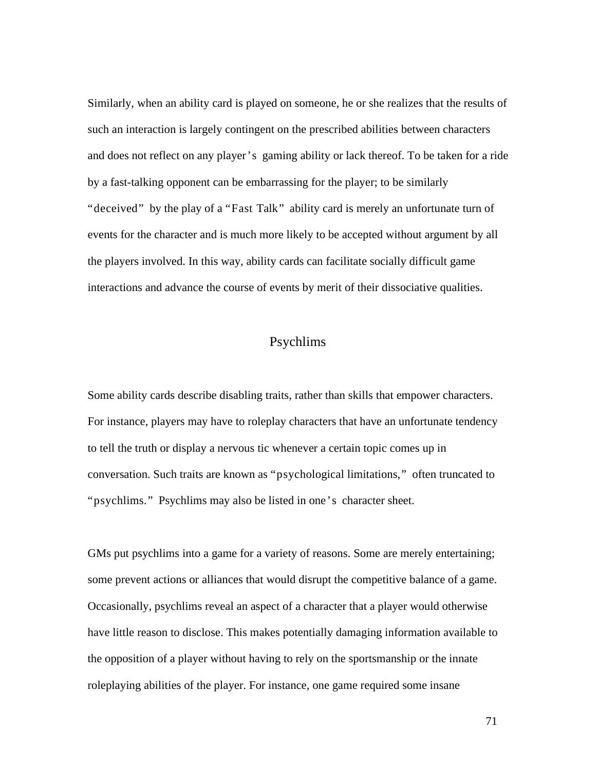Similarly, when an ability card is played on someone, he or she realizes that the results of such an interaction is largely contingent on the prescribed abilities between characters and does not reflect on any player's gaming ability or lack thereof. To be taken for a ride by a fast-talking opponent can be embarrassing for the player; to be similarly "deceived" by the play of a "Fast Talk" ability card is merely an unfortunate turn of events for the character and is much more likely to be accepted without argument by all the players involved. In this way, ability cards can facilitate socially difficult game interactions and advance the course of events by merit of their dissociative qualities.

# Psychlims

Some ability cards describe disabling traits, rather than skills that empower characters. For instance, players may have to roleplay characters that have an unfortunate tendency to tell the truth or display a nervous tic whenever a certain topic comes up in conversation. Such traits are known as "psychological limitations," often truncated to "psychlims." Psychlims may also be listed in one's character sheet.

GMs put psychlims into a game for a variety of reasons. Some are merely entertaining; some prevent actions or alliances that would disrupt the competitive balance of a game. Occasionally, psychlims reveal an aspect of a character that a player would otherwise have little reason to disclose. This makes potentially damaging information available to the opposition of a player without having to rely on the sportsmanship or the innate roleplaying abilities of the player. For instance, one game required some insane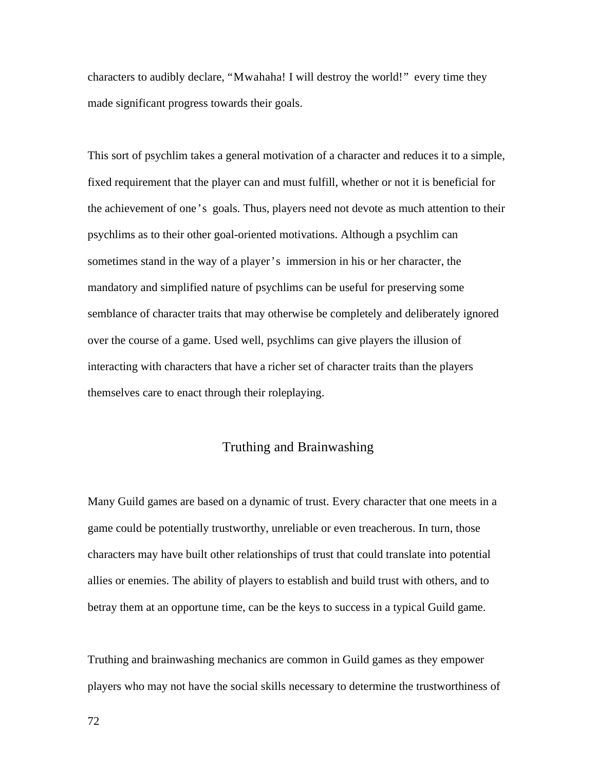characters to audibly declare, "Mwahaha! I will destroy the world!" every time they made significant progress towards their goals.

This sort of psychlim takes a general motivation of a character and reduces it to a simple, fixed requirement that the player can and must fulfill, whether or not it is beneficial for the achievement of one's goals. Thus, players need not devote as much attention to their psychlims as to their other goal-oriented motivations. Although a psychlim can sometimes stand in the way of a player's immersion in his or her character, the mandatory and simplified nature of psychlims can be useful for preserving some semblance of character traits that may otherwise be completely and deliberately ignored over the course of a game. Used well, psychlims can give players the illusion of interacting with characters that have a richer set of character traits than the players themselves care to enact through their roleplaying.

## Truthing and Brainwashing

Many Guild games are based on a dynamic of trust. Every character that one meets in a game could be potentially trustworthy, unreliable or even treacherous. In turn, those characters may have built other relationships of trust that could translate into potential allies or enemies. The ability of players to establish and build trust with others, and to betray them at an opportune time, can be the keys to success in a typical Guild game.

Truthing and brainwashing mechanics are common in Guild games as they empower players who may not have the social skills necessary to determine the trustworthiness of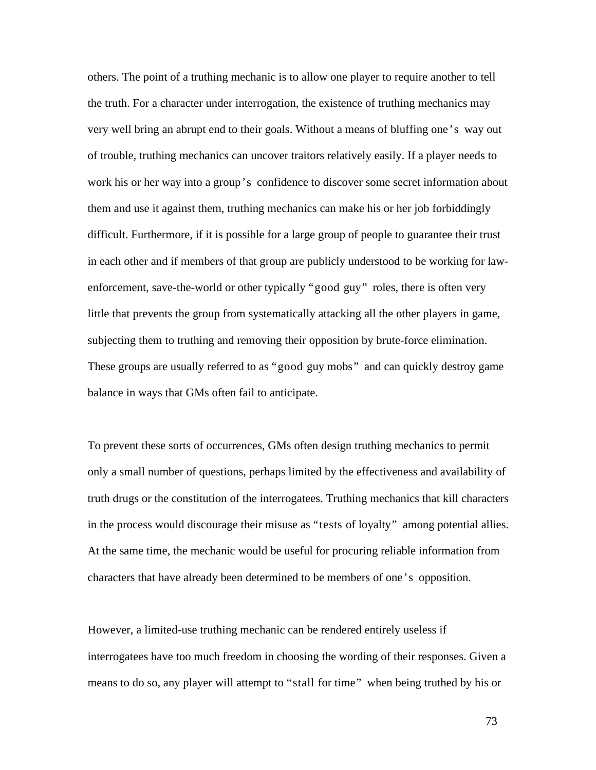others. The point of a truthing mechanic is to allow one player to require another to tell the truth. For a character under interrogation, the existence of truthing mechanics may very well bring an abrupt end to their goals. Without a means of bluffing one's way out of trouble, truthing mechanics can uncover traitors relatively easily. If a player needs to work his or her way into a group's confidence to discover some secret information about them and use it against them, truthing mechanics can make his or her job forbiddingly difficult. Furthermore, if it is possible for a large group of people to guarantee their trust in each other and if members of that group are publicly understood to be working for lawenforcement, save-the-world or other typically "good guy" roles, there is often very little that prevents the group from systematically attacking all the other players in game, subjecting them to truthing and removing their opposition by brute-force elimination. These groups are usually referred to as "good guy mobs" and can quickly destroy game balance in ways that GMs often fail to anticipate.

To prevent these sorts of occurrences, GMs often design truthing mechanics to permit only a small number of questions, perhaps limited by the effectiveness and availability of truth drugs or the constitution of the interrogatees. Truthing mechanics that kill characters in the process would discourage their misuse as "tests of loyalty" among potential allies. At the same time, the mechanic would be useful for procuring reliable information from characters that have already been determined to be members of one's opposition.

However, a limited-use truthing mechanic can be rendered entirely useless if interrogatees have too much freedom in choosing the wording of their responses. Given a means to do so, any player will attempt to "stall for time" when being truthed by his or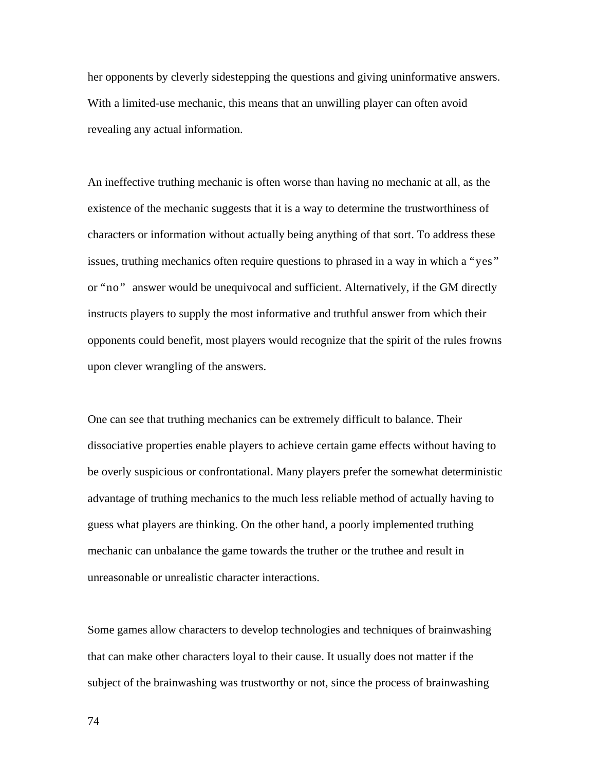her opponents by cleverly sidestepping the questions and giving uninformative answers. With a limited-use mechanic, this means that an unwilling player can often avoid revealing any actual information.

An ineffective truthing mechanic is often worse than having no mechanic at all, as the existence of the mechanic suggests that it is a way to determine the trustworthiness of characters or information without actually being anything of that sort. To address these issues, truthing mechanics often require questions to phrased in a way in which a "yes" or "no" answer would be unequivocal and sufficient. Alternatively, if the GM directly instructs players to supply the most informative and truthful answer from which their opponents could benefit, most players would recognize that the spirit of the rules frowns upon clever wrangling of the answers.

One can see that truthing mechanics can be extremely difficult to balance. Their dissociative properties enable players to achieve certain game effects without having to be overly suspicious or confrontational. Many players prefer the somewhat deterministic advantage of truthing mechanics to the much less reliable method of actually having to guess what players are thinking. On the other hand, a poorly implemented truthing mechanic can unbalance the game towards the truther or the truthee and result in unreasonable or unrealistic character interactions.

Some games allow characters to develop technologies and techniques of brainwashing that can make other characters loyal to their cause. It usually does not matter if the subject of the brainwashing was trustworthy or not, since the process of brainwashing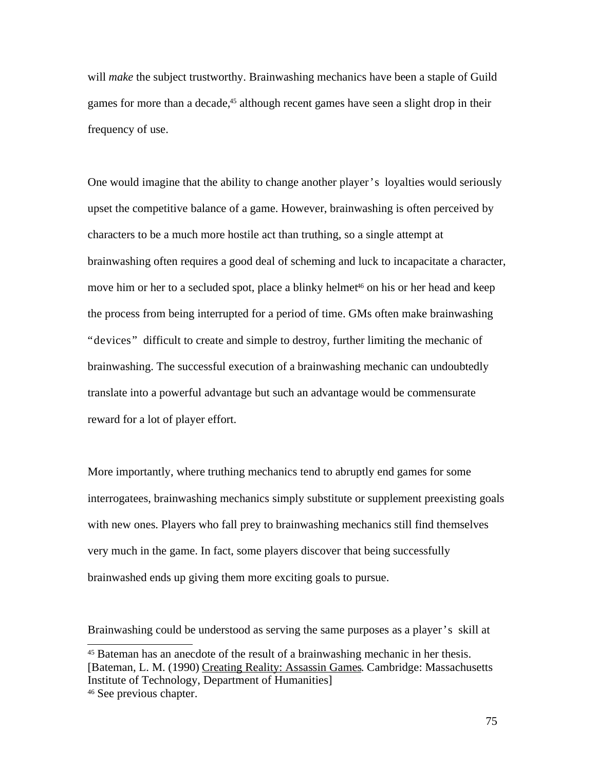will *make* the subject trustworthy. Brainwashing mechanics have been a staple of Guild games for more than a decade, <sup>45</sup> although recent games have seen a slight drop in their frequency of use.

One would imagine that the ability to change another player's loyalties would seriously upset the competitive balance of a game. However, brainwashing is often perceived by characters to be a much more hostile act than truthing, so a single attempt at brainwashing often requires a good deal of scheming and luck to incapacitate a character, move him or her to a secluded spot, place a blinky helmet <sup>46</sup> on his or her head and keep the process from being interrupted for a period of time. GMs often make brainwashing "devices" difficult to create and simple to destroy, further limiting the mechanic of brainwashing. The successful execution of a brainwashing mechanic can undoubtedly translate into a powerful advantage but such an advantage would be commensurate reward for a lot of player effort.

More importantly, where truthing mechanics tend to abruptly end games for some interrogatees, brainwashing mechanics simply substitute or supplement preexisting goals with new ones. Players who fall prey to brainwashing mechanics still find themselves very much in the game. In fact, some players discover that being successfully brainwashed ends up giving them more exciting goals to pursue.

Brainwashing could be understood as serving the same purposes as a player's skill at

<sup>&</sup>lt;sup>45</sup> Bateman has an anecdote of the result of a brainwashing mechanic in her thesis. [Bateman, L. M. (1990) Creating Reality: Assassin Games. Cambridge: Massachusetts Institute of Technology, Department of Humanities]

<sup>46</sup> See previous chapter.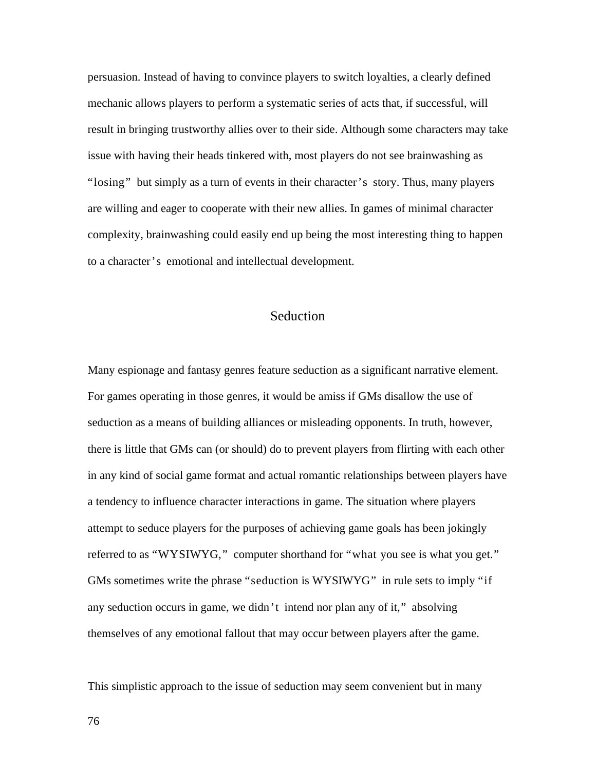persuasion. Instead of having to convince players to switch loyalties, a clearly defined mechanic allows players to perform a systematic series of acts that, if successful, will result in bringing trustworthy allies over to their side. Although some characters may take issue with having their heads tinkered with, most players do not see brainwashing as "losing" but simply as a turn of events in their character's story. Thus, many players are willing and eager to cooperate with their new allies. In games of minimal character complexity, brainwashing could easily end up being the most interesting thing to happen to a character's emotional and intellectual development.

# Seduction

Many espionage and fantasy genres feature seduction as a significant narrative element. For games operating in those genres, it would be amiss if GMs disallow the use of seduction as a means of building alliances or misleading opponents. In truth, however, there is little that GMs can (or should) do to prevent players from flirting with each other in any kind of social game format and actual romantic relationships between players have a tendency to influence character interactions in game. The situation where players attempt to seduce players for the purposes of achieving game goals has been jokingly referred to as "WYSIWYG," computer shorthand for "what you see is what you get." GMs sometimes write the phrase "seduction is WYSIWYG" in rule sets to imply "if any seduction occurs in game, we didn't intend nor plan any of it," absolving themselves of any emotional fallout that may occur between players after the game.

This simplistic approach to the issue of seduction may seem convenient but in many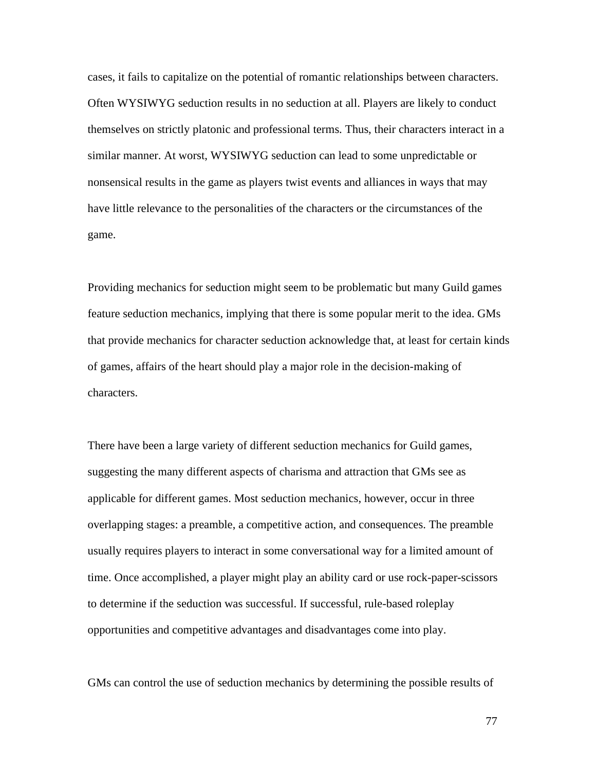cases, it fails to capitalize on the potential of romantic relationships between characters. Often WYSIWYG seduction results in no seduction at all. Players are likely to conduct themselves on strictly platonic and professional terms. Thus, their characters interact in a similar manner. At worst, WYSIWYG seduction can lead to some unpredictable or nonsensical results in the game as players twist events and alliances in ways that may have little relevance to the personalities of the characters or the circumstances of the game.

Providing mechanics for seduction might seem to be problematic but many Guild games feature seduction mechanics, implying that there is some popular merit to the idea. GMs that provide mechanics for character seduction acknowledge that, at least for certain kinds of games, affairs of the heart should play a major role in the decision-making of characters.

There have been a large variety of different seduction mechanics for Guild games, suggesting the many different aspects of charisma and attraction that GMs see as applicable for different games. Most seduction mechanics, however, occur in three overlapping stages: a preamble, a competitive action, and consequences. The preamble usually requires players to interact in some conversational way for a limited amount of time. Once accomplished, a player might play an ability card or use rock-paper-scissors to determine if the seduction was successful. If successful, rule-based roleplay opportunities and competitive advantages and disadvantages come into play.

GMs can control the use of seduction mechanics by determining the possible results of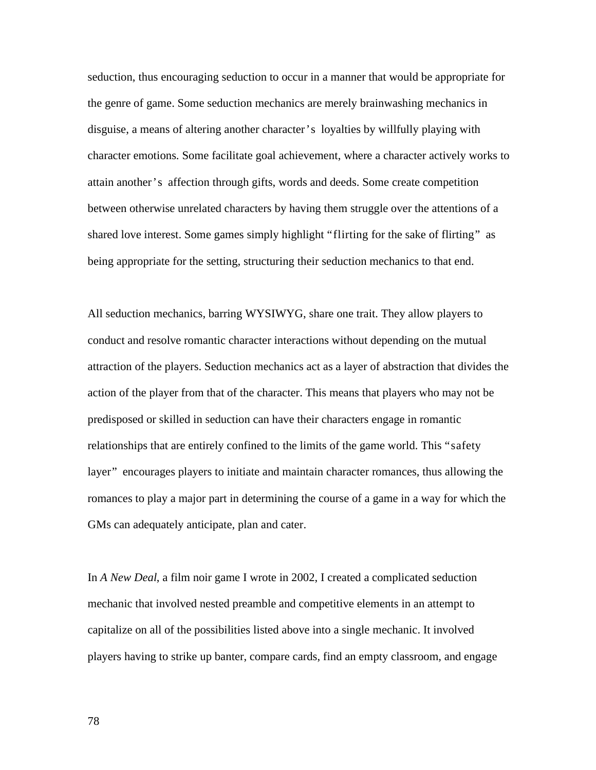seduction, thus encouraging seduction to occur in a manner that would be appropriate for the genre of game. Some seduction mechanics are merely brainwashing mechanics in disguise, a means of altering another character's loyalties by willfully playing with character emotions. Some facilitate goal achievement, where a character actively works to attain another's affection through gifts, words and deeds. Some create competition between otherwise unrelated characters by having them struggle over the attentions of a shared love interest. Some games simply highlight "flirting for the sake of flirting" as being appropriate for the setting, structuring their seduction mechanics to that end.

All seduction mechanics, barring WYSIWYG, share one trait. They allow players to conduct and resolve romantic character interactions without depending on the mutual attraction of the players. Seduction mechanics act as a layer of abstraction that divides the action of the player from that of the character. This means that players who may not be predisposed or skilled in seduction can have their characters engage in romantic relationships that are entirely confined to the limits of the game world. This "safety layer" encourages players to initiate and maintain character romances, thus allowing the romances to play a major part in determining the course of a game in a way for which the GMs can adequately anticipate, plan and cater.

In *A New Deal*, a film noir game I wrote in 2002, I created a complicated seduction mechanic that involved nested preamble and competitive elements in an attempt to capitalize on all of the possibilities listed above into a single mechanic. It involved players having to strike up banter, compare cards, find an empty classroom, and engage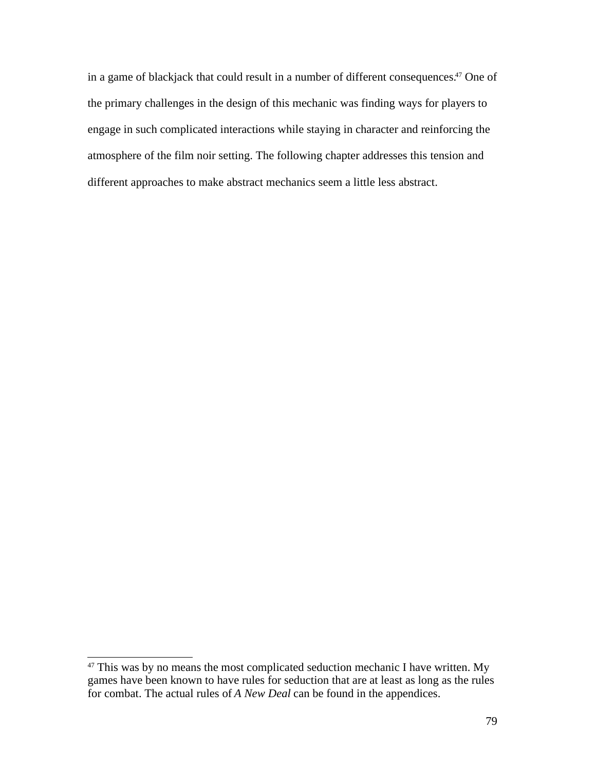in a game of blackjack that could result in a number of different consequences. <sup>47</sup> One of the primary challenges in the design of this mechanic was finding ways for players to engage in such complicated interactions while staying in character and reinforcing the atmosphere of the film noir setting. The following chapter addresses this tension and different approaches to make abstract mechanics seem a little less abstract.

 $47$  This was by no means the most complicated seduction mechanic I have written. My games have been known to have rules for seduction that are at least as long as the rules for combat. The actual rules of *A New Deal* can be found in the appendices.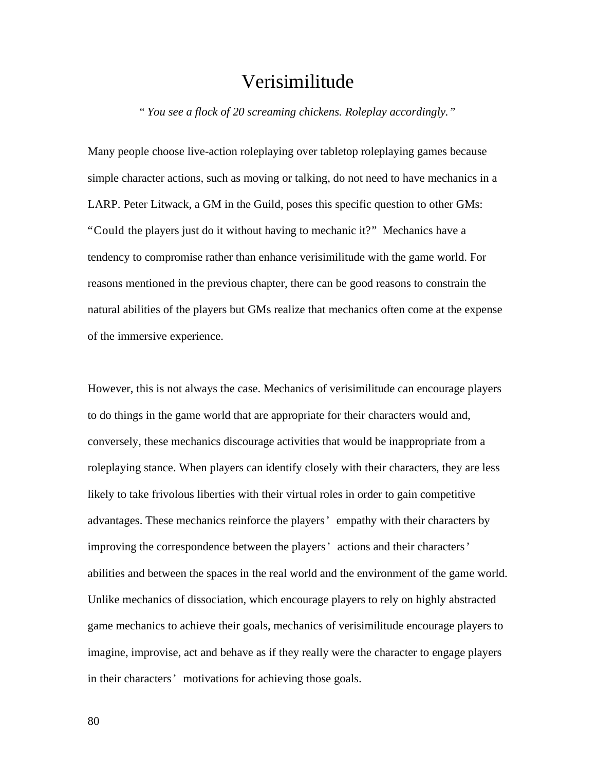# Verisimilitude

*" You see a flock of 20 screaming chickens. Roleplay accordingly."*

Many people choose live-action roleplaying over tabletop roleplaying games because simple character actions, such as moving or talking, do not need to have mechanics in a LARP. Peter Litwack, a GM in the Guild, poses this specific question to other GMs: "Could the players just do it without having to mechanic it?" Mechanics have a tendency to compromise rather than enhance verisimilitude with the game world. For reasons mentioned in the previous chapter, there can be good reasons to constrain the natural abilities of the players but GMs realize that mechanics often come at the expense of the immersive experience.

However, this is not always the case. Mechanics of verisimilitude can encourage players to do things in the game world that are appropriate for their characters would and, conversely, these mechanics discourage activities that would be inappropriate from a roleplaying stance. When players can identify closely with their characters, they are less likely to take frivolous liberties with their virtual roles in order to gain competitive advantages. These mechanics reinforce the players' empathy with their characters by improving the correspondence between the players' actions and their characters' abilities and between the spaces in the real world and the environment of the game world. Unlike mechanics of dissociation, which encourage players to rely on highly abstracted game mechanics to achieve their goals, mechanics of verisimilitude encourage players to imagine, improvise, act and behave as if they really were the character to engage players in their characters' motivations for achieving those goals.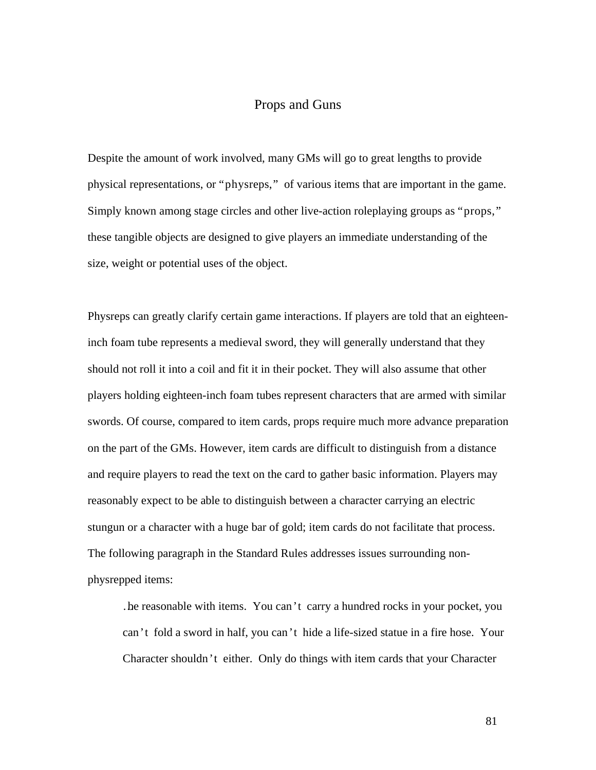# Props and Guns

Despite the amount of work involved, many GMs will go to great lengths to provide physical representations, or "physreps," of various items that are important in the game. Simply known among stage circles and other live-action roleplaying groups as "props," these tangible objects are designed to give players an immediate understanding of the size, weight or potential uses of the object.

Physreps can greatly clarify certain game interactions. If players are told that an eighteeninch foam tube represents a medieval sword, they will generally understand that they should not roll it into a coil and fit it in their pocket. They will also assume that other players holding eighteen-inch foam tubes represent characters that are armed with similar swords. Of course, compared to item cards, props require much more advance preparation on the part of the GMs. However, item cards are difficult to distinguish from a distance and require players to read the text on the card to gather basic information. Players may reasonably expect to be able to distinguish between a character carrying an electric stungun or a character with a huge bar of gold; item cards do not facilitate that process. The following paragraph in the Standard Rules addresses issues surrounding nonphysrepped items:

…be reasonable with items. You can't carry a hundred rocks in your pocket, you can't fold a sword in half, you can't hide a life-sized statue in a fire hose. Your Character shouldn't either. Only do things with item cards that your Character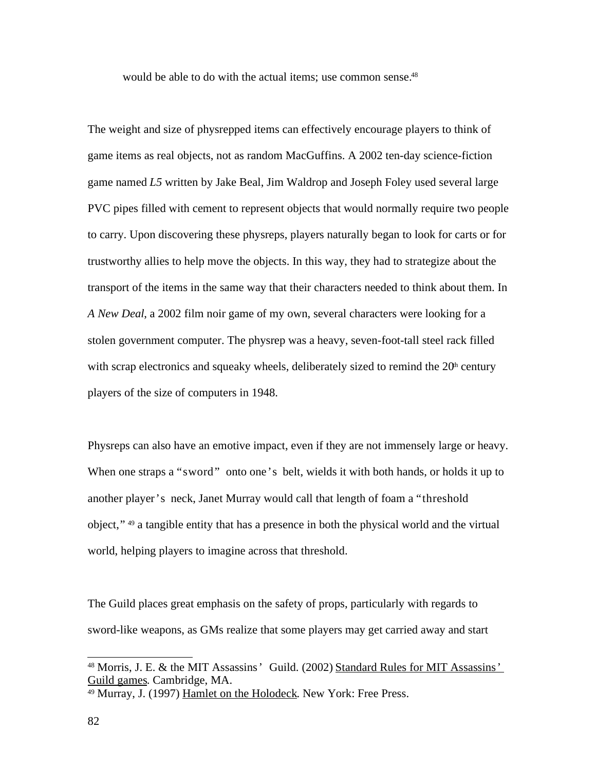would be able to do with the actual items; use common sense. 48

The weight and size of physrepped items can effectively encourage players to think of game items as real objects, not as random MacGuffins. A 2002 ten-day science-fiction game named *L5* written by Jake Beal, Jim Waldrop and Joseph Foley used several large PVC pipes filled with cement to represent objects that would normally require two people to carry. Upon discovering these physreps, players naturally began to look for carts or for trustworthy allies to help move the objects. In this way, they had to strategize about the transport of the items in the same way that their characters needed to think about them. In *A New Deal*, a 2002 film noir game of my own, several characters were looking for a stolen government computer. The physrep was a heavy, seven-foot-tall steel rack filled with scrap electronics and squeaky wheels, deliberately sized to remind the  $20<sup>h</sup>$  century players of the size of computers in 1948.

Physreps can also have an emotive impact, even if they are not immensely large or heavy. When one straps a "sword" onto one's belt, wields it with both hands, or holds it up to another player's neck, Janet Murray would call that length of foam a "threshold object," 49 a tangible entity that has a presence in both the physical world and the virtual world, helping players to imagine across that threshold.

The Guild places great emphasis on the safety of props, particularly with regards to sword-like weapons, as GMs realize that some players may get carried away and start

<sup>&</sup>lt;sup>48</sup> Morris, J. E. & the MIT Assassins' Guild. (2002) Standard Rules for MIT Assassins' Guild games. Cambridge, MA.

<sup>&</sup>lt;sup>49</sup> Murray, J. (1997) Hamlet on the Holodeck. New York: Free Press.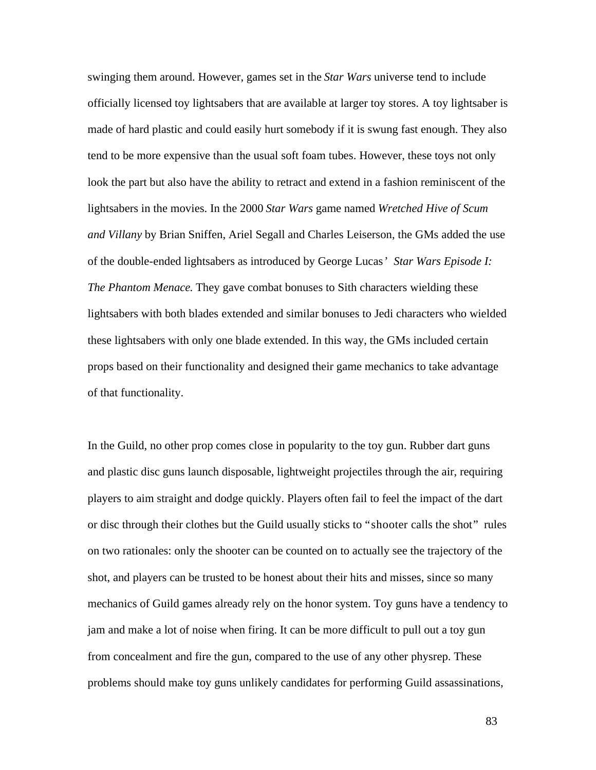swinging them around. However, games set in the *Star Wars* universe tend to include officially licensed toy lightsabers that are available at larger toy stores. A toy lightsaber is made of hard plastic and could easily hurt somebody if it is swung fast enough. They also tend to be more expensive than the usual soft foam tubes. However, these toys not only look the part but also have the ability to retract and extend in a fashion reminiscent of the lightsabers in the movies. In the 2000 *Star Wars* game named *Wretched Hive of Scum and Villany* by Brian Sniffen, Ariel Segall and Charles Leiserson, the GMs added the use of the double-ended lightsabers as introduced by George Lucas' *Star Wars Episode I: The Phantom Menace*. They gave combat bonuses to Sith characters wielding these lightsabers with both blades extended and similar bonuses to Jedi characters who wielded these lightsabers with only one blade extended. In this way, the GMs included certain props based on their functionality and designed their game mechanics to take advantage of that functionality.

In the Guild, no other prop comes close in popularity to the toy gun. Rubber dart guns and plastic disc guns launch disposable, lightweight projectiles through the air, requiring players to aim straight and dodge quickly. Players often fail to feel the impact of the dart or disc through their clothes but the Guild usually sticks to "shooter calls the shot" rules on two rationales: only the shooter can be counted on to actually see the trajectory of the shot, and players can be trusted to be honest about their hits and misses, since so many mechanics of Guild games already rely on the honor system. Toy guns have a tendency to jam and make a lot of noise when firing. It can be more difficult to pull out a toy gun from concealment and fire the gun, compared to the use of any other physrep. These problems should make toy guns unlikely candidates for performing Guild assassinations,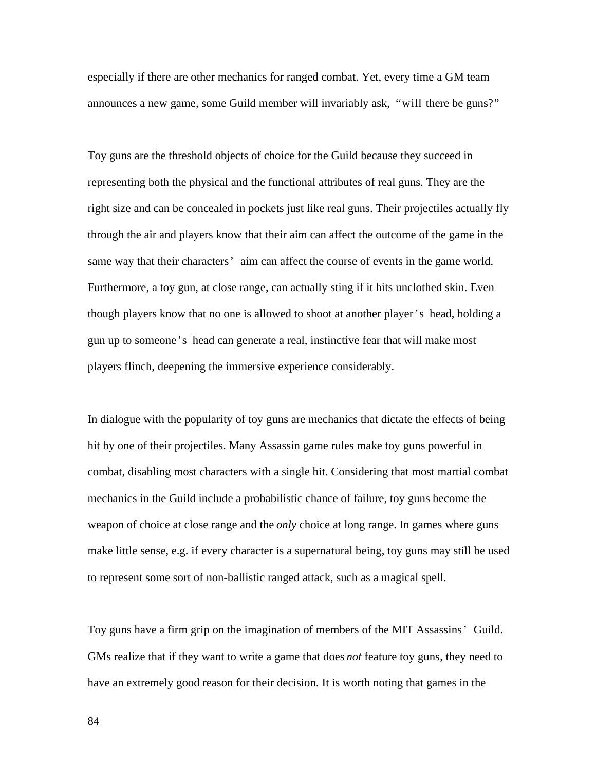especially if there are other mechanics for ranged combat. Yet, every time a GM team announces a new game, some Guild member will invariably ask, "will there be guns?"

Toy guns are the threshold objects of choice for the Guild because they succeed in representing both the physical and the functional attributes of real guns. They are the right size and can be concealed in pockets just like real guns. Their projectiles actually fly through the air and players know that their aim can affect the outcome of the game in the same way that their characters' aim can affect the course of events in the game world. Furthermore, a toy gun, at close range, can actually sting if it hits unclothed skin. Even though players know that no one is allowed to shoot at another player's head, holding a gun up to someone's head can generate a real, instinctive fear that will make most players flinch, deepening the immersive experience considerably.

In dialogue with the popularity of toy guns are mechanics that dictate the effects of being hit by one of their projectiles. Many Assassin game rules make toy guns powerful in combat, disabling most characters with a single hit. Considering that most martial combat mechanics in the Guild include a probabilistic chance of failure, toy guns become the weapon of choice at close range and the *only* choice at long range. In games where guns make little sense, e.g. if every character is a supernatural being, toy guns may still be used to represent some sort of non-ballistic ranged attack, such as a magical spell.

Toy guns have a firm grip on the imagination of members of the MIT Assassins' Guild. GMs realize that if they want to write a game that does *not* feature toy guns, they need to have an extremely good reason for their decision. It is worth noting that games in the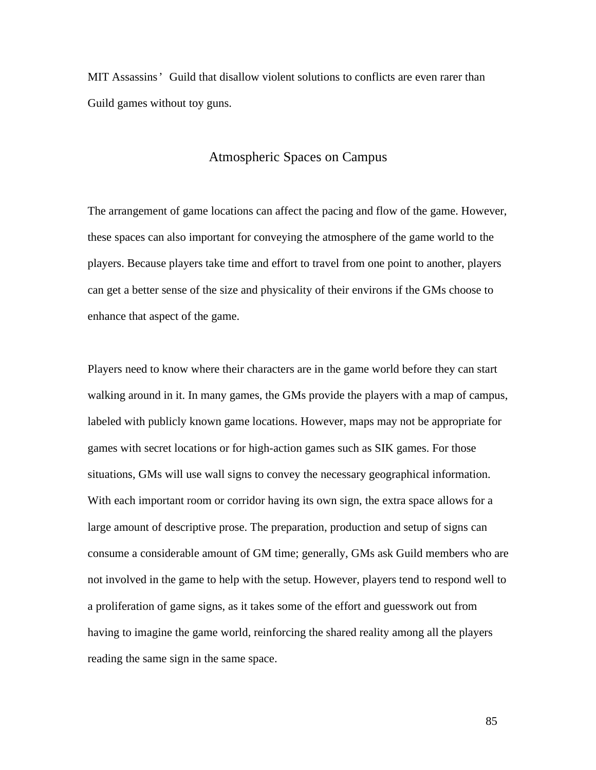MIT Assassins' Guild that disallow violent solutions to conflicts are even rarer than Guild games without toy guns.

### Atmospheric Spaces on Campus

The arrangement of game locations can affect the pacing and flow of the game. However, these spaces can also important for conveying the atmosphere of the game world to the players. Because players take time and effort to travel from one point to another, players can get a better sense of the size and physicality of their environs if the GMs choose to enhance that aspect of the game.

Players need to know where their characters are in the game world before they can start walking around in it. In many games, the GMs provide the players with a map of campus, labeled with publicly known game locations. However, maps may not be appropriate for games with secret locations or for high-action games such as SIK games. For those situations, GMs will use wall signs to convey the necessary geographical information. With each important room or corridor having its own sign, the extra space allows for a large amount of descriptive prose. The preparation, production and setup of signs can consume a considerable amount of GM time; generally, GMs ask Guild members who are not involved in the game to help with the setup. However, players tend to respond well to a proliferation of game signs, as it takes some of the effort and guesswork out from having to imagine the game world, reinforcing the shared reality among all the players reading the same sign in the same space.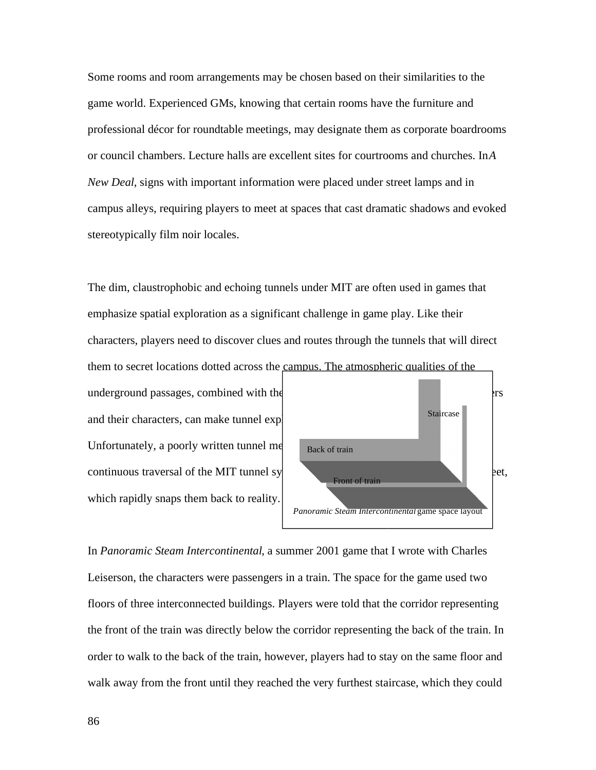Some rooms and room arrangements may be chosen based on their similarities to the game world. Experienced GMs, knowing that certain rooms have the furniture and professional décor for roundtable meetings, may designate them as corporate boardrooms or council chambers. Lecture halls are excellent sites for courtrooms and churches. In *A New Deal*, signs with important information were placed under street lamps and in campus alleys, requiring players to meet at spaces that cast dramatic shadows and evoked stereotypically film noir locales.

The dim, claustrophobic and echoing tunnels under MIT are often used in games that emphasize spatial exploration as a significant challenge in game play. Like their characters, players need to discover clues and routes through the tunnels that will direct them to secret locations dotted across the campus. The atmospheric qualities of the

and their characters, can make tunnel exp Unfortunately, a poorly written tunnel me which rapidly snaps them back to reality.



In *Panoramic Steam Intercontinental*, a summer 2001 game that I wrote with Charles Leiserson, the characters were passengers in a train. The space for the game used two floors of three interconnected buildings. Players were told that the corridor representing the front of the train was directly below the corridor representing the back of the train. In order to walk to the back of the train, however, players had to stay on the same floor and walk away from the front until they reached the very furthest staircase, which they could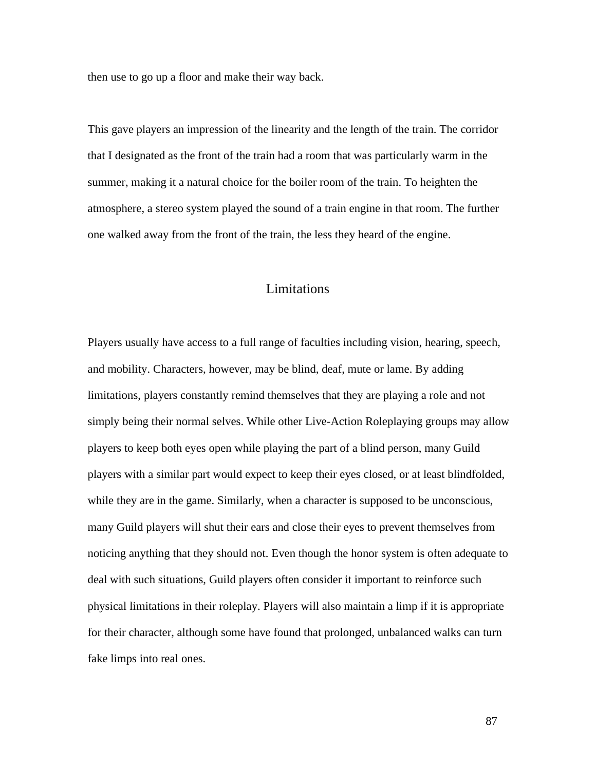then use to go up a floor and make their way back.

This gave players an impression of the linearity and the length of the train. The corridor that I designated as the front of the train had a room that was particularly warm in the summer, making it a natural choice for the boiler room of the train. To heighten the atmosphere, a stereo system played the sound of a train engine in that room. The further one walked away from the front of the train, the less they heard of the engine.

# Limitations

Players usually have access to a full range of faculties including vision, hearing, speech, and mobility. Characters, however, may be blind, deaf, mute or lame. By adding limitations, players constantly remind themselves that they are playing a role and not simply being their normal selves. While other Live-Action Roleplaying groups may allow players to keep both eyes open while playing the part of a blind person, many Guild players with a similar part would expect to keep their eyes closed, or at least blindfolded, while they are in the game. Similarly, when a character is supposed to be unconscious, many Guild players will shut their ears and close their eyes to prevent themselves from noticing anything that they should not. Even though the honor system is often adequate to deal with such situations, Guild players often consider it important to reinforce such physical limitations in their roleplay. Players will also maintain a limp if it is appropriate for their character, although some have found that prolonged, unbalanced walks can turn fake limps into real ones.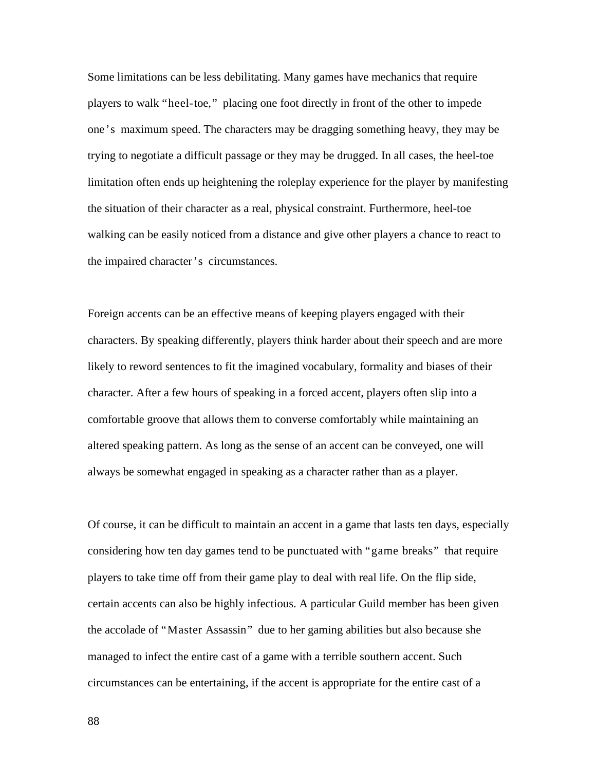Some limitations can be less debilitating. Many games have mechanics that require players to walk "heel-toe," placing one foot directly in front of the other to impede one's maximum speed. The characters may be dragging something heavy, they may be trying to negotiate a difficult passage or they may be drugged. In all cases, the heel-toe limitation often ends up heightening the roleplay experience for the player by manifesting the situation of their character as a real, physical constraint. Furthermore, heel-toe walking can be easily noticed from a distance and give other players a chance to react to the impaired character's circumstances.

Foreign accents can be an effective means of keeping players engaged with their characters. By speaking differently, players think harder about their speech and are more likely to reword sentences to fit the imagined vocabulary, formality and biases of their character. After a few hours of speaking in a forced accent, players often slip into a comfortable groove that allows them to converse comfortably while maintaining an altered speaking pattern. As long as the sense of an accent can be conveyed, one will always be somewhat engaged in speaking as a character rather than as a player.

Of course, it can be difficult to maintain an accent in a game that lasts ten days, especially considering how ten day games tend to be punctuated with "game breaks" that require players to take time off from their game play to deal with real life. On the flip side, certain accents can also be highly infectious. A particular Guild member has been given the accolade of "Master Assassin" due to her gaming abilities but also because she managed to infect the entire cast of a game with a terrible southern accent. Such circumstances can be entertaining, if the accent is appropriate for the entire cast of a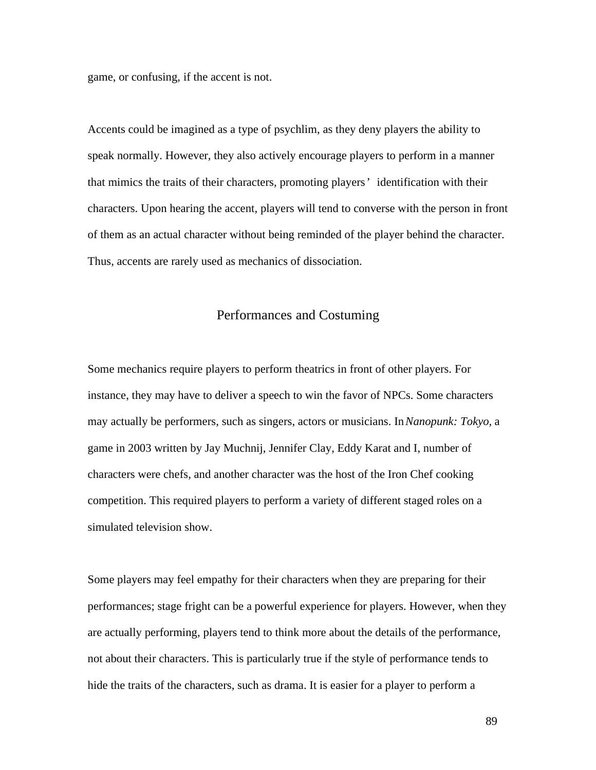game, or confusing, if the accent is not.

Accents could be imagined as a type of psychlim, as they deny players the ability to speak normally. However, they also actively encourage players to perform in a manner that mimics the traits of their characters, promoting players' identification with their characters. Upon hearing the accent, players will tend to converse with the person in front of them as an actual character without being reminded of the player behind the character. Thus, accents are rarely used as mechanics of dissociation.

## Performances and Costuming

Some mechanics require players to perform theatrics in front of other players. For instance, they may have to deliver a speech to win the favor of NPCs. Some characters may actually be performers, such as singers, actors or musicians. In *Nanopunk: Tokyo,* a game in 2003 written by Jay Muchnij, Jennifer Clay, Eddy Karat and I, number of characters were chefs, and another character was the host of the Iron Chef cooking competition. This required players to perform a variety of different staged roles on a simulated television show.

Some players may feel empathy for their characters when they are preparing for their performances; stage fright can be a powerful experience for players. However, when they are actually performing, players tend to think more about the details of the performance, not about their characters. This is particularly true if the style of performance tends to hide the traits of the characters, such as drama. It is easier for a player to perform a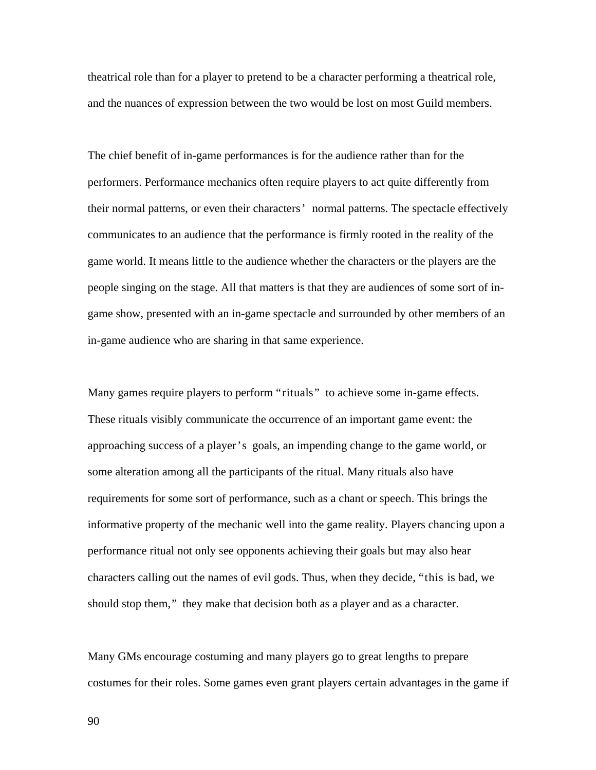theatrical role than for a player to pretend to be a character performing a theatrical role, and the nuances of expression between the two would be lost on most Guild members.

The chief benefit of in-game performances is for the audience rather than for the performers. Performance mechanics often require players to act quite differently from their normal patterns, or even their characters' normal patterns. The spectacle effectively communicates to an audience that the performance is firmly rooted in the reality of the game world. It means little to the audience whether the characters or the players are the people singing on the stage. All that matters is that they are audiences of some sort of ingame show, presented with an in-game spectacle and surrounded by other members of an in-game audience who are sharing in that same experience.

Many games require players to perform "rituals" to achieve some in-game effects. These rituals visibly communicate the occurrence of an important game event: the approaching success of a player's goals, an impending change to the game world, or some alteration among all the participants of the ritual. Many rituals also have requirements for some sort of performance, such as a chant or speech. This brings the informative property of the mechanic well into the game reality. Players chancing upon a performance ritual not only see opponents achieving their goals but may also hear characters calling out the names of evil gods. Thus, when they decide, "this is bad, we should stop them," they make that decision both as a player and as a character.

Many GMs encourage costuming and many players go to great lengths to prepare costumes for their roles. Some games even grant players certain advantages in the game if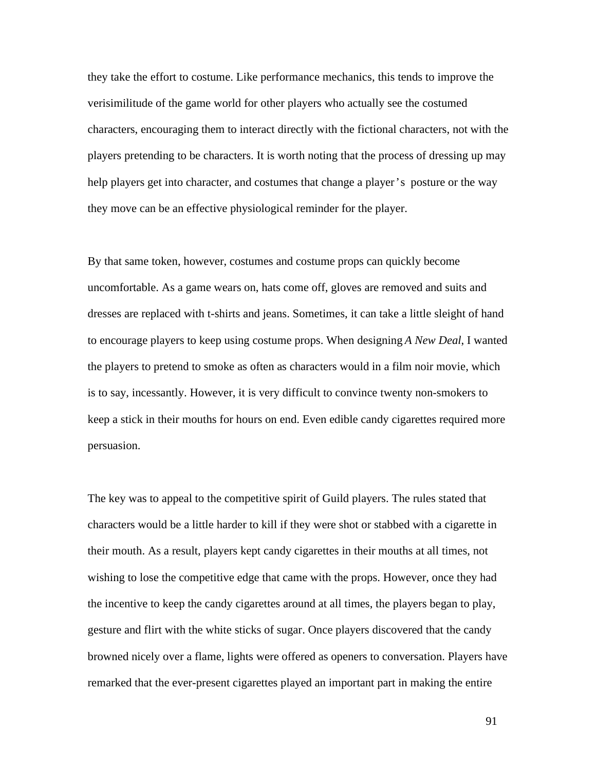they take the effort to costume. Like performance mechanics, this tends to improve the verisimilitude of the game world for other players who actually see the costumed characters, encouraging them to interact directly with the fictional characters, not with the players pretending to be characters. It is worth noting that the process of dressing up may help players get into character, and costumes that change a player's posture or the way they move can be an effective physiological reminder for the player.

By that same token, however, costumes and costume props can quickly become uncomfortable. As a game wears on, hats come off, gloves are removed and suits and dresses are replaced with t-shirts and jeans. Sometimes, it can take a little sleight of hand to encourage players to keep using costume props. When designing *A New Deal*, I wanted the players to pretend to smoke as often as characters would in a film noir movie, which is to say, incessantly. However, it is very difficult to convince twenty non-smokers to keep a stick in their mouths for hours on end. Even edible candy cigarettes required more persuasion.

The key was to appeal to the competitive spirit of Guild players. The rules stated that characters would be a little harder to kill if they were shot or stabbed with a cigarette in their mouth. As a result, players kept candy cigarettes in their mouths at all times, not wishing to lose the competitive edge that came with the props. However, once they had the incentive to keep the candy cigarettes around at all times, the players began to play, gesture and flirt with the white sticks of sugar. Once players discovered that the candy browned nicely over a flame, lights were offered as openers to conversation. Players have remarked that the ever-present cigarettes played an important part in making the entire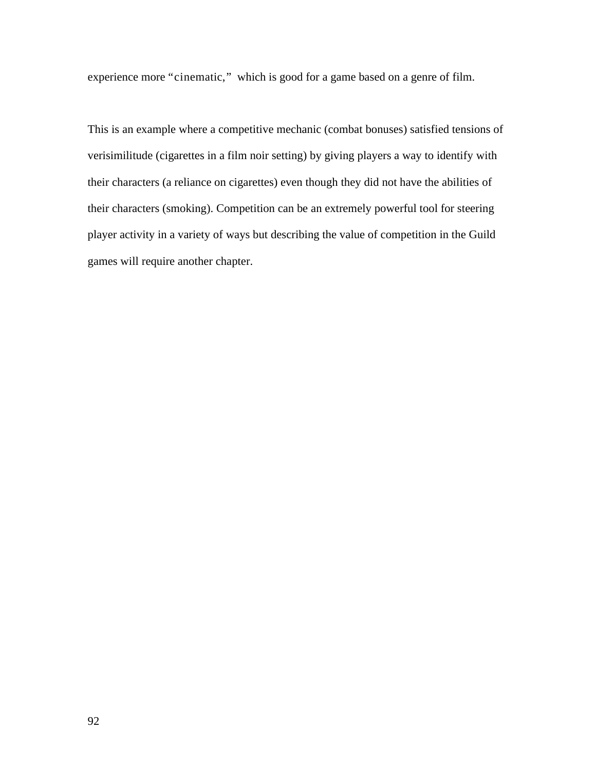experience more "cinematic," which is good for a game based on a genre of film.

This is an example where a competitive mechanic (combat bonuses) satisfied tensions of verisimilitude (cigarettes in a film noir setting) by giving players a way to identify with their characters (a reliance on cigarettes) even though they did not have the abilities of their characters (smoking). Competition can be an extremely powerful tool for steering player activity in a variety of ways but describing the value of competition in the Guild games will require another chapter.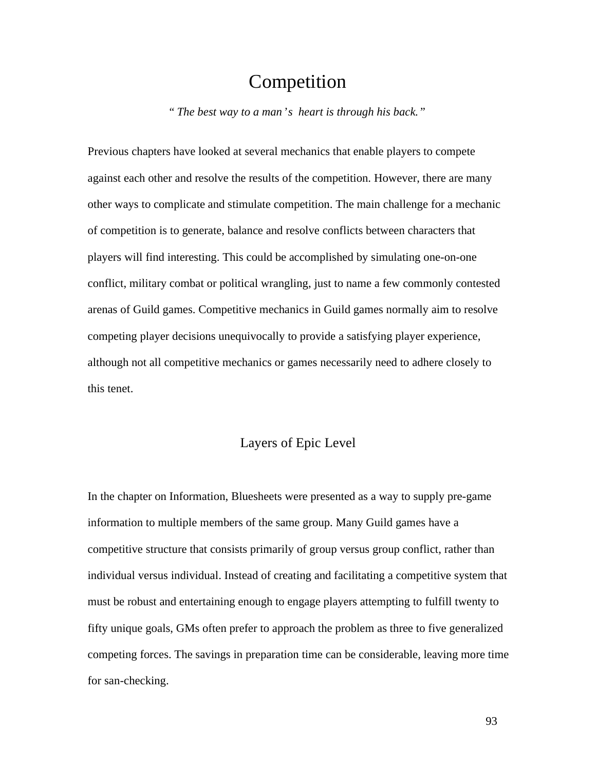# Competition

*" The best way to a man's heart is through his back."*

Previous chapters have looked at several mechanics that enable players to compete against each other and resolve the results of the competition. However, there are many other ways to complicate and stimulate competition. The main challenge for a mechanic of competition is to generate, balance and resolve conflicts between characters that players will find interesting. This could be accomplished by simulating one-on-one conflict, military combat or political wrangling, just to name a few commonly contested arenas of Guild games. Competitive mechanics in Guild games normally aim to resolve competing player decisions unequivocally to provide a satisfying player experience, although not all competitive mechanics or games necessarily need to adhere closely to this tenet.

# Layers of Epic Level

In the chapter on Information, Bluesheets were presented as a way to supply pre-game information to multiple members of the same group. Many Guild games have a competitive structure that consists primarily of group versus group conflict, rather than individual versus individual. Instead of creating and facilitating a competitive system that must be robust and entertaining enough to engage players attempting to fulfill twenty to fifty unique goals, GMs often prefer to approach the problem as three to five generalized competing forces. The savings in preparation time can be considerable, leaving more time for san-checking.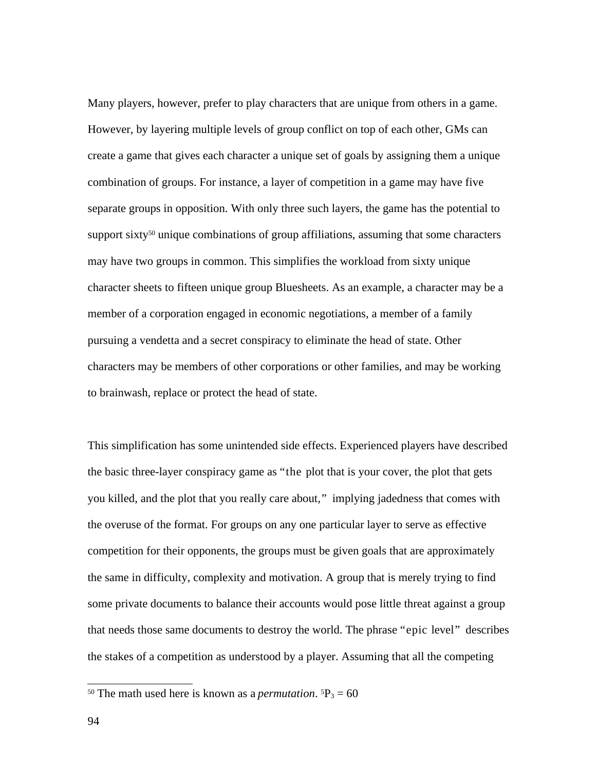Many players, however, prefer to play characters that are unique from others in a game. However, by layering multiple levels of group conflict on top of each other, GMs can create a game that gives each character a unique set of goals by assigning them a unique combination of groups. For instance, a layer of competition in a game may have five separate groups in opposition. With only three such layers, the game has the potential to support sixty<sup>50</sup> unique combinations of group affiliations, assuming that some characters may have two groups in common. This simplifies the workload from sixty unique character sheets to fifteen unique group Bluesheets. As an example, a character may be a member of a corporation engaged in economic negotiations, a member of a family pursuing a vendetta and a secret conspiracy to eliminate the head of state. Other characters may be members of other corporations or other families, and may be working to brainwash, replace or protect the head of state.

This simplification has some unintended side effects. Experienced players have described the basic three-layer conspiracy game as "the plot that is your cover, the plot that gets you killed, and the plot that you really care about," implying jadedness that comes with the overuse of the format. For groups on any one particular layer to serve as effective competition for their opponents, the groups must be given goals that are approximately the same in difficulty, complexity and motivation. A group that is merely trying to find some private documents to balance their accounts would pose little threat against a group that needs those same documents to destroy the world. The phrase "epic level" describes the stakes of a competition as understood by a player. Assuming that all the competing

<sup>&</sup>lt;sup>50</sup> The math used here is known as a *permutation*.  ${}^5P_3 = 60$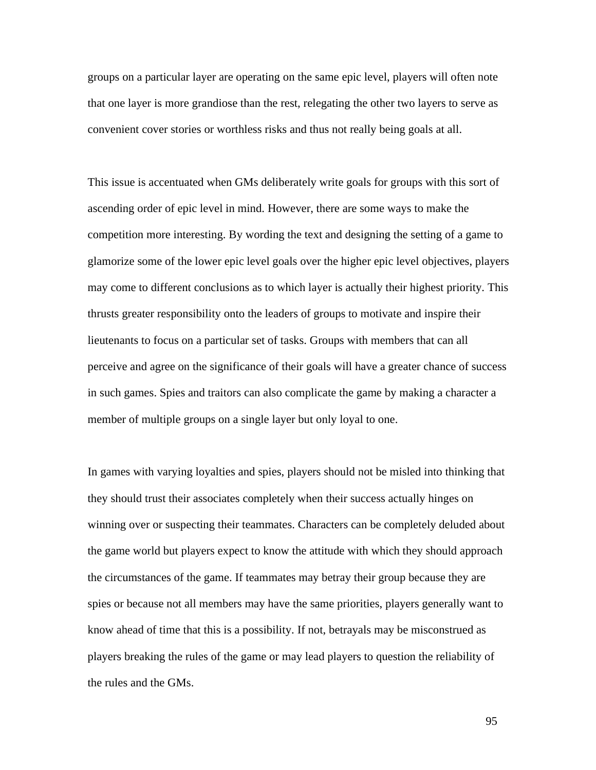groups on a particular layer are operating on the same epic level, players will often note that one layer is more grandiose than the rest, relegating the other two layers to serve as convenient cover stories or worthless risks and thus not really being goals at all.

This issue is accentuated when GMs deliberately write goals for groups with this sort of ascending order of epic level in mind. However, there are some ways to make the competition more interesting. By wording the text and designing the setting of a game to glamorize some of the lower epic level goals over the higher epic level objectives, players may come to different conclusions as to which layer is actually their highest priority. This thrusts greater responsibility onto the leaders of groups to motivate and inspire their lieutenants to focus on a particular set of tasks. Groups with members that can all perceive and agree on the significance of their goals will have a greater chance of success in such games. Spies and traitors can also complicate the game by making a character a member of multiple groups on a single layer but only loyal to one.

In games with varying loyalties and spies, players should not be misled into thinking that they should trust their associates completely when their success actually hinges on winning over or suspecting their teammates. Characters can be completely deluded about the game world but players expect to know the attitude with which they should approach the circumstances of the game. If teammates may betray their group because they are spies or because not all members may have the same priorities, players generally want to know ahead of time that this is a possibility. If not, betrayals may be misconstrued as players breaking the rules of the game or may lead players to question the reliability of the rules and the GMs.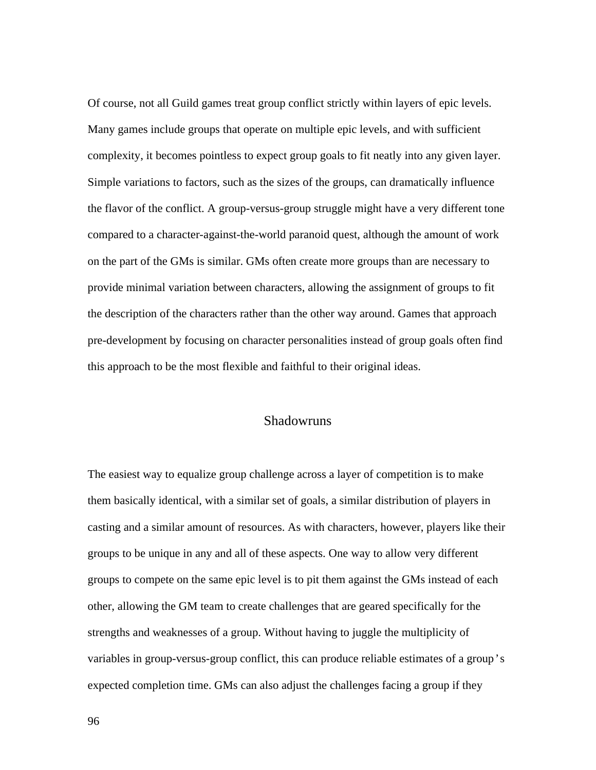Of course, not all Guild games treat group conflict strictly within layers of epic levels. Many games include groups that operate on multiple epic levels, and with sufficient complexity, it becomes pointless to expect group goals to fit neatly into any given layer. Simple variations to factors, such as the sizes of the groups, can dramatically influence the flavor of the conflict. A group-versus-group struggle might have a very different tone compared to a character-against-the-world paranoid quest, although the amount of work on the part of the GMs is similar. GMs often create more groups than are necessary to provide minimal variation between characters, allowing the assignment of groups to fit the description of the characters rather than the other way around. Games that approach pre-development by focusing on character personalities instead of group goals often find this approach to be the most flexible and faithful to their original ideas.

#### Shadowruns

The easiest way to equalize group challenge across a layer of competition is to make them basically identical, with a similar set of goals, a similar distribution of players in casting and a similar amount of resources. As with characters, however, players like their groups to be unique in any and all of these aspects. One way to allow very different groups to compete on the same epic level is to pit them against the GMs instead of each other, allowing the GM team to create challenges that are geared specifically for the strengths and weaknesses of a group. Without having to juggle the multiplicity of variables in group-versus-group conflict, this can produce reliable estimates of a group's expected completion time. GMs can also adjust the challenges facing a group if they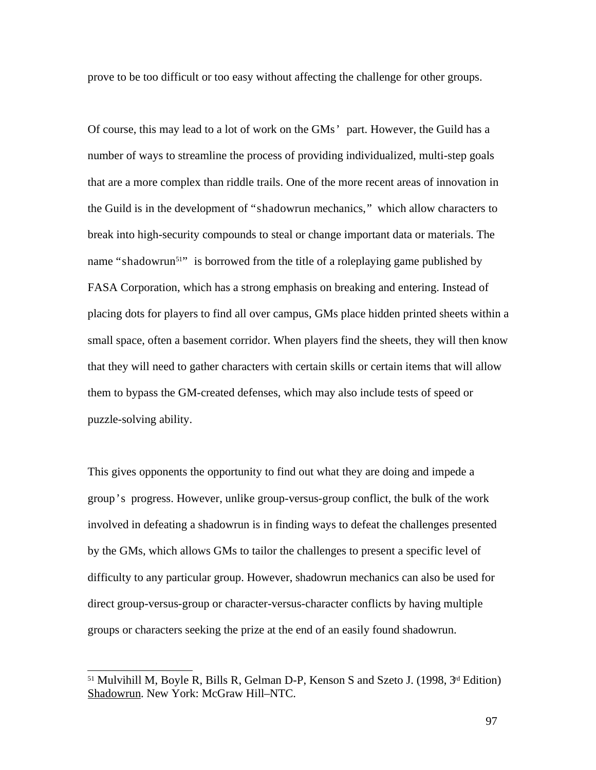prove to be too difficult or too easy without affecting the challenge for other groups.

Of course, this may lead to a lot of work on the GMs' part. However, the Guild has a number of ways to streamline the process of providing individualized, multi-step goals that are a more complex than riddle trails. One of the more recent areas of innovation in the Guild is in the development of "shadowrun mechanics," which allow characters to break into high-security compounds to steal or change important data or materials. The name "shadowrun<sup>51</sup>" is borrowed from the title of a roleplaying game published by FASA Corporation, which has a strong emphasis on breaking and entering. Instead of placing dots for players to find all over campus, GMs place hidden printed sheets within a small space, often a basement corridor. When players find the sheets, they will then know that they will need to gather characters with certain skills or certain items that will allow them to bypass the GM-created defenses, which may also include tests of speed or puzzle-solving ability.

This gives opponents the opportunity to find out what they are doing and impede a group's progress. However, unlike group-versus-group conflict, the bulk of the work involved in defeating a shadowrun is in finding ways to defeat the challenges presented by the GMs, which allows GMs to tailor the challenges to present a specific level of difficulty to any particular group. However, shadowrun mechanics can also be used for direct group-versus-group or character-versus-character conflicts by having multiple groups or characters seeking the prize at the end of an easily found shadowrun.

<sup>51</sup> Mulvihill M, Boyle R, Bills R, Gelman D-P, Kenson S and Szeto J. (1998, 3rd Edition) Shadowrun. New York: McGraw Hill–NTC.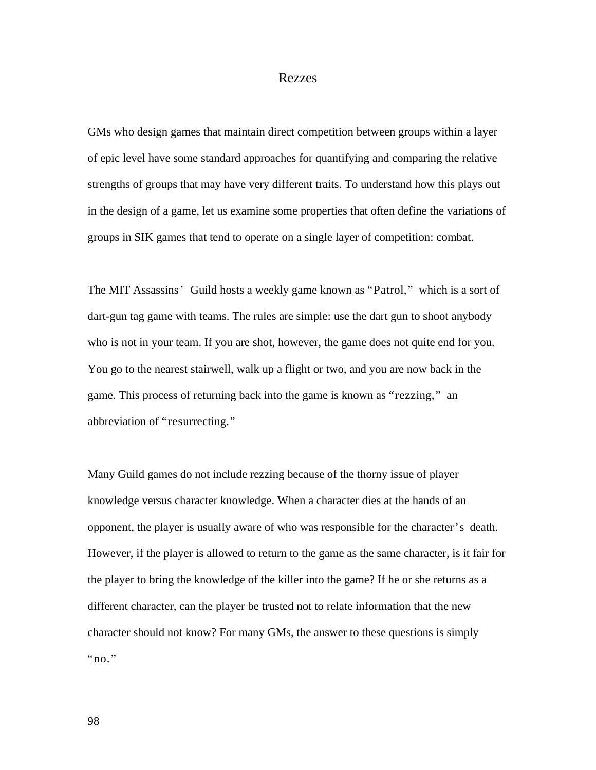#### Rezzes

GMs who design games that maintain direct competition between groups within a layer of epic level have some standard approaches for quantifying and comparing the relative strengths of groups that may have very different traits. To understand how this plays out in the design of a game, let us examine some properties that often define the variations of groups in SIK games that tend to operate on a single layer of competition: combat.

The MIT Assassins' Guild hosts a weekly game known as "Patrol," which is a sort of dart-gun tag game with teams. The rules are simple: use the dart gun to shoot anybody who is not in your team. If you are shot, however, the game does not quite end for you. You go to the nearest stairwell, walk up a flight or two, and you are now back in the game. This process of returning back into the game is known as "rezzing," an abbreviation of "resurrecting."

Many Guild games do not include rezzing because of the thorny issue of player knowledge versus character knowledge. When a character dies at the hands of an opponent, the player is usually aware of who was responsible for the character's death. However, if the player is allowed to return to the game as the same character, is it fair for the player to bring the knowledge of the killer into the game? If he or she returns as a different character, can the player be trusted not to relate information that the new character should not know? For many GMs, the answer to these questions is simply "no."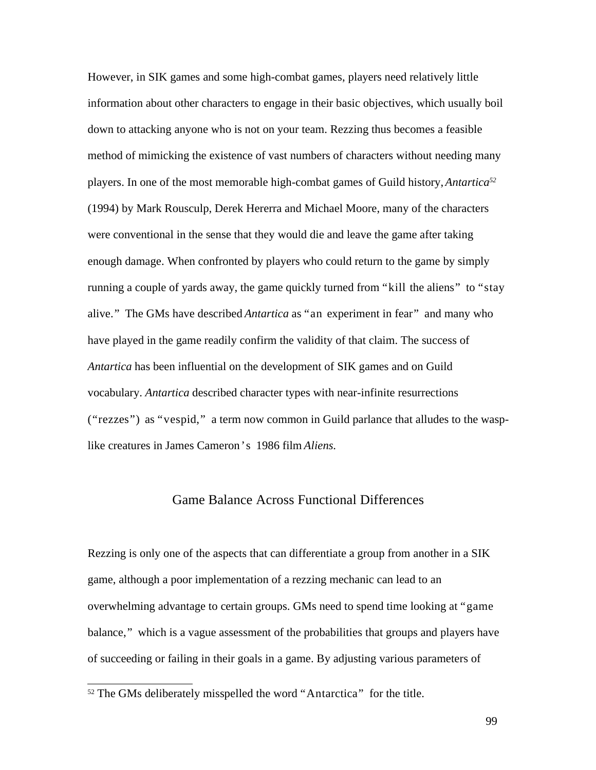However, in SIK games and some high-combat games, players need relatively little information about other characters to engage in their basic objectives, which usually boil down to attacking anyone who is not on your team. Rezzing thus becomes a feasible method of mimicking the existence of vast numbers of characters without needing many players. In one of the most memorable high-combat games of Guild history, *Antartica 52* (1994) by Mark Rousculp, Derek Hererra and Michael Moore, many of the characters were conventional in the sense that they would die and leave the game after taking enough damage. When confronted by players who could return to the game by simply running a couple of yards away, the game quickly turned from "kill the aliens" to "stay alive." The GMs have described *Antartica* as "an experiment in fear" and many who have played in the game readily confirm the validity of that claim. The success of *Antartica* has been influential on the development of SIK games and on Guild vocabulary. *Antartica* described character types with near-infinite resurrections ("rezzes") as "vespid," a term now common in Guild parlance that alludes to the wasplike creatures in James Cameron's 1986 film *Aliens*.

# Game Balance Across Functional Differences

Rezzing is only one of the aspects that can differentiate a group from another in a SIK game, although a poor implementation of a rezzing mechanic can lead to an overwhelming advantage to certain groups. GMs need to spend time looking at "game balance," which is a vague assessment of the probabilities that groups and players have of succeeding or failing in their goals in a game. By adjusting various parameters of

<sup>&</sup>lt;sup>52</sup> The GMs deliberately misspelled the word "Antarctica" for the title.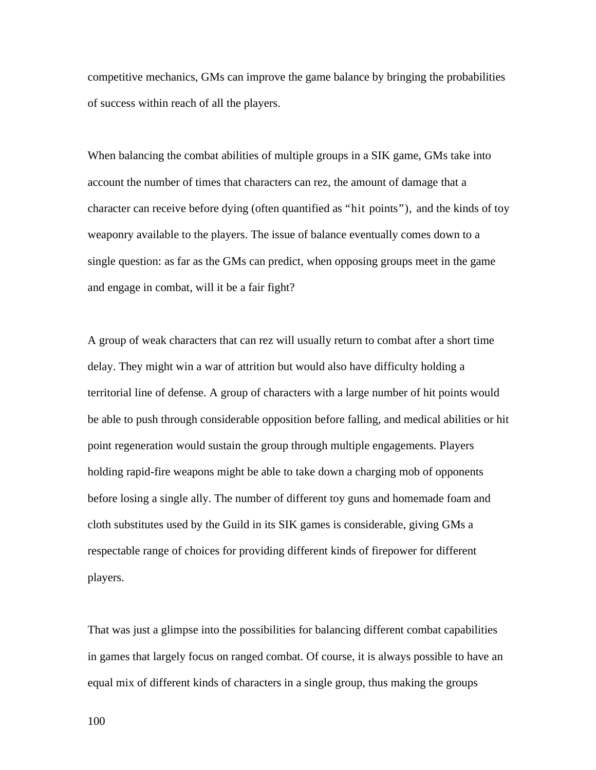competitive mechanics, GMs can improve the game balance by bringing the probabilities of success within reach of all the players.

When balancing the combat abilities of multiple groups in a SIK game, GMs take into account the number of times that characters can rez, the amount of damage that a character can receive before dying (often quantified as "hit points"), and the kinds of toy weaponry available to the players. The issue of balance eventually comes down to a single question: as far as the GMs can predict, when opposing groups meet in the game and engage in combat, will it be a fair fight?

A group of weak characters that can rez will usually return to combat after a short time delay. They might win a war of attrition but would also have difficulty holding a territorial line of defense. A group of characters with a large number of hit points would be able to push through considerable opposition before falling, and medical abilities or hit point regeneration would sustain the group through multiple engagements. Players holding rapid-fire weapons might be able to take down a charging mob of opponents before losing a single ally. The number of different toy guns and homemade foam and cloth substitutes used by the Guild in its SIK games is considerable, giving GMs a respectable range of choices for providing different kinds of firepower for different players.

That was just a glimpse into the possibilities for balancing different combat capabilities in games that largely focus on ranged combat. Of course, it is always possible to have an equal mix of different kinds of characters in a single group, thus making the groups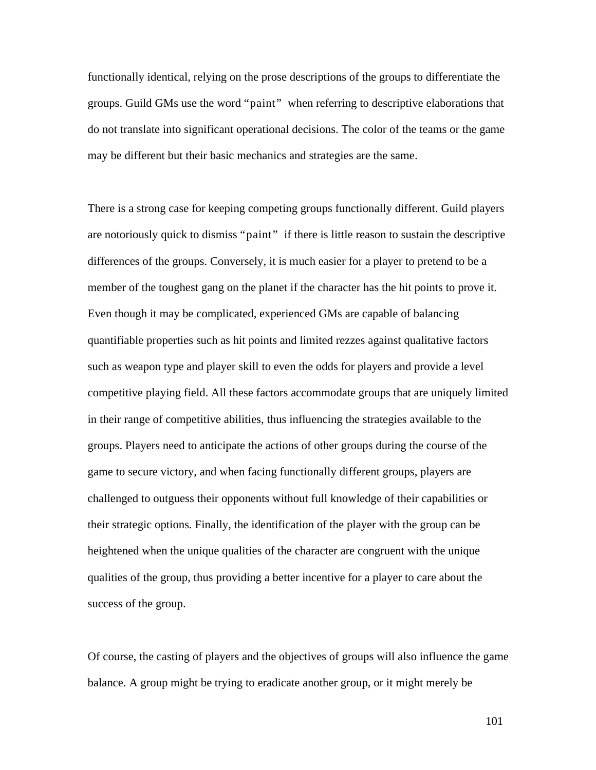functionally identical, relying on the prose descriptions of the groups to differentiate the groups. Guild GMs use the word "paint" when referring to descriptive elaborations that do not translate into significant operational decisions. The color of the teams or the game may be different but their basic mechanics and strategies are the same.

There is a strong case for keeping competing groups functionally different. Guild players are notoriously quick to dismiss "paint" if there is little reason to sustain the descriptive differences of the groups. Conversely, it is much easier for a player to pretend to be a member of the toughest gang on the planet if the character has the hit points to prove it. Even though it may be complicated, experienced GMs are capable of balancing quantifiable properties such as hit points and limited rezzes against qualitative factors such as weapon type and player skill to even the odds for players and provide a level competitive playing field. All these factors accommodate groups that are uniquely limited in their range of competitive abilities, thus influencing the strategies available to the groups. Players need to anticipate the actions of other groups during the course of the game to secure victory, and when facing functionally different groups, players are challenged to outguess their opponents without full knowledge of their capabilities or their strategic options. Finally, the identification of the player with the group can be heightened when the unique qualities of the character are congruent with the unique qualities of the group, thus providing a better incentive for a player to care about the success of the group.

Of course, the casting of players and the objectives of groups will also influence the game balance. A group might be trying to eradicate another group, or it might merely be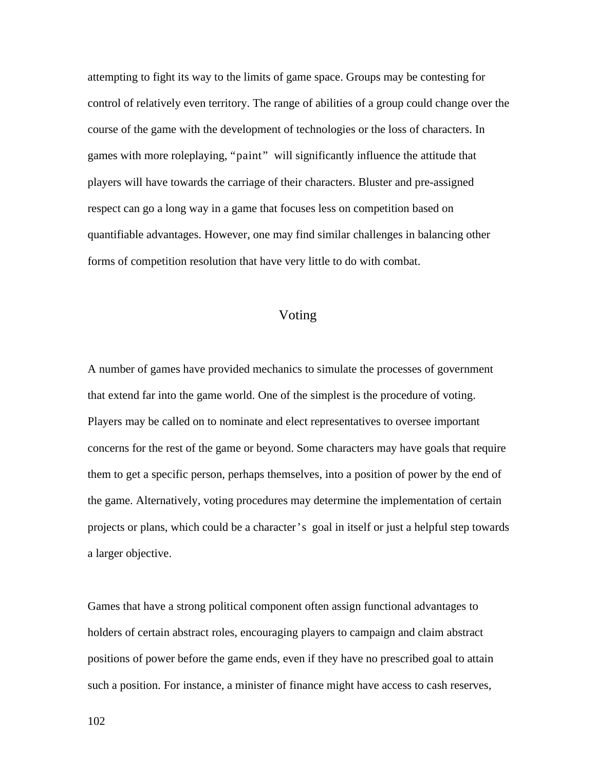attempting to fight its way to the limits of game space. Groups may be contesting for control of relatively even territory. The range of abilities of a group could change over the course of the game with the development of technologies or the loss of characters. In games with more roleplaying, "paint" will significantly influence the attitude that players will have towards the carriage of their characters. Bluster and pre-assigned respect can go a long way in a game that focuses less on competition based on quantifiable advantages. However, one may find similar challenges in balancing other forms of competition resolution that have very little to do with combat.

## Voting

A number of games have provided mechanics to simulate the processes of government that extend far into the game world. One of the simplest is the procedure of voting. Players may be called on to nominate and elect representatives to oversee important concerns for the rest of the game or beyond. Some characters may have goals that require them to get a specific person, perhaps themselves, into a position of power by the end of the game. Alternatively, voting procedures may determine the implementation of certain projects or plans, which could be a character's goal in itself or just a helpful step towards a larger objective.

Games that have a strong political component often assign functional advantages to holders of certain abstract roles, encouraging players to campaign and claim abstract positions of power before the game ends, even if they have no prescribed goal to attain such a position. For instance, a minister of finance might have access to cash reserves,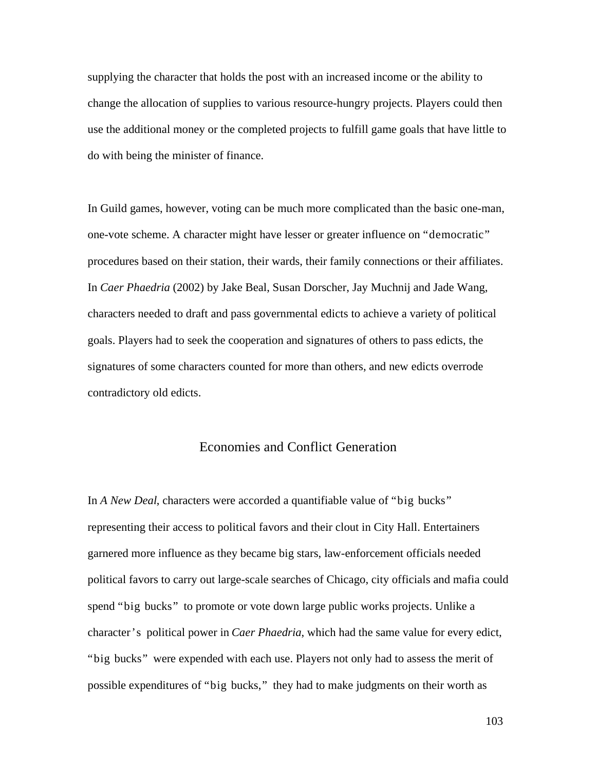supplying the character that holds the post with an increased income or the ability to change the allocation of supplies to various resource-hungry projects. Players could then use the additional money or the completed projects to fulfill game goals that have little to do with being the minister of finance.

In Guild games, however, voting can be much more complicated than the basic one-man, one-vote scheme. A character might have lesser or greater influence on "democratic" procedures based on their station, their wards, their family connections or their affiliates. In *Caer Phaedria* (2002) by Jake Beal, Susan Dorscher, Jay Muchnij and Jade Wang, characters needed to draft and pass governmental edicts to achieve a variety of political goals. Players had to seek the cooperation and signatures of others to pass edicts, the signatures of some characters counted for more than others, and new edicts overrode contradictory old edicts.

# Economies and Conflict Generation

In *A New Deal*, characters were accorded a quantifiable value of "big bucks" representing their access to political favors and their clout in City Hall. Entertainers garnered more influence as they became big stars, law-enforcement officials needed political favors to carry out large-scale searches of Chicago, city officials and mafia could spend "big bucks" to promote or vote down large public works projects. Unlike a character's political power in *Caer Phaedria*, which had the same value for every edict, "big bucks" were expended with each use. Players not only had to assess the merit of possible expenditures of "big bucks," they had to make judgments on their worth as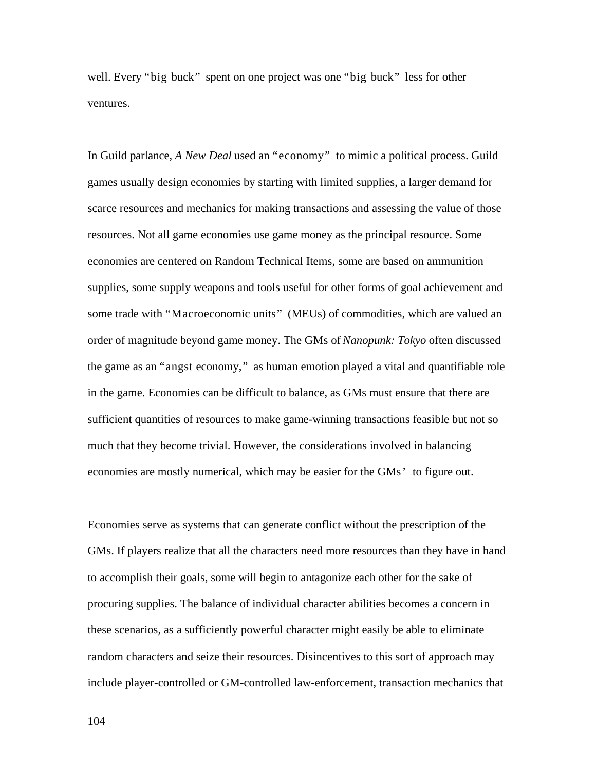well. Every "big buck" spent on one project was one "big buck" less for other ventures.

In Guild parlance, *A New Deal* used an "economy" to mimic a political process. Guild games usually design economies by starting with limited supplies, a larger demand for scarce resources and mechanics for making transactions and assessing the value of those resources. Not all game economies use game money as the principal resource. Some economies are centered on Random Technical Items, some are based on ammunition supplies, some supply weapons and tools useful for other forms of goal achievement and some trade with "Macroeconomic units" (MEUs) of commodities, which are valued an order of magnitude beyond game money. The GMs of *Nanopunk: Tokyo* often discussed the game as an "angst economy," as human emotion played a vital and quantifiable role in the game. Economies can be difficult to balance, as GMs must ensure that there are sufficient quantities of resources to make game-winning transactions feasible but not so much that they become trivial. However, the considerations involved in balancing economies are mostly numerical, which may be easier for the GMs' to figure out.

Economies serve as systems that can generate conflict without the prescription of the GMs. If players realize that all the characters need more resources than they have in hand to accomplish their goals, some will begin to antagonize each other for the sake of procuring supplies. The balance of individual character abilities becomes a concern in these scenarios, as a sufficiently powerful character might easily be able to eliminate random characters and seize their resources. Disincentives to this sort of approach may include player-controlled or GM-controlled law-enforcement, transaction mechanics that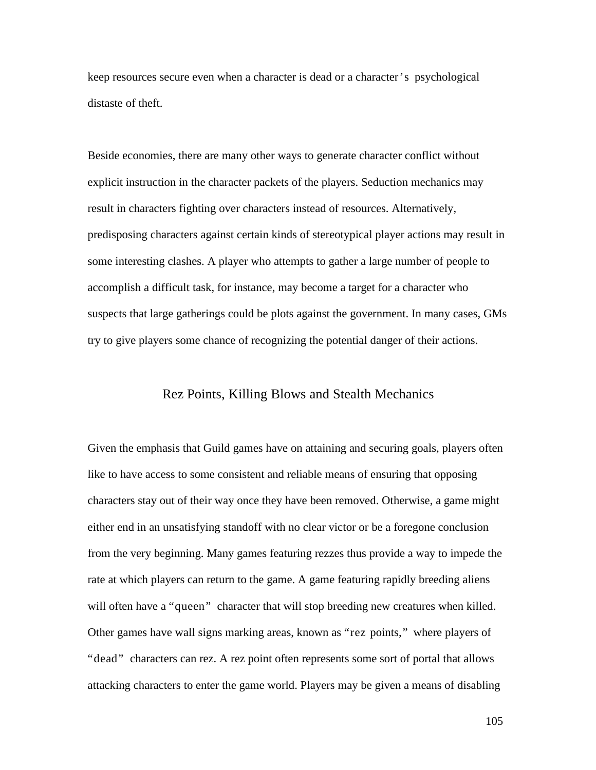keep resources secure even when a character is dead or a character's psychological distaste of theft.

Beside economies, there are many other ways to generate character conflict without explicit instruction in the character packets of the players. Seduction mechanics may result in characters fighting over characters instead of resources. Alternatively, predisposing characters against certain kinds of stereotypical player actions may result in some interesting clashes. A player who attempts to gather a large number of people to accomplish a difficult task, for instance, may become a target for a character who suspects that large gatherings could be plots against the government. In many cases, GMs try to give players some chance of recognizing the potential danger of their actions.

# Rez Points, Killing Blows and Stealth Mechanics

Given the emphasis that Guild games have on attaining and securing goals, players often like to have access to some consistent and reliable means of ensuring that opposing characters stay out of their way once they have been removed. Otherwise, a game might either end in an unsatisfying standoff with no clear victor or be a foregone conclusion from the very beginning. Many games featuring rezzes thus provide a way to impede the rate at which players can return to the game. A game featuring rapidly breeding aliens will often have a "queen" character that will stop breeding new creatures when killed. Other games have wall signs marking areas, known as "rez points," where players of "dead" characters can rez. A rez point often represents some sort of portal that allows attacking characters to enter the game world. Players may be given a means of disabling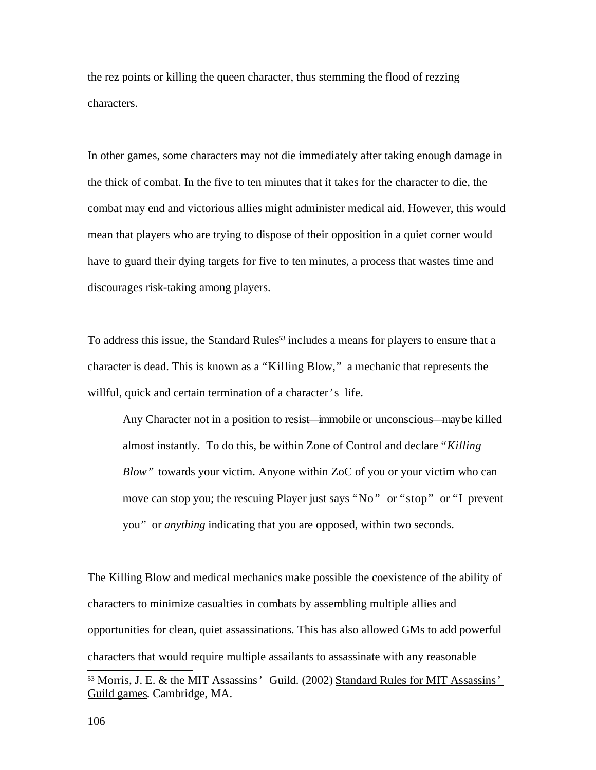the rez points or killing the queen character, thus stemming the flood of rezzing characters.

In other games, some characters may not die immediately after taking enough damage in the thick of combat. In the five to ten minutes that it takes for the character to die, the combat may end and victorious allies might administer medical aid. However, this would mean that players who are trying to dispose of their opposition in a quiet corner would have to guard their dying targets for five to ten minutes, a process that wastes time and discourages risk-taking among players.

To address this issue, the Standard Rules<sup>53</sup> includes a means for players to ensure that a character is dead. This is known as a "Killing Blow," a mechanic that represents the willful, quick and certain termination of a character's life.

Any Character not in a position to resist—immobile or unconscious—may be killed almost instantly. To do this, be within Zone of Control and declare *"Killing Blow"* towards your victim. Anyone within ZoC of you or your victim who can move can stop you; the rescuing Player just says "No" or "stop" or "I prevent you" or *anything* indicating that you are opposed, within two seconds.

The Killing Blow and medical mechanics make possible the coexistence of the ability of characters to minimize casualties in combats by assembling multiple allies and opportunities for clean, quiet assassinations. This has also allowed GMs to add powerful characters that would require multiple assailants to assassinate with any reasonable

<sup>&</sup>lt;sup>53</sup> Morris, J. E. & the MIT Assassins' Guild. (2002) Standard Rules for MIT Assassins' Guild games. Cambridge, MA.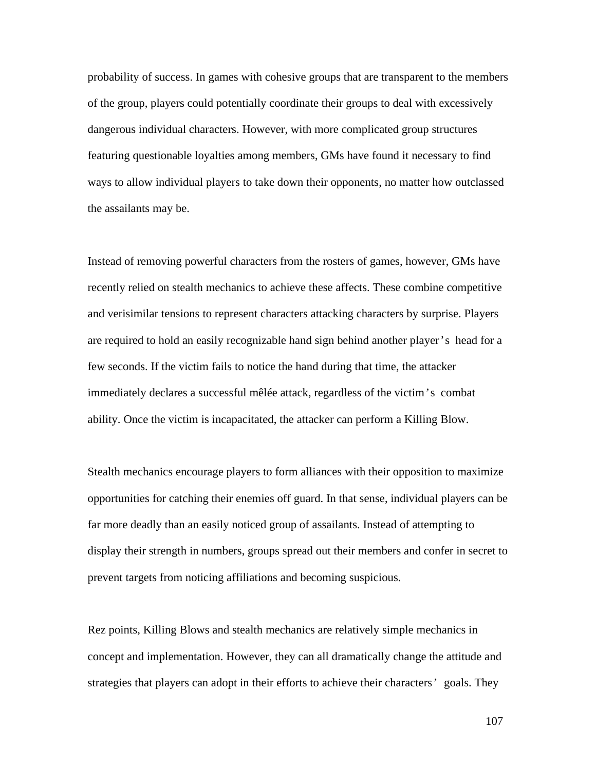probability of success. In games with cohesive groups that are transparent to the members of the group, players could potentially coordinate their groups to deal with excessively dangerous individual characters. However, with more complicated group structures featuring questionable loyalties among members, GMs have found it necessary to find ways to allow individual players to take down their opponents, no matter how outclassed the assailants may be.

Instead of removing powerful characters from the rosters of games, however, GMs have recently relied on stealth mechanics to achieve these affects. These combine competitive and verisimilar tensions to represent characters attacking characters by surprise. Players are required to hold an easily recognizable hand sign behind another player's head for a few seconds. If the victim fails to notice the hand during that time, the attacker immediately declares a successful mêlée attack, regardless of the victim's combat ability. Once the victim is incapacitated, the attacker can perform a Killing Blow.

Stealth mechanics encourage players to form alliances with their opposition to maximize opportunities for catching their enemies off guard. In that sense, individual players can be far more deadly than an easily noticed group of assailants. Instead of attempting to display their strength in numbers, groups spread out their members and confer in secret to prevent targets from noticing affiliations and becoming suspicious.

Rez points, Killing Blows and stealth mechanics are relatively simple mechanics in concept and implementation. However, they can all dramatically change the attitude and strategies that players can adopt in their efforts to achieve their characters' goals. They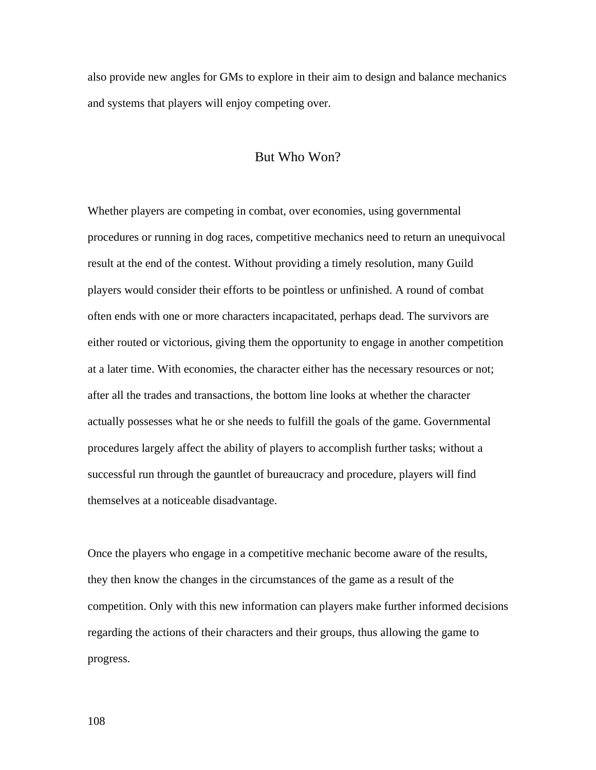also provide new angles for GMs to explore in their aim to design and balance mechanics and systems that players will enjoy competing over.

# But Who Won?

Whether players are competing in combat, over economies, using governmental procedures or running in dog races, competitive mechanics need to return an unequivocal result at the end of the contest. Without providing a timely resolution, many Guild players would consider their efforts to be pointless or unfinished. A round of combat often ends with one or more characters incapacitated, perhaps dead. The survivors are either routed or victorious, giving them the opportunity to engage in another competition at a later time. With economies, the character either has the necessary resources or not; after all the trades and transactions, the bottom line looks at whether the character actually possesses what he or she needs to fulfill the goals of the game. Governmental procedures largely affect the ability of players to accomplish further tasks; without a successful run through the gauntlet of bureaucracy and procedure, players will find themselves at a noticeable disadvantage.

Once the players who engage in a competitive mechanic become aware of the results, they then know the changes in the circumstances of the game as a result of the competition. Only with this new information can players make further informed decisions regarding the actions of their characters and their groups, thus allowing the game to progress.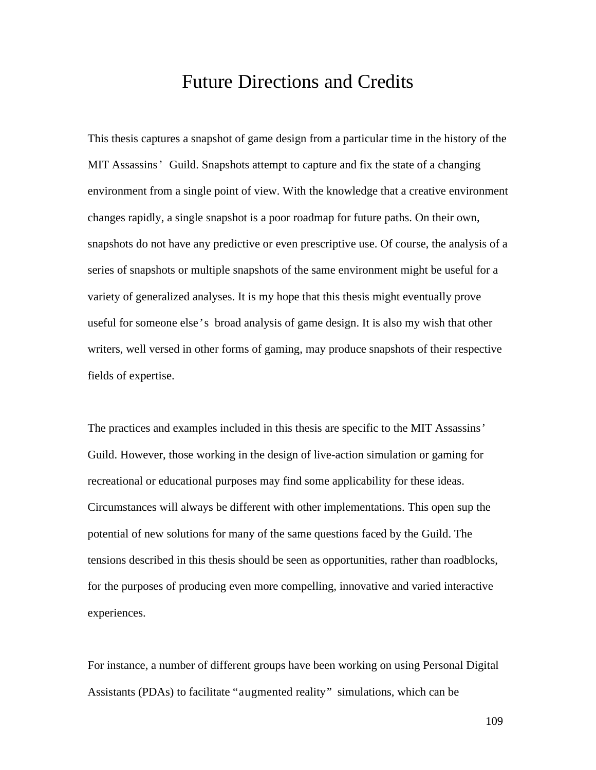## Future Directions and Credits

This thesis captures a snapshot of game design from a particular time in the history of the MIT Assassins' Guild. Snapshots attempt to capture and fix the state of a changing environment from a single point of view. With the knowledge that a creative environment changes rapidly, a single snapshot is a poor roadmap for future paths. On their own, snapshots do not have any predictive or even prescriptive use. Of course, the analysis of a series of snapshots or multiple snapshots of the same environment might be useful for a variety of generalized analyses. It is my hope that this thesis might eventually prove useful for someone else's broad analysis of game design. It is also my wish that other writers, well versed in other forms of gaming, may produce snapshots of their respective fields of expertise.

The practices and examples included in this thesis are specific to the MIT Assassins' Guild. However, those working in the design of live-action simulation or gaming for recreational or educational purposes may find some applicability for these ideas. Circumstances will always be different with other implementations. This open sup the potential of new solutions for many of the same questions faced by the Guild. The tensions described in this thesis should be seen as opportunities, rather than roadblocks, for the purposes of producing even more compelling, innovative and varied interactive experiences.

For instance, a number of different groups have been working on using Personal Digital Assistants (PDAs) to facilitate "augmented reality" simulations, which can be

109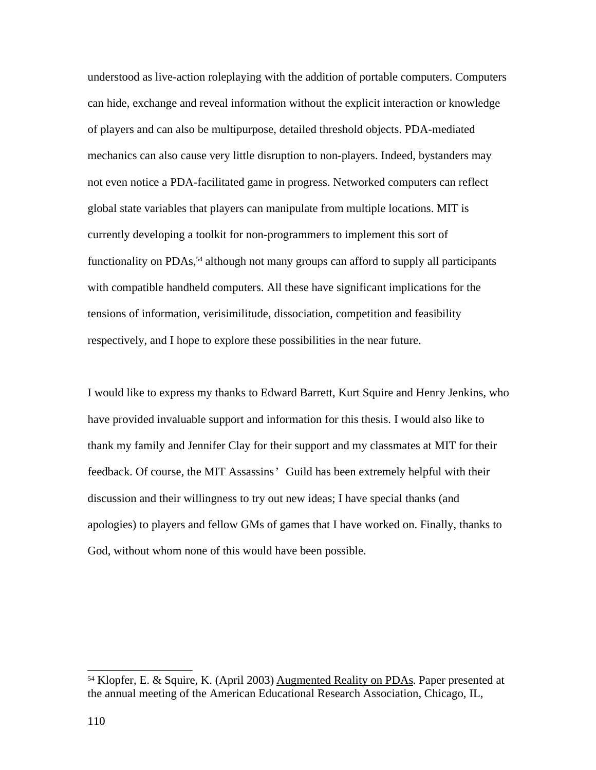understood as live-action roleplaying with the addition of portable computers. Computers can hide, exchange and reveal information without the explicit interaction or knowledge of players and can also be multipurpose, detailed threshold objects. PDA-mediated mechanics can also cause very little disruption to non-players. Indeed, bystanders may not even notice a PDA-facilitated game in progress. Networked computers can reflect global state variables that players can manipulate from multiple locations. MIT is currently developing a toolkit for non-programmers to implement this sort of functionality on PDAs, <sup>54</sup> although not many groups can afford to supply all participants with compatible handheld computers. All these have significant implications for the tensions of information, verisimilitude, dissociation, competition and feasibility respectively, and I hope to explore these possibilities in the near future.

I would like to express my thanks to Edward Barrett, Kurt Squire and Henry Jenkins, who have provided invaluable support and information for this thesis. I would also like to thank my family and Jennifer Clay for their support and my classmates at MIT for their feedback. Of course, the MIT Assassins' Guild has been extremely helpful with their discussion and their willingness to try out new ideas; I have special thanks (and apologies) to players and fellow GMs of games that I have worked on. Finally, thanks to God, without whom none of this would have been possible.

<sup>54</sup> Klopfer, E. & Squire, K. (April 2003) Augmented Reality on PDAs. Paper presented at the annual meeting of the American Educational Research Association, Chicago, IL,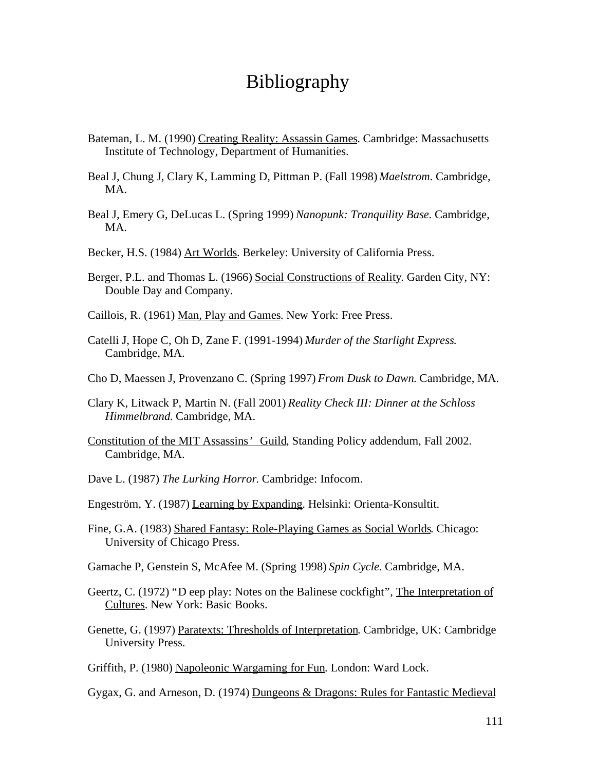# Bibliography

- Bateman, L. M. (1990) Creating Reality: Assassin Games. Cambridge: Massachusetts Institute of Technology, Department of Humanities.
- Beal J, Chung J, Clary K, Lamming D, Pittman P. (Fall 1998) *Maelstrom*. Cambridge, MA.
- Beal J, Emery G, DeLucas L. (Spring 1999) *Nanopunk: Tranquility Base*. Cambridge, MA.
- Becker, H.S. (1984) Art Worlds. Berkeley: University of California Press.
- Berger, P.L. and Thomas L. (1966) Social Constructions of Reality. Garden City, NY: Double Day and Company.
- Caillois, R. (1961) Man, Play and Games. New York: Free Press.
- Catelli J, Hope C, Oh D, Zane F. (1991-1994) *Murder of the Starlight Express*. Cambridge, MA.
- Cho D, Maessen J, Provenzano C. (Spring 1997) *From Dusk to Dawn*. Cambridge, MA.
- Clary K, Litwack P, Martin N. (Fall 2001) *Reality Check III: Dinner at the Schloss Himmelbrand.* Cambridge, MA.
- Constitution of the MIT Assassins' Guild, Standing Policy addendum, Fall 2002. Cambridge, MA.
- Dave L. (1987) *The Lurking Horror*. Cambridge: Infocom.
- Engeström, Y. (1987) Learning by Expanding. Helsinki: Orienta-Konsultit.
- Fine, G.A. (1983) Shared Fantasy: Role-Playing Games as Social Worlds. Chicago: University of Chicago Press.
- Gamache P, Genstein S, McAfee M. (Spring 1998) *Spin Cycle*. Cambridge, MA.
- Geertz, C. (1972) "D eep play: Notes on the Balinese cockfight", The Interpretation of Cultures. New York: Basic Books.
- Genette, G. (1997) Paratexts: Thresholds of Interpretation. Cambridge, UK: Cambridge University Press.
- Griffith, P. (1980) Napoleonic Wargaming for Fun. London: Ward Lock.
- Gygax, G. and Arneson, D. (1974) Dungeons & Dragons: Rules for Fantastic Medieval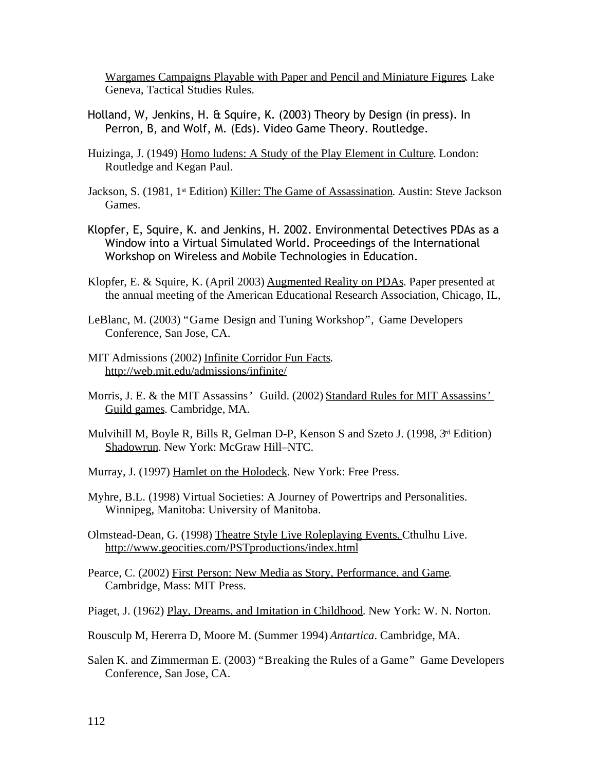Wargames Campaigns Playable with Paper and Pencil and Miniature Figures. Lake Geneva, Tactical Studies Rules.

- Holland, W, Jenkins, H. & Squire, K. (2003) Theory by Design (in press). In Perron, B, and Wolf, M. (Eds). Video Game Theory. Routledge.
- Huizinga, J. (1949) Homo ludens: A Study of the Play Element in Culture. London: Routledge and Kegan Paul.
- Jackson, S. (1981, 1<sup>st</sup> Edition) Killer: The Game of Assassination. Austin: Steve Jackson Games.
- Klopfer, E, Squire, K. and Jenkins, H. 2002. Environmental Detectives PDAs as a Window into a Virtual Simulated World. Proceedings of the International Workshop on Wireless and Mobile Technologies in Education.
- Klopfer, E. & Squire, K. (April 2003) Augmented Reality on PDAs. Paper presented at the annual meeting of the American Educational Research Association, Chicago, IL,
- LeBlanc, M. (2003) "Game Design and Tuning Workshop", Game Developers Conference, San Jose, CA.
- MIT Admissions (2002) Infinite Corridor Fun Facts. http://web.mit.edu/admissions/infinite/
- Morris, J. E. & the MIT Assassins' Guild. (2002) Standard Rules for MIT Assassins' Guild games. Cambridge, MA.
- Mulvihill M, Boyle R, Bills R, Gelman D-P, Kenson S and Szeto J. (1998, 3<sup>rd</sup> Edition) Shadowrun. New York: McGraw Hill–NTC.
- Murray, J. (1997) Hamlet on the Holodeck. New York: Free Press.
- Myhre, B.L. (1998) Virtual Societies: A Journey of Powertrips and Personalities. Winnipeg, Manitoba: University of Manitoba.
- Olmstead-Dean, G. (1998) Theatre Style Live Roleplaying Events. Cthulhu Live. http://www.geocities.com/PSTproductions/index.html
- Pearce, C. (2002) First Person: New Media as Story, Performance, and Game. Cambridge, Mass: MIT Press.
- Piaget, J. (1962) Play, Dreams, and Imitation in Childhood. New York: W. N. Norton.
- Rousculp M, Hererra D, Moore M. (Summer 1994) *Antartica*. Cambridge, MA.
- Salen K. and Zimmerman E. (2003) "Breaking the Rules of a Game" Game Developers Conference, San Jose, CA.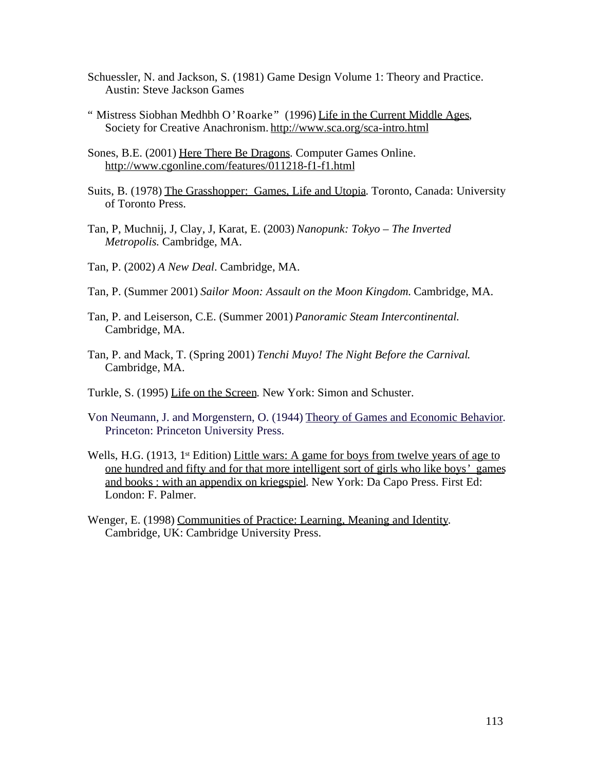- Schuessler, N. and Jackson, S. (1981) Game Design Volume 1: Theory and Practice. Austin: Steve Jackson Games
- " Mistress Siobhan Medhbh O'Roarke" (1996) Life in the Current Middle Ages, Society for Creative Anachronism. http://www.sca.org/sca-intro.html
- Sones, B.E. (2001) Here There Be Dragons. Computer Games Online. http://www.cgonline.com/features/011218-f1-f1.html
- Suits, B. (1978) The Grasshopper: Games, Life and Utopia. Toronto, Canada: University of Toronto Press.
- Tan, P, Muchnij, J, Clay, J, Karat, E. (2003) *Nanopunk: Tokyo The Inverted Metropolis.* Cambridge, MA.
- Tan, P. (2002) *A New Deal*. Cambridge, MA.
- Tan, P. (Summer 2001) *Sailor Moon: Assault on the Moon Kingdom.* Cambridge, MA.
- Tan, P. and Leiserson, C.E. (Summer 2001) *Panoramic Steam Intercontinental.* Cambridge, MA.
- Tan, P. and Mack, T. (Spring 2001) *Tenchi Muyo! The Night Before the Carnival*. Cambridge, MA.
- Turkle, S. (1995) Life on the Screen. New York: Simon and Schuster.
- Von Neumann, J. and Morgenstern, O. (1944) Theory of Games and Economic Behavior. Princeton: Princeton University Press.
- Wells, H.G. (1913, 1<sup>st</sup> Edition) Little wars: A game for boys from twelve years of age to one hundred and fifty and for that more intelligent sort of girls who like boys' games and books : with an appendix on kriegspiel. New York: Da Capo Press. First Ed: London: F. Palmer.
- Wenger, E. (1998) Communities of Practice: Learning, Meaning and Identity. Cambridge, UK: Cambridge University Press.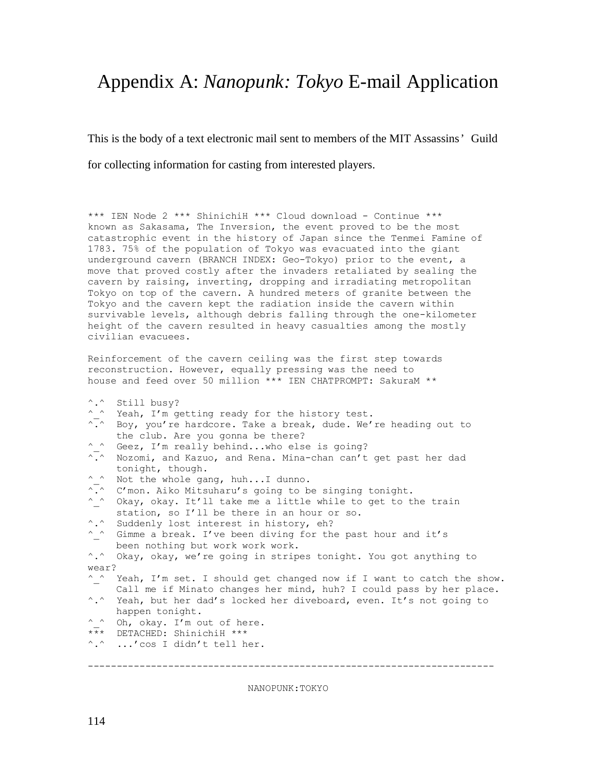# Appendix A: *Nanopunk: Tokyo* E-mail Application

This is the body of a text electronic mail sent to members of the MIT Assassins' Guild for collecting information for casting from interested players.

\*\*\* IEN Node 2 \*\*\* ShinichiH \*\*\* Cloud download - Continue \*\*\* known as Sakasama, The Inversion, the event proved to be the most catastrophic event in the history of Japan since the Tenmei Famine of 1783. 75% of the population of Tokyo was evacuated into the giant underground cavern (BRANCH INDEX: Geo-Tokyo) prior to the event, a move that proved costly after the invaders retaliated by sealing the cavern by raising, inverting, dropping and irradiating metropolitan Tokyo on top of the cavern. A hundred meters of granite between the Tokyo and the cavern kept the radiation inside the cavern within survivable levels, although debris falling through the one-kilometer height of the cavern resulted in heavy casualties among the mostly civilian evacuees.

Reinforcement of the cavern ceiling was the first step towards reconstruction. However, equally pressing was the need to house and feed over 50 million \*\*\* IEN CHATPROMPT: SakuraM \*\*

- ^.^ Still busy?
- ^ ^ Yeah, I'm getting ready for the history test.
- $\overline{\cdot}$ . Boy, you're hardcore. Take a break, dude. We're heading out to the club. Are you gonna be there?
- ^ ^ Geez, I'm really behind...who else is going?
- $\sqrt{n}$  Nozomi, and Kazuo, and Rena. Mina-chan can't get past her dad tonight, though.
- ^ ^ Not the whole gang, huh...I dunno.
- $\overline{\cdot}$ . C'mon. Aiko Mitsuharu's going to be singing tonight.
- ^\_^ Okay, okay. It'll take me a little while to get to the train station, so I'll be there in an hour or so.
- ^.^ Suddenly lost interest in history, eh?
- ^\_^ Gimme a break. I've been diving for the past hour and it's been nothing but work work work.

^.^ Okay, okay, we're going in stripes tonight. You got anything to wear?

- ^ ^ Yeah, I'm set. I should get changed now if I want to catch the show. Call me if Minato changes her mind, huh? I could pass by her place. ^.^ Yeah, but her dad's locked her diveboard, even. It's not going to
- happen tonight.
- ^ ^ Oh, okay. I'm out of here.
- \*\*\* DETACHED: ShinichiH \*\*\*
- ^.^ ...'cos I didn't tell her.

-----------------------------------------------------------------------

NANOPUNK:TOKYO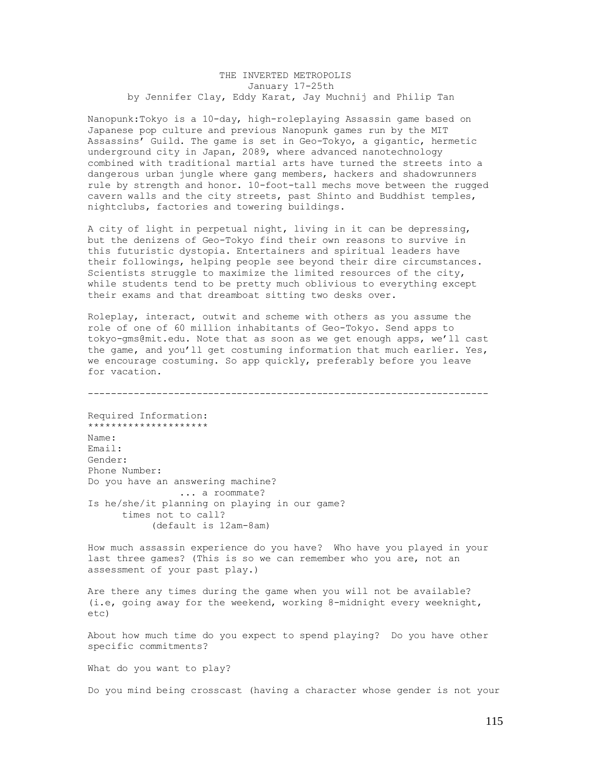## THE INVERTED METROPOLIS January 17-25th by Jennifer Clay, Eddy Karat, Jay Muchnij and Philip Tan

Nanopunk:Tokyo is a 10-day, high-roleplaying Assassin game based on Japanese pop culture and previous Nanopunk games run by the MIT Assassins' Guild. The game is set in Geo-Tokyo, a gigantic, hermetic underground city in Japan, 2089, where advanced nanotechnology combined with traditional martial arts have turned the streets into a dangerous urban jungle where gang members, hackers and shadowrunners rule by strength and honor. 10-foot-tall mechs move between the rugged cavern walls and the city streets, past Shinto and Buddhist temples, nightclubs, factories and towering buildings.

A city of light in perpetual night, living in it can be depressing, but the denizens of Geo-Tokyo find their own reasons to survive in this futuristic dystopia. Entertainers and spiritual leaders have their followings, helping people see beyond their dire circumstances. Scientists struggle to maximize the limited resources of the city, while students tend to be pretty much oblivious to everything except their exams and that dreamboat sitting two desks over.

Roleplay, interact, outwit and scheme with others as you assume the role of one of 60 million inhabitants of Geo-Tokyo. Send apps to tokyo-gms@mit.edu. Note that as soon as we get enough apps, we'll cast the game, and you'll get costuming information that much earlier. Yes, we encourage costuming. So app quickly, preferably before you leave for vacation.

----------------------------------------------------------------------

Required Information: \*\*\*\*\*\*\*\*\*\*\*\*\*\*\*\*\*\*\*\*\* Name: Email: Gender: Phone Number: Do you have an answering machine? ... a roommate? Is he/she/it planning on playing in our game? times not to call? (default is 12am-8am)

How much assassin experience do you have? Who have you played in your last three games? (This is so we can remember who you are, not an assessment of your past play.)

Are there any times during the game when you will not be available? (i.e, going away for the weekend, working 8-midnight every weeknight, etc)

About how much time do you expect to spend playing? Do you have other specific commitments?

What do you want to play?

Do you mind being crosscast (having a character whose gender is not your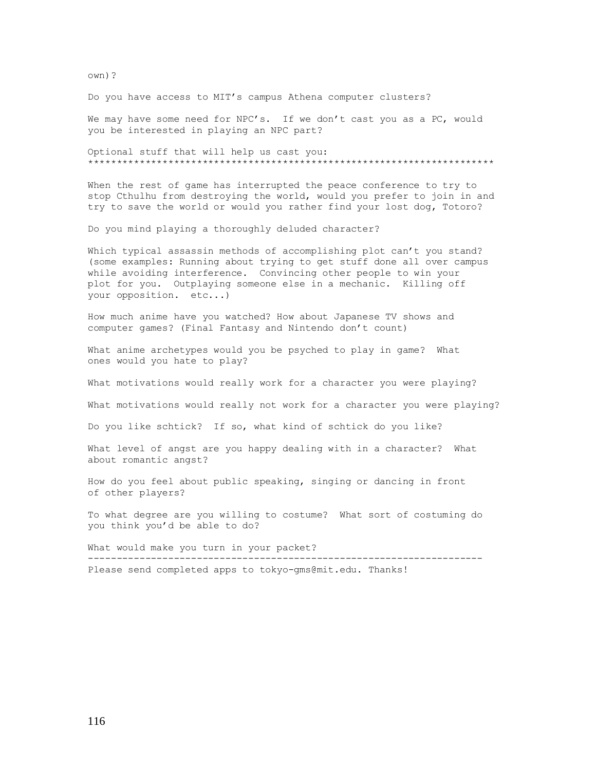own)?

Do you have access to MIT's campus Athena computer clusters?

We may have some need for NPC's. If we don't cast you as a PC, would you be interested in playing an NPC part?

Optional stuff that will help us cast you: \*\*\*\*\*\*\*\*\*\*\*\*\*\*\*\*\*\*\*\*\*\*\*\*\*\*\*\*\*\*\*\*\*\*\*\*\*\*\*\*\*\*\*\*\*\*\*\*\*\*\*\*\*\*\*\*\*\*\*\*\*\*\*\*\*\*\*\*\*\*\*

When the rest of game has interrupted the peace conference to try to stop Cthulhu from destroying the world, would you prefer to join in and try to save the world or would you rather find your lost dog, Totoro?

Do you mind playing a thoroughly deluded character?

Which typical assassin methods of accomplishing plot can't you stand? (some examples: Running about trying to get stuff done all over campus while avoiding interference. Convincing other people to win your plot for you. Outplaying someone else in a mechanic. Killing off your opposition. etc...)

How much anime have you watched? How about Japanese TV shows and computer games? (Final Fantasy and Nintendo don't count)

What anime archetypes would you be psyched to play in game? What ones would you hate to play?

What motivations would really work for a character you were playing?

What motivations would really not work for a character you were playing?

Do you like schtick? If so, what kind of schtick do you like?

What level of angst are you happy dealing with in a character? What about romantic angst?

How do you feel about public speaking, singing or dancing in front of other players?

To what degree are you willing to costume? What sort of costuming do you think you'd be able to do?

What would make you turn in your packet? --------------------------------------------------------------------- Please send completed apps to tokyo-gms@mit.edu. Thanks!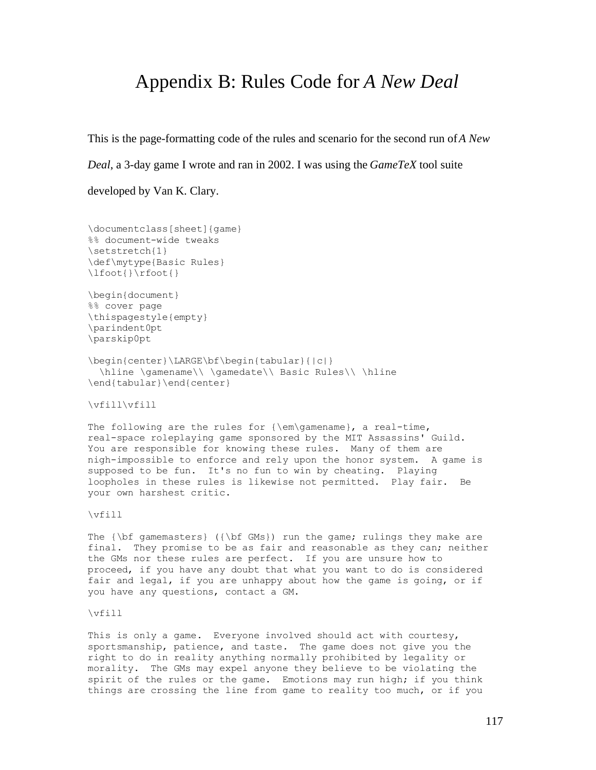## Appendix B: Rules Code for *A New Deal*

This is the page-formatting code of the rules and scenario for the second run of*A New*

*Deal*, a 3-day game I wrote and ran in 2002. I was using the *GameTeX* tool suite

developed by Van K. Clary.

```
\documentclass[sheet]{game}
%% document-wide tweaks
\setstretch{1}
\def\mytype{Basic Rules}
\lfoot{}\rfoot{}
\begin{document}
%% cover page
\thispagestyle{empty}
\parindent0pt
\parskip0pt
\begin{center}\LARGE\bf\begin{tabular}{|c|}
 \hline \gamename\\ \gamedate\\ Basic Rules\\ \hline
\end{tabular}\end{center}
```
\vfill\vfill

The following are the rules for  ${\emptyset}$ , a real-time, real-space roleplaying game sponsored by the MIT Assassins' Guild. You are responsible for knowing these rules. Many of them are nigh-impossible to enforce and rely upon the honor system. A game is supposed to be fun. It's no fun to win by cheating. Playing loopholes in these rules is likewise not permitted. Play fair. Be your own harshest critic.

\vfill

The  ${\bf f}$  gamemasters} ( ${\bf f}$  GMs}) run the game; rulings they make are final. They promise to be as fair and reasonable as they can; neither the GMs nor these rules are perfect. If you are unsure how to proceed, if you have any doubt that what you want to do is considered fair and legal, if you are unhappy about how the game is going, or if you have any questions, contact a GM.

\vfill

This is only a game. Everyone involved should act with courtesy, sportsmanship, patience, and taste. The game does not give you the right to do in reality anything normally prohibited by legality or morality. The GMs may expel anyone they believe to be violating the spirit of the rules or the game. Emotions may run high; if you think things are crossing the line from game to reality too much, or if you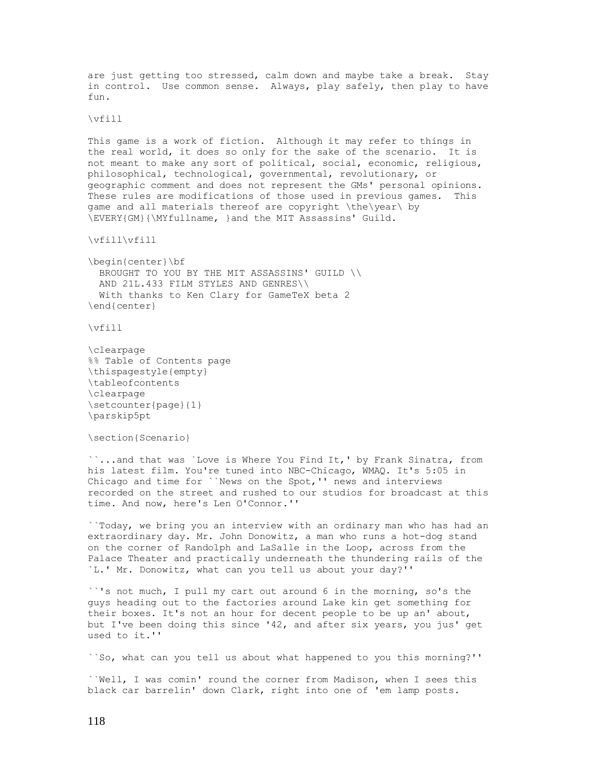are just getting too stressed, calm down and maybe take a break. Stay in control. Use common sense. Always, play safely, then play to have fun.

#### \vfill

This game is a work of fiction. Although it may refer to things in the real world, it does so only for the sake of the scenario. It is not meant to make any sort of political, social, economic, religious, philosophical, technological, governmental, revolutionary, or geographic comment and does not represent the GMs' personal opinions. These rules are modifications of those used in previous games. This game and all materials thereof are copyright \the\year\ by \EVERY{GM}{\MYfullname, }and the MIT Assassins' Guild.

\vfill\vfill

\begin{center}\bf BROUGHT TO YOU BY THE MIT ASSASSINS' GUILD \\ AND 21L.433 FILM STYLES AND GENRES\\ With thanks to Ken Clary for GameTeX beta 2 \end{center}

\vfill

```
\clearpage
%% Table of Contents page
\thispagestyle{empty}
\tableofcontents
\clearpage
\setcounter{page}{1}
\parskip5pt
```
\section{Scenario}

``...and that was `Love is Where You Find It,' by Frank Sinatra, from his latest film. You're tuned into NBC-Chicago, WMAQ. It's 5:05 in Chicago and time for ``News on the Spot,'' news and interviews recorded on the street and rushed to our studios for broadcast at this time. And now, here's Len O'Connor.''

``Today, we bring you an interview with an ordinary man who has had an extraordinary day. Mr. John Donowitz, a man who runs a hot-dog stand on the corner of Randolph and LaSalle in the Loop, across from the Palace Theater and practically underneath the thundering rails of the `L.' Mr. Donowitz, what can you tell us about your day?''

``'s not much, I pull my cart out around 6 in the morning, so's the guys heading out to the factories around Lake kin get something for their boxes. It's not an hour for decent people to be up an' about, but I've been doing this since '42, and after six years, you jus' get used to it.''

``So, what can you tell us about what happened to you this morning?''

``Well, I was comin' round the corner from Madison, when I sees this black car barrelin' down Clark, right into one of 'em lamp posts.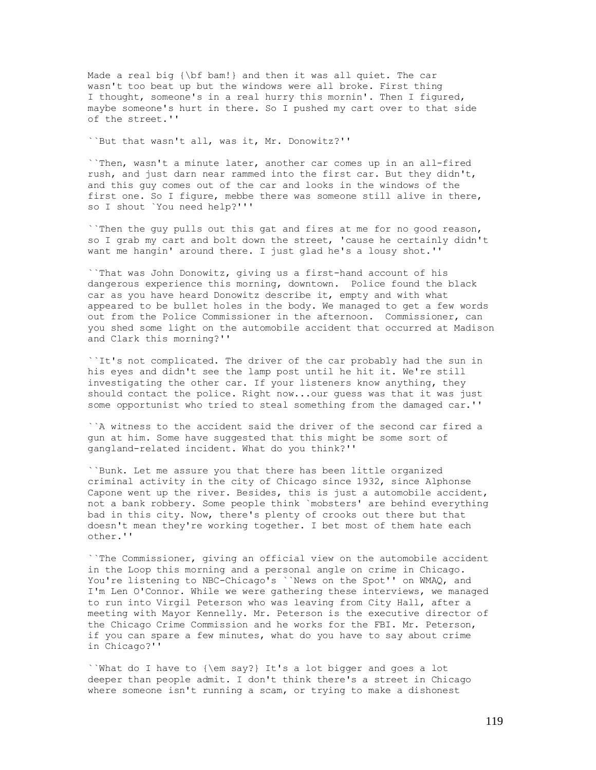Made a real big {\bf bam!} and then it was all quiet. The car wasn't too beat up but the windows were all broke. First thing I thought, someone's in a real hurry this mornin'. Then I figured, maybe someone's hurt in there. So I pushed my cart over to that side of the street.''

``But that wasn't all, was it, Mr. Donowitz?''

``Then, wasn't a minute later, another car comes up in an all-fired rush, and just darn near rammed into the first car. But they didn't, and this guy comes out of the car and looks in the windows of the first one. So I figure, mebbe there was someone still alive in there, so I shout `You need help?'''

``Then the guy pulls out this gat and fires at me for no good reason, so I grab my cart and bolt down the street, 'cause he certainly didn't want me hangin' around there. I just glad he's a lousy shot.''

``That was John Donowitz, giving us a first-hand account of his dangerous experience this morning, downtown. Police found the black car as you have heard Donowitz describe it, empty and with what appeared to be bullet holes in the body. We managed to get a few words out from the Police Commissioner in the afternoon. Commissioner, can you shed some light on the automobile accident that occurred at Madison and Clark this morning?''

``It's not complicated. The driver of the car probably had the sun in his eyes and didn't see the lamp post until he hit it. We're still investigating the other car. If your listeners know anything, they should contact the police. Right now...our guess was that it was just some opportunist who tried to steal something from the damaged car.''

``A witness to the accident said the driver of the second car fired a gun at him. Some have suggested that this might be some sort of gangland-related incident. What do you think?''

``Bunk. Let me assure you that there has been little organized criminal activity in the city of Chicago since 1932, since Alphonse Capone went up the river. Besides, this is just a automobile accident, not a bank robbery. Some people think `mobsters' are behind everything bad in this city. Now, there's plenty of crooks out there but that doesn't mean they're working together. I bet most of them hate each other.''

``The Commissioner, giving an official view on the automobile accident in the Loop this morning and a personal angle on crime in Chicago. You're listening to NBC-Chicago's ``News on the Spot'' on WMAQ, and I'm Len O'Connor. While we were gathering these interviews, we managed to run into Virgil Peterson who was leaving from City Hall, after a meeting with Mayor Kennelly. Mr. Peterson is the executive director of the Chicago Crime Commission and he works for the FBI. Mr. Peterson, if you can spare a few minutes, what do you have to say about crime in Chicago?''

``What do I have to {\em say?} It's a lot bigger and goes a lot deeper than people admit. I don't think there's a street in Chicago where someone isn't running a scam, or trying to make a dishonest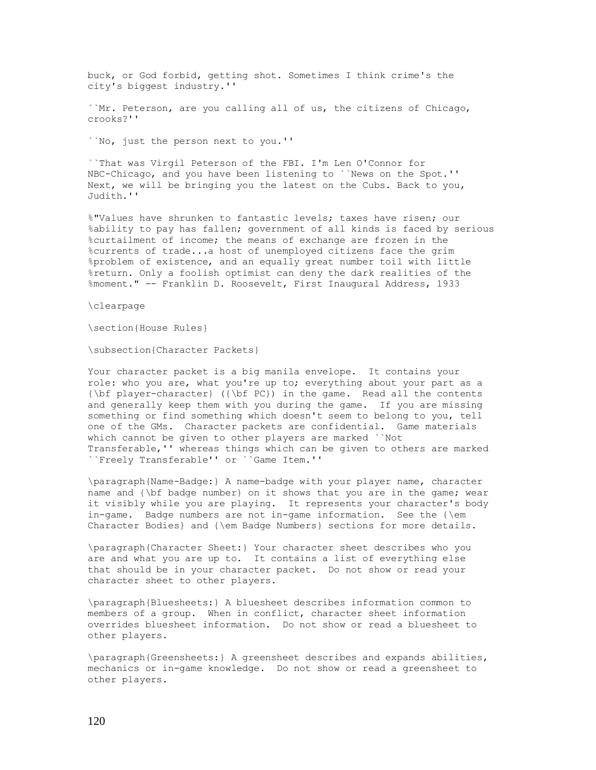buck, or God forbid, getting shot. Sometimes I think crime's the city's biggest industry.''

``Mr. Peterson, are you calling all of us, the citizens of Chicago, crooks?''

``No, just the person next to you.''

``That was Virgil Peterson of the FBI. I'm Len O'Connor for NBC-Chicago, and you have been listening to ``News on the Spot.'' Next, we will be bringing you the latest on the Cubs. Back to you, Judith.''

%"Values have shrunken to fantastic levels; taxes have risen; our %ability to pay has fallen; government of all kinds is faced by serious %curtailment of income; the means of exchange are frozen in the %currents of trade...a host of unemployed citizens face the grim %problem of existence, and an equally great number toil with little %return. Only a foolish optimist can deny the dark realities of the %moment." -- Franklin D. Roosevelt, First Inaugural Address, 1933

\clearpage

\section{House Rules}

\subsection{Character Packets}

Your character packet is a big manila envelope. It contains your role: who you are, what you're up to; everything about your part as a {\bf player-character} ({\bf PC}) in the game. Read all the contents and generally keep them with you during the game. If you are missing something or find something which doesn't seem to belong to you, tell one of the GMs. Character packets are confidential. Game materials which cannot be given to other players are marked ``Not Transferable,'' whereas things which can be given to others are marked ``Freely Transferable'' or ``Game Item.''

\paragraph{Name-Badge:} A name-badge with your player name, character name and {\bf badge number} on it shows that you are in the game; wear it visibly while you are playing. It represents your character's body in-game. Badge numbers are not in-game information. See the {\em Character Bodies} and {\em Badge Numbers} sections for more details.

\paragraph{Character Sheet:} Your character sheet describes who you are and what you are up to. It contains a list of everything else that should be in your character packet. Do not show or read your character sheet to other players.

\paragraph{Bluesheets:} A bluesheet describes information common to members of a group. When in conflict, character sheet information overrides bluesheet information. Do not show or read a bluesheet to other players.

\paragraph{Greensheets:} A greensheet describes and expands abilities, mechanics or in-game knowledge. Do not show or read a greensheet to other players.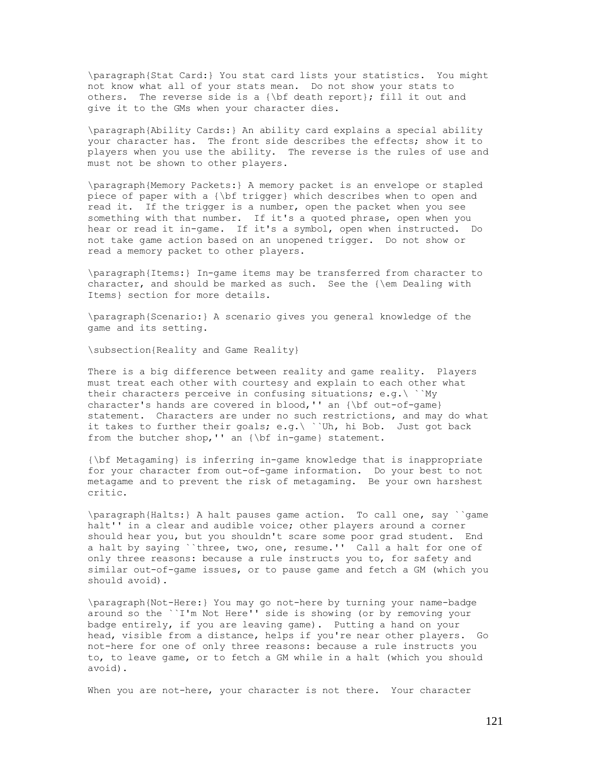\paragraph{Stat Card:} You stat card lists your statistics. You might not know what all of your stats mean. Do not show your stats to others. The reverse side is a {\bf death report}; fill it out and give it to the GMs when your character dies.

\paragraph{Ability Cards:} An ability card explains a special ability your character has. The front side describes the effects; show it to players when you use the ability. The reverse is the rules of use and must not be shown to other players.

\paragraph{Memory Packets:} A memory packet is an envelope or stapled piece of paper with a {\bf trigger} which describes when to open and read it. If the trigger is a number, open the packet when you see something with that number. If it's a quoted phrase, open when you hear or read it in-game. If it's a symbol, open when instructed. Do not take game action based on an unopened trigger. Do not show or read a memory packet to other players.

\paragraph{Items:} In-game items may be transferred from character to character, and should be marked as such. See the {\em Dealing with Items} section for more details.

\paragraph{Scenario:} A scenario gives you general knowledge of the game and its setting.

\subsection{Reality and Game Reality}

There is a big difference between reality and game reality. Players must treat each other with courtesy and explain to each other what their characters perceive in confusing situations; e.g.\ ``My character's hands are covered in blood,'' an {\bf out-of-game} statement. Characters are under no such restrictions, and may do what it takes to further their goals; e.g.\ ``Uh, hi Bob. Just got back from the butcher shop,'' an {\bf in-game} statement.

{\bf Metagaming} is inferring in-game knowledge that is inappropriate for your character from out-of-game information. Do your best to not metagame and to prevent the risk of metagaming. Be your own harshest critic.

\paragraph{Halts:} A halt pauses game action. To call one, say ``game halt'' in a clear and audible voice; other players around a corner should hear you, but you shouldn't scare some poor grad student. End a halt by saying ``three, two, one, resume.'' Call a halt for one of only three reasons: because a rule instructs you to, for safety and similar out-of-game issues, or to pause game and fetch a GM (which you should avoid).

\paragraph{Not-Here:} You may go not-here by turning your name-badge around so the ``I'm Not Here'' side is showing (or by removing your badge entirely, if you are leaving game). Putting a hand on your head, visible from a distance, helps if you're near other players. Go not-here for one of only three reasons: because a rule instructs you to, to leave game, or to fetch a GM while in a halt (which you should avoid).

When you are not-here, your character is not there. Your character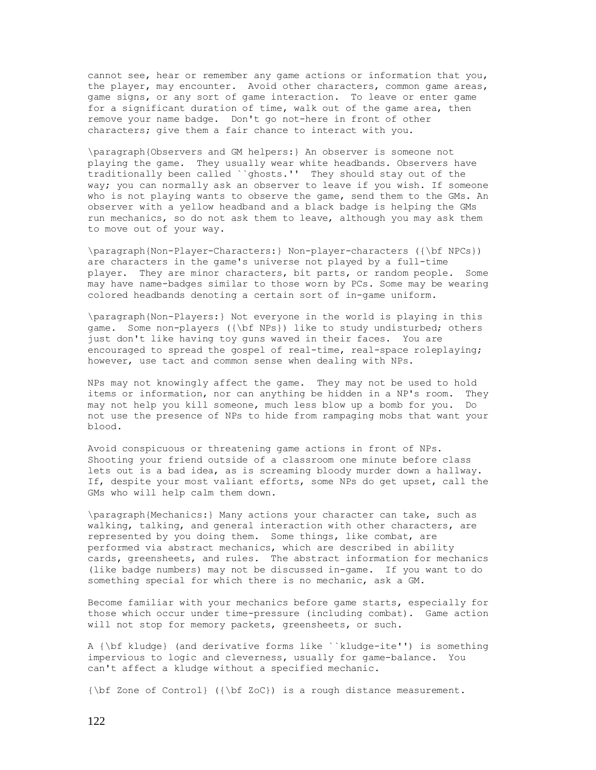cannot see, hear or remember any game actions or information that you, the player, may encounter. Avoid other characters, common game areas, game signs, or any sort of game interaction. To leave or enter game for a significant duration of time, walk out of the game area, then remove your name badge. Don't go not-here in front of other characters; give them a fair chance to interact with you.

\paragraph{Observers and GM helpers:} An observer is someone not playing the game. They usually wear white headbands. Observers have traditionally been called ``ghosts.'' They should stay out of the way; you can normally ask an observer to leave if you wish. If someone who is not playing wants to observe the game, send them to the GMs. An observer with a yellow headband and a black badge is helping the GMs run mechanics, so do not ask them to leave, although you may ask them to move out of your way.

\paragraph{Non-Player-Characters:} Non-player-characters ({\bf NPCs}) are characters in the game's universe not played by a full-time player. They are minor characters, bit parts, or random people. Some may have name-badges similar to those worn by PCs. Some may be wearing colored headbands denoting a certain sort of in-game uniform.

\paragraph{Non-Players:} Not everyone in the world is playing in this game. Some non-players ({\bf NPs}) like to study undisturbed; others just don't like having toy guns waved in their faces. You are encouraged to spread the gospel of real-time, real-space roleplaying; however, use tact and common sense when dealing with NPs.

NPs may not knowingly affect the game. They may not be used to hold items or information, nor can anything be hidden in a NP's room. They may not help you kill someone, much less blow up a bomb for you. Do not use the presence of NPs to hide from rampaging mobs that want your blood.

Avoid conspicuous or threatening game actions in front of NPs. Shooting your friend outside of a classroom one minute before class lets out is a bad idea, as is screaming bloody murder down a hallway. If, despite your most valiant efforts, some NPs do get upset, call the GMs who will help calm them down.

\paragraph{Mechanics:} Many actions your character can take, such as walking, talking, and general interaction with other characters, are represented by you doing them. Some things, like combat, are performed via abstract mechanics, which are described in ability cards, greensheets, and rules. The abstract information for mechanics (like badge numbers) may not be discussed in-game. If you want to do something special for which there is no mechanic, ask a GM.

Become familiar with your mechanics before game starts, especially for those which occur under time-pressure (including combat). Game action will not stop for memory packets, greensheets, or such.

A {\bf kludge} (and derivative forms like ``kludge-ite'') is something impervious to logic and cleverness, usually for game-balance. You can't affect a kludge without a specified mechanic.

{\bf Zone of Control} ({\bf ZoC}) is a rough distance measurement.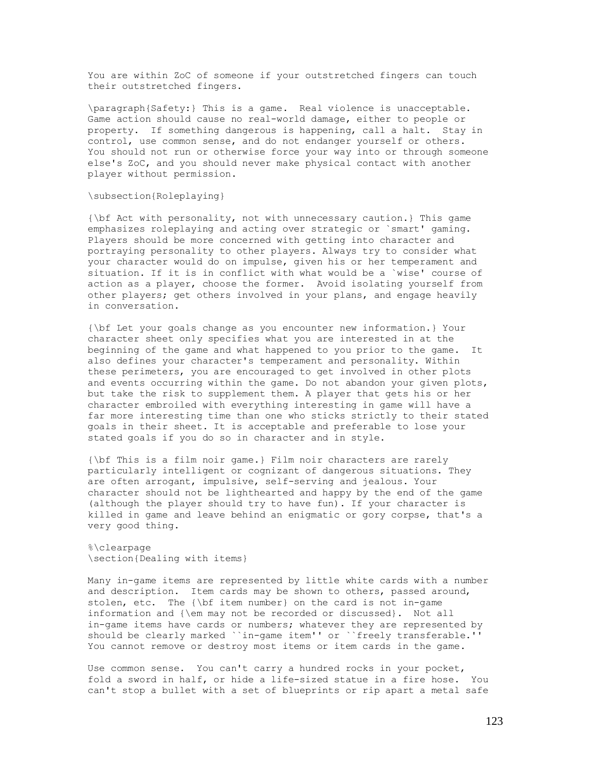You are within ZoC of someone if your outstretched fingers can touch their outstretched fingers.

\paragraph{Safety:} This is a game. Real violence is unacceptable. Game action should cause no real-world damage, either to people or property. If something dangerous is happening, call a halt. Stay in control, use common sense, and do not endanger yourself or others. You should not run or otherwise force your way into or through someone else's ZoC, and you should never make physical contact with another player without permission.

### \subsection{Roleplaying}

{\bf Act with personality, not with unnecessary caution.} This game emphasizes roleplaying and acting over strategic or `smart' gaming. Players should be more concerned with getting into character and portraying personality to other players. Always try to consider what your character would do on impulse, given his or her temperament and situation. If it is in conflict with what would be a `wise' course of action as a player, choose the former. Avoid isolating yourself from other players; get others involved in your plans, and engage heavily in conversation.

{\bf Let your goals change as you encounter new information.} Your character sheet only specifies what you are interested in at the beginning of the game and what happened to you prior to the game. It also defines your character's temperament and personality. Within these perimeters, you are encouraged to get involved in other plots and events occurring within the game. Do not abandon your given plots, but take the risk to supplement them. A player that gets his or her character embroiled with everything interesting in game will have a far more interesting time than one who sticks strictly to their stated goals in their sheet. It is acceptable and preferable to lose your stated goals if you do so in character and in style.

{\bf This is a film noir game.} Film noir characters are rarely particularly intelligent or cognizant of dangerous situations. They are often arrogant, impulsive, self-serving and jealous. Your character should not be lighthearted and happy by the end of the game (although the player should try to have fun). If your character is killed in game and leave behind an enigmatic or gory corpse, that's a very good thing.

%\clearpage \section{Dealing with items}

Many in-game items are represented by little white cards with a number and description. Item cards may be shown to others, passed around, stolen, etc. The {\bf item number} on the card is not in-game information and {\em may not be recorded or discussed}. Not all in-game items have cards or numbers; whatever they are represented by should be clearly marked ``in-game item'' or ``freely transferable.'' You cannot remove or destroy most items or item cards in the game.

Use common sense. You can't carry a hundred rocks in your pocket, fold a sword in half, or hide a life-sized statue in a fire hose. You can't stop a bullet with a set of blueprints or rip apart a metal safe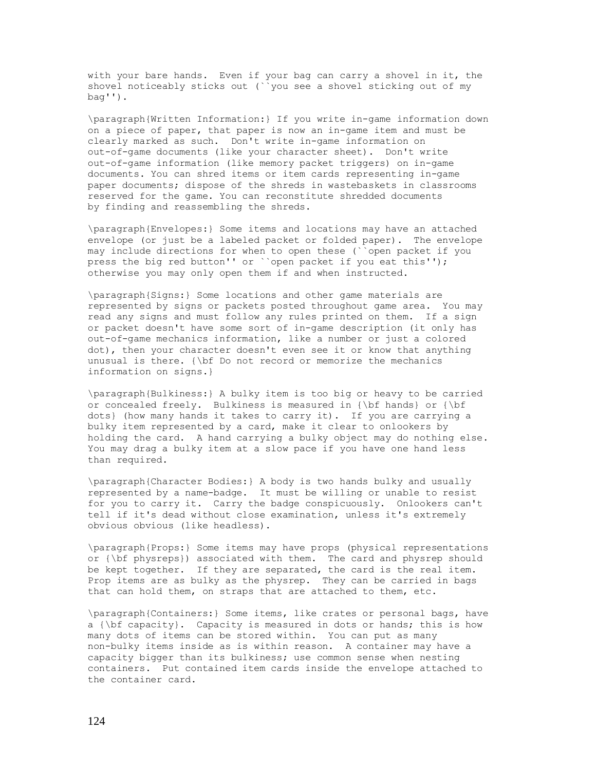with your bare hands. Even if your bag can carry a shovel in it, the shovel noticeably sticks out (``you see a shovel sticking out of my bag'').

\paragraph{Written Information:} If you write in-game information down on a piece of paper, that paper is now an in-game item and must be clearly marked as such. Don't write in-game information on out-of-game documents (like your character sheet). Don't write out-of-game information (like memory packet triggers) on in-game documents. You can shred items or item cards representing in-game paper documents; dispose of the shreds in wastebaskets in classrooms reserved for the game. You can reconstitute shredded documents by finding and reassembling the shreds.

\paragraph{Envelopes:} Some items and locations may have an attached envelope (or just be a labeled packet or folded paper). The envelope may include directions for when to open these (``open packet if you press the big red button'' or ``open packet if you eat this''); otherwise you may only open them if and when instructed.

\paragraph{Signs:} Some locations and other game materials are represented by signs or packets posted throughout game area. You may read any signs and must follow any rules printed on them. If a sign or packet doesn't have some sort of in-game description (it only has out-of-game mechanics information, like a number or just a colored dot), then your character doesn't even see it or know that anything unusual is there. {\bf Do not record or memorize the mechanics information on signs.}

\paragraph{Bulkiness:} A bulky item is too big or heavy to be carried or concealed freely. Bulkiness is measured in {\bf hands} or {\bf dots} (how many hands it takes to carry it). If you are carrying a bulky item represented by a card, make it clear to onlookers by holding the card. A hand carrying a bulky object may do nothing else. You may drag a bulky item at a slow pace if you have one hand less than required.

\paragraph{Character Bodies:} A body is two hands bulky and usually represented by a name-badge. It must be willing or unable to resist for you to carry it. Carry the badge conspicuously. Onlookers can't tell if it's dead without close examination, unless it's extremely obvious obvious (like headless).

\paragraph{Props:} Some items may have props (physical representations or {\bf physreps}) associated with them. The card and physrep should be kept together. If they are separated, the card is the real item. Prop items are as bulky as the physrep. They can be carried in bags that can hold them, on straps that are attached to them, etc.

\paragraph{Containers:} Some items, like crates or personal bags, have a {\bf capacity}. Capacity is measured in dots or hands; this is how many dots of items can be stored within. You can put as many non-bulky items inside as is within reason. A container may have a capacity bigger than its bulkiness; use common sense when nesting containers. Put contained item cards inside the envelope attached to the container card.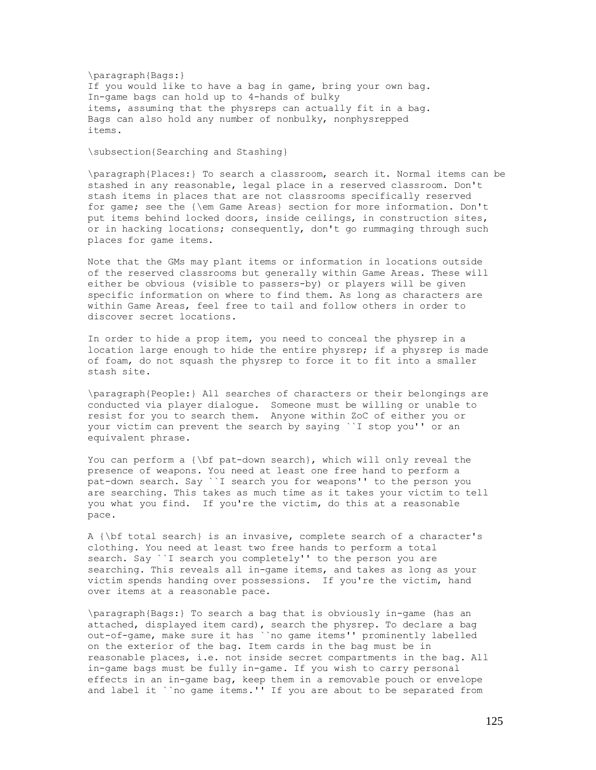\paragraph{Bags:} If you would like to have a bag in game, bring your own bag. In-game bags can hold up to 4-hands of bulky items, assuming that the physreps can actually fit in a bag. Bags can also hold any number of nonbulky, nonphysrepped items.

\subsection{Searching and Stashing}

\paragraph{Places:} To search a classroom, search it. Normal items can be stashed in any reasonable, legal place in a reserved classroom. Don't stash items in places that are not classrooms specifically reserved for game; see the {\em Game Areas} section for more information. Don't put items behind locked doors, inside ceilings, in construction sites, or in hacking locations; consequently, don't go rummaging through such places for game items.

Note that the GMs may plant items or information in locations outside of the reserved classrooms but generally within Game Areas. These will either be obvious (visible to passers-by) or players will be given specific information on where to find them. As long as characters are within Game Areas, feel free to tail and follow others in order to discover secret locations.

In order to hide a prop item, you need to conceal the physrep in a location large enough to hide the entire physrep; if a physrep is made of foam, do not squash the physrep to force it to fit into a smaller stash site.

\paragraph{People:} All searches of characters or their belongings are conducted via player dialogue. Someone must be willing or unable to resist for you to search them. Anyone within ZoC of either you or your victim can prevent the search by saying ``I stop you'' or an equivalent phrase.

You can perform a {\bf pat-down search}, which will only reveal the presence of weapons. You need at least one free hand to perform a pat-down search. Say ``I search you for weapons'' to the person you are searching. This takes as much time as it takes your victim to tell you what you find. If you're the victim, do this at a reasonable pace.

A {\bf total search} is an invasive, complete search of a character's clothing. You need at least two free hands to perform a total search. Say ``I search you completely'' to the person you are searching. This reveals all in-game items, and takes as long as your victim spends handing over possessions. If you're the victim, hand over items at a reasonable pace.

\paragraph{Bags:} To search a bag that is obviously in-game (has an attached, displayed item card), search the physrep. To declare a bag out-of-game, make sure it has ``no game items'' prominently labelled on the exterior of the bag. Item cards in the bag must be in reasonable places, i.e. not inside secret compartments in the bag. All in-game bags must be fully in-game. If you wish to carry personal effects in an in-game bag, keep them in a removable pouch or envelope and label it ``no game items.'' If you are about to be separated from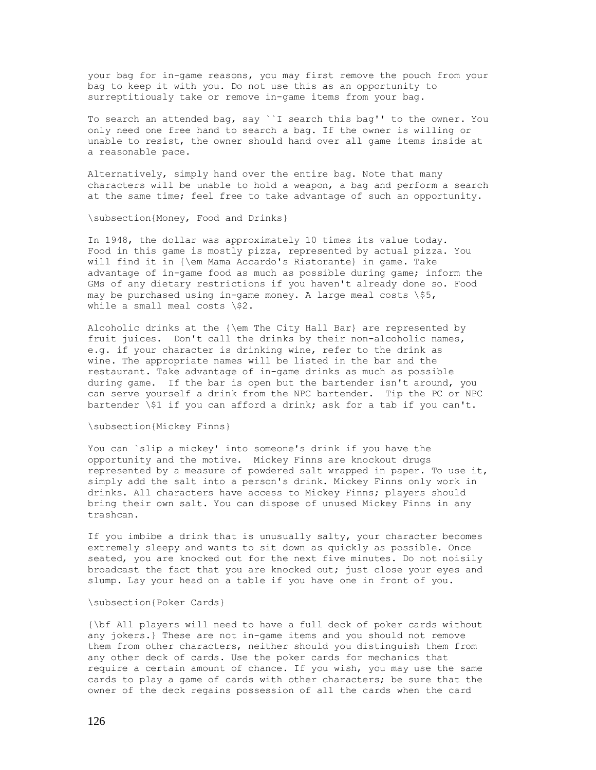your bag for in-game reasons, you may first remove the pouch from your bag to keep it with you. Do not use this as an opportunity to surreptitiously take or remove in-game items from your bag.

To search an attended bag, say ``I search this bag'' to the owner. You only need one free hand to search a bag. If the owner is willing or unable to resist, the owner should hand over all game items inside at a reasonable pace.

Alternatively, simply hand over the entire bag. Note that many characters will be unable to hold a weapon, a bag and perform a search at the same time; feel free to take advantage of such an opportunity.

\subsection{Money, Food and Drinks}

In 1948, the dollar was approximately 10 times its value today. Food in this game is mostly pizza, represented by actual pizza. You will find it in {\em Mama Accardo's Ristorante} in game. Take advantage of in-game food as much as possible during game; inform the GMs of any dietary restrictions if you haven't already done so. Food may be purchased using in-game money. A large meal costs  $\$ 5, while a small meal costs \\$2.

Alcoholic drinks at the {\em The City Hall Bar} are represented by fruit juices. Don't call the drinks by their non-alcoholic names, e.g. if your character is drinking wine, refer to the drink as wine. The appropriate names will be listed in the bar and the restaurant. Take advantage of in-game drinks as much as possible during game. If the bar is open but the bartender isn't around, you can serve yourself a drink from the NPC bartender. Tip the PC or NPC bartender \\$1 if you can afford a drink; ask for a tab if you can't.

#### \subsection{Mickey Finns}

You can `slip a mickey' into someone's drink if you have the opportunity and the motive. Mickey Finns are knockout drugs represented by a measure of powdered salt wrapped in paper. To use it, simply add the salt into a person's drink. Mickey Finns only work in drinks. All characters have access to Mickey Finns; players should bring their own salt. You can dispose of unused Mickey Finns in any trashcan.

If you imbibe a drink that is unusually salty, your character becomes extremely sleepy and wants to sit down as quickly as possible. Once seated, you are knocked out for the next five minutes. Do not noisily broadcast the fact that you are knocked out; just close your eyes and slump. Lay your head on a table if you have one in front of you.

#### \subsection{Poker Cards}

{\bf All players will need to have a full deck of poker cards without any jokers.} These are not in-game items and you should not remove them from other characters, neither should you distinguish them from any other deck of cards. Use the poker cards for mechanics that require a certain amount of chance. If you wish, you may use the same cards to play a game of cards with other characters; be sure that the owner of the deck regains possession of all the cards when the card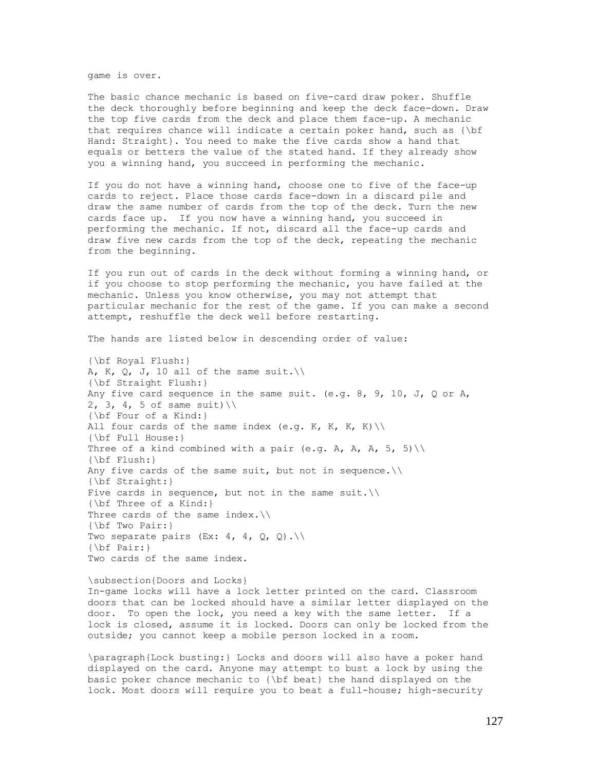game is over.

The basic chance mechanic is based on five-card draw poker. Shuffle the deck thoroughly before beginning and keep the deck face-down. Draw the top five cards from the deck and place them face-up. A mechanic that requires chance will indicate a certain poker hand, such as {\bf Hand: Straight}. You need to make the five cards show a hand that equals or betters the value of the stated hand. If they already show you a winning hand, you succeed in performing the mechanic.

If you do not have a winning hand, choose one to five of the face-up cards to reject. Place those cards face-down in a discard pile and draw the same number of cards from the top of the deck. Turn the new cards face up. If you now have a winning hand, you succeed in performing the mechanic. If not, discard all the face-up cards and draw five new cards from the top of the deck, repeating the mechanic from the beginning.

If you run out of cards in the deck without forming a winning hand, or if you choose to stop performing the mechanic, you have failed at the mechanic. Unless you know otherwise, you may not attempt that particular mechanic for the rest of the game. If you can make a second attempt, reshuffle the deck well before restarting.

The hands are listed below in descending order of value:

{\bf Royal Flush:} A, K, Q, J, 10 all of the same suit. $\setminus$ {\bf Straight Flush:} Any five card sequence in the same suit. (e.g. 8, 9, 10, J, Q or A, 2, 3, 4, 5 of same suit)  $\setminus$ {\bf Four of a Kind:} All four cards of the same index (e.g. K, K, K, K) \\ {\bf Full House:} Three of a kind combined with a pair (e.g. A, A, A, 5, 5) \\ {\bf Flush:} Any five cards of the same suit, but not in sequence. $\setminus\setminus$ {\bf Straight:} Five cards in sequence, but not in the same suit. $\setminus\setminus$ {\bf Three of a Kind:} Three cards of the same index.\\ {\bf Two Pair:} Two separate pairs (Ex: 4, 4,  $Q$ ,  $Q$ ). {\bf Pair:} Two cards of the same index.

\subsection{Doors and Locks} In-game locks will have a lock letter printed on the card. Classroom doors that can be locked should have a similar letter displayed on the door. To open the lock, you need a key with the same letter. If a lock is closed, assume it is locked. Doors can only be locked from the outside; you cannot keep a mobile person locked in a room.

\paragraph{Lock busting:} Locks and doors will also have a poker hand displayed on the card. Anyone may attempt to bust a lock by using the basic poker chance mechanic to {\bf beat} the hand displayed on the lock. Most doors will require you to beat a full-house; high-security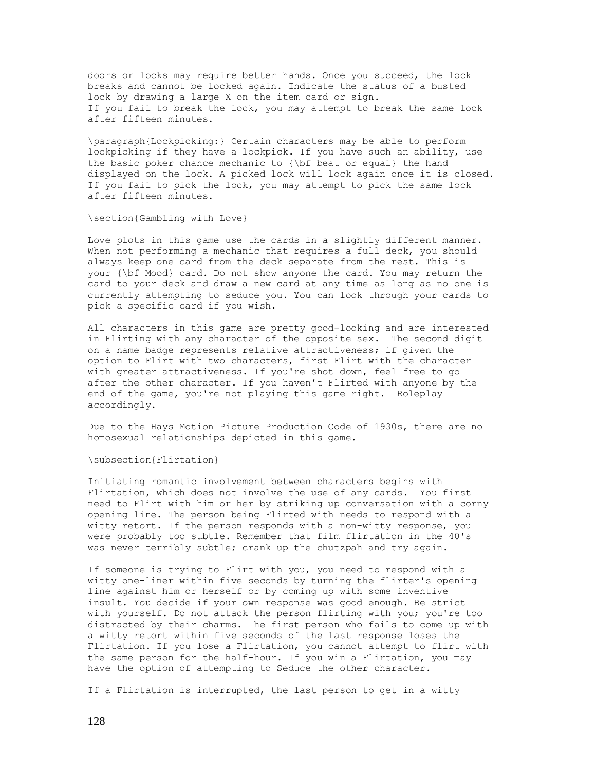doors or locks may require better hands. Once you succeed, the lock breaks and cannot be locked again. Indicate the status of a busted lock by drawing a large X on the item card or sign. If you fail to break the lock, you may attempt to break the same lock after fifteen minutes.

\paragraph{Lockpicking:} Certain characters may be able to perform lockpicking if they have a lockpick. If you have such an ability, use the basic poker chance mechanic to {\bf beat or equal} the hand displayed on the lock. A picked lock will lock again once it is closed. If you fail to pick the lock, you may attempt to pick the same lock after fifteen minutes.

\section{Gambling with Love}

Love plots in this game use the cards in a slightly different manner. When not performing a mechanic that requires a full deck, you should always keep one card from the deck separate from the rest. This is your {\bf Mood} card. Do not show anyone the card. You may return the card to your deck and draw a new card at any time as long as no one is currently attempting to seduce you. You can look through your cards to pick a specific card if you wish.

All characters in this game are pretty good-looking and are interested in Flirting with any character of the opposite sex. The second digit on a name badge represents relative attractiveness; if given the option to Flirt with two characters, first Flirt with the character with greater attractiveness. If you're shot down, feel free to go after the other character. If you haven't Flirted with anyone by the end of the game, you're not playing this game right. Roleplay accordingly.

Due to the Hays Motion Picture Production Code of 1930s, there are no homosexual relationships depicted in this game.

\subsection{Flirtation}

Initiating romantic involvement between characters begins with Flirtation, which does not involve the use of any cards. You first need to Flirt with him or her by striking up conversation with a corny opening line. The person being Flirted with needs to respond with a witty retort. If the person responds with a non-witty response, you were probably too subtle. Remember that film flirtation in the 40's was never terribly subtle; crank up the chutzpah and try again.

If someone is trying to Flirt with you, you need to respond with a witty one-liner within five seconds by turning the flirter's opening line against him or herself or by coming up with some inventive insult. You decide if your own response was good enough. Be strict with yourself. Do not attack the person flirting with you; you're too distracted by their charms. The first person who fails to come up with a witty retort within five seconds of the last response loses the Flirtation. If you lose a Flirtation, you cannot attempt to flirt with the same person for the half-hour. If you win a Flirtation, you may have the option of attempting to Seduce the other character.

If a Flirtation is interrupted, the last person to get in a witty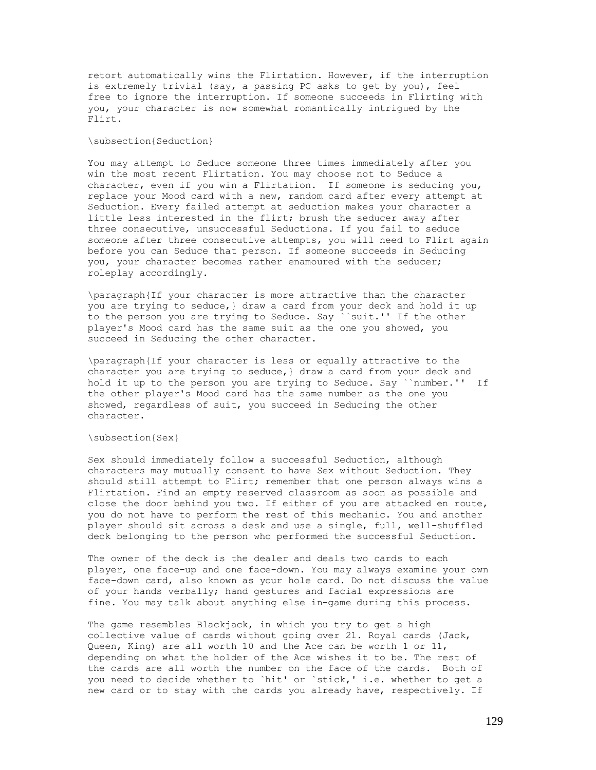retort automatically wins the Flirtation. However, if the interruption is extremely trivial (say, a passing PC asks to get by you), feel free to ignore the interruption. If someone succeeds in Flirting with you, your character is now somewhat romantically intrigued by the Flirt.

#### \subsection{Seduction}

You may attempt to Seduce someone three times immediately after you win the most recent Flirtation. You may choose not to Seduce a character, even if you win a Flirtation. If someone is seducing you, replace your Mood card with a new, random card after every attempt at Seduction. Every failed attempt at seduction makes your character a little less interested in the flirt; brush the seducer away after three consecutive, unsuccessful Seductions. If you fail to seduce someone after three consecutive attempts, you will need to Flirt again before you can Seduce that person. If someone succeeds in Seducing you, your character becomes rather enamoured with the seducer; roleplay accordingly.

\paragraph{If your character is more attractive than the character you are trying to seduce,} draw a card from your deck and hold it up to the person you are trying to Seduce. Say ``suit.'' If the other player's Mood card has the same suit as the one you showed, you succeed in Seducing the other character.

\paragraph{If your character is less or equally attractive to the character you are trying to seduce,} draw a card from your deck and hold it up to the person you are trying to Seduce. Say ``number.'' If the other player's Mood card has the same number as the one you showed, regardless of suit, you succeed in Seducing the other character.

#### \subsection{Sex}

Sex should immediately follow a successful Seduction, although characters may mutually consent to have Sex without Seduction. They should still attempt to Flirt; remember that one person always wins a Flirtation. Find an empty reserved classroom as soon as possible and close the door behind you two. If either of you are attacked en route, you do not have to perform the rest of this mechanic. You and another player should sit across a desk and use a single, full, well-shuffled deck belonging to the person who performed the successful Seduction.

The owner of the deck is the dealer and deals two cards to each player, one face-up and one face-down. You may always examine your own face-down card, also known as your hole card. Do not discuss the value of your hands verbally; hand gestures and facial expressions are fine. You may talk about anything else in-game during this process.

The game resembles Blackjack, in which you try to get a high collective value of cards without going over 21. Royal cards (Jack, Queen, King) are all worth 10 and the Ace can be worth 1 or 11, depending on what the holder of the Ace wishes it to be. The rest of the cards are all worth the number on the face of the cards. Both of you need to decide whether to `hit' or `stick,' i.e. whether to get a new card or to stay with the cards you already have, respectively. If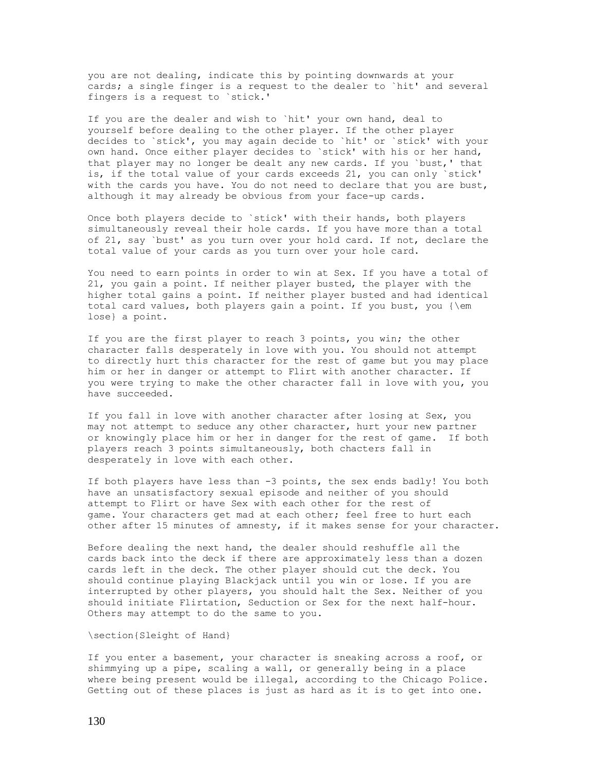you are not dealing, indicate this by pointing downwards at your cards; a single finger is a request to the dealer to `hit' and several fingers is a request to `stick.'

If you are the dealer and wish to `hit' your own hand, deal to yourself before dealing to the other player. If the other player decides to `stick', you may again decide to `hit' or `stick' with your own hand. Once either player decides to `stick' with his or her hand, that player may no longer be dealt any new cards. If you `bust,' that is, if the total value of your cards exceeds 21, you can only `stick' with the cards you have. You do not need to declare that you are bust, although it may already be obvious from your face-up cards.

Once both players decide to `stick' with their hands, both players simultaneously reveal their hole cards. If you have more than a total of 21, say `bust' as you turn over your hold card. If not, declare the total value of your cards as you turn over your hole card.

You need to earn points in order to win at Sex. If you have a total of 21, you gain a point. If neither player busted, the player with the higher total gains a point. If neither player busted and had identical total card values, both players gain a point. If you bust, you {\em lose} a point.

If you are the first player to reach 3 points, you win; the other character falls desperately in love with you. You should not attempt to directly hurt this character for the rest of game but you may place him or her in danger or attempt to Flirt with another character. If you were trying to make the other character fall in love with you, you have succeeded.

If you fall in love with another character after losing at Sex, you may not attempt to seduce any other character, hurt your new partner or knowingly place him or her in danger for the rest of game. If both players reach 3 points simultaneously, both chacters fall in desperately in love with each other.

If both players have less than -3 points, the sex ends badly! You both have an unsatisfactory sexual episode and neither of you should attempt to Flirt or have Sex with each other for the rest of game. Your characters get mad at each other; feel free to hurt each other after 15 minutes of amnesty, if it makes sense for your character.

Before dealing the next hand, the dealer should reshuffle all the cards back into the deck if there are approximately less than a dozen cards left in the deck. The other player should cut the deck. You should continue playing Blackjack until you win or lose. If you are interrupted by other players, you should halt the Sex. Neither of you should initiate Flirtation, Seduction or Sex for the next half-hour. Others may attempt to do the same to you.

\section{Sleight of Hand}

If you enter a basement, your character is sneaking across a roof, or shimmying up a pipe, scaling a wall, or generally being in a place where being present would be illegal, according to the Chicago Police. Getting out of these places is just as hard as it is to get into one.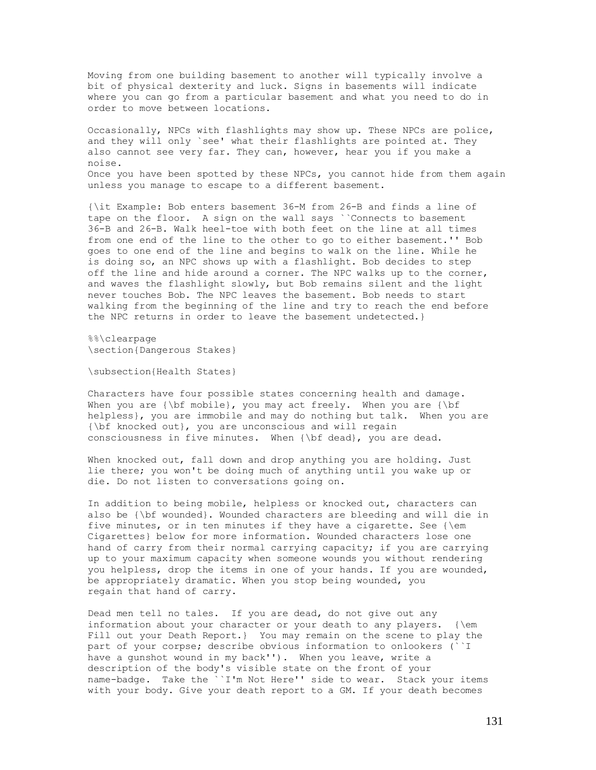Moving from one building basement to another will typically involve a bit of physical dexterity and luck. Signs in basements will indicate where you can go from a particular basement and what you need to do in order to move between locations.

Occasionally, NPCs with flashlights may show up. These NPCs are police, and they will only `see' what their flashlights are pointed at. They also cannot see very far. They can, however, hear you if you make a noise. Once you have been spotted by these NPCs, you cannot hide from them again unless you manage to escape to a different basement.

{\it Example: Bob enters basement 36-M from 26-B and finds a line of tape on the floor. A sign on the wall says ``Connects to basement 36-B and 26-B. Walk heel-toe with both feet on the line at all times from one end of the line to the other to go to either basement.'' Bob goes to one end of the line and begins to walk on the line. While he is doing so, an NPC shows up with a flashlight. Bob decides to step off the line and hide around a corner. The NPC walks up to the corner, and waves the flashlight slowly, but Bob remains silent and the light never touches Bob. The NPC leaves the basement. Bob needs to start walking from the beginning of the line and try to reach the end before the NPC returns in order to leave the basement undetected.}

%%\clearpage \section{Dangerous Stakes}

\subsection{Health States}

Characters have four possible states concerning health and damage. When you are  ${\bf h}$ , you may act freely. When you are  ${\bf h}$ helpless}, you are immobile and may do nothing but talk. When you are {\bf knocked out}, you are unconscious and will regain consciousness in five minutes. When {\bf dead}, you are dead.

When knocked out, fall down and drop anything you are holding. Just lie there; you won't be doing much of anything until you wake up or die. Do not listen to conversations going on.

In addition to being mobile, helpless or knocked out, characters can also be {\bf wounded}. Wounded characters are bleeding and will die in five minutes, or in ten minutes if they have a cigarette. See  $\{\emph{em}$ Cigarettes} below for more information. Wounded characters lose one hand of carry from their normal carrying capacity; if you are carrying up to your maximum capacity when someone wounds you without rendering you helpless, drop the items in one of your hands. If you are wounded, be appropriately dramatic. When you stop being wounded, you regain that hand of carry.

Dead men tell no tales. If you are dead, do not give out any information about your character or your death to any players. {\em Fill out your Death Report.} You may remain on the scene to play the part of your corpse; describe obvious information to onlookers (``I have a gunshot wound in my back''). When you leave, write a description of the body's visible state on the front of your name-badge. Take the ``I'm Not Here'' side to wear. Stack your items with your body. Give your death report to a GM. If your death becomes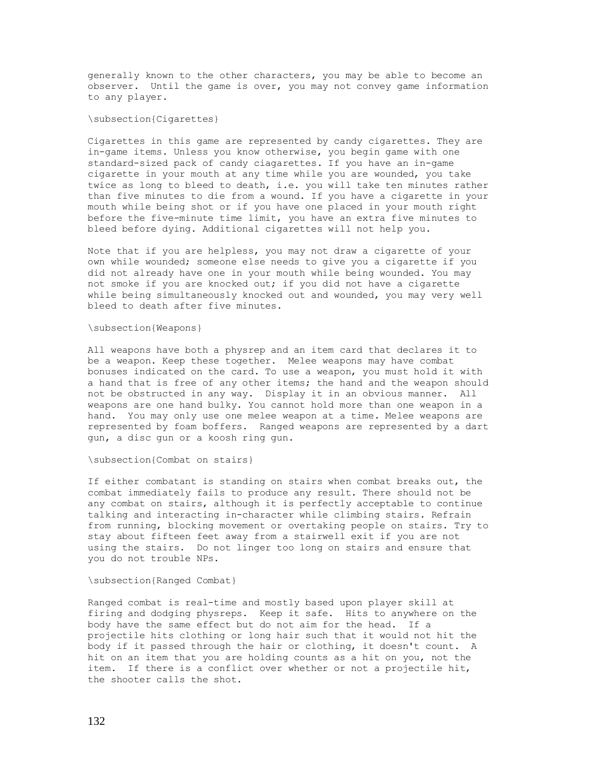generally known to the other characters, you may be able to become an observer. Until the game is over, you may not convey game information to any player.

#### \subsection{Cigarettes}

Cigarettes in this game are represented by candy cigarettes. They are in-game items. Unless you know otherwise, you begin game with one standard-sized pack of candy ciagarettes. If you have an in-game cigarette in your mouth at any time while you are wounded, you take twice as long to bleed to death, i.e. you will take ten minutes rather than five minutes to die from a wound. If you have a cigarette in your mouth while being shot or if you have one placed in your mouth right before the five-minute time limit, you have an extra five minutes to bleed before dying. Additional cigarettes will not help you.

Note that if you are helpless, you may not draw a cigarette of your own while wounded; someone else needs to give you a cigarette if you did not already have one in your mouth while being wounded. You may not smoke if you are knocked out; if you did not have a cigarette while being simultaneously knocked out and wounded, you may very well bleed to death after five minutes.

#### \subsection{Weapons}

All weapons have both a physrep and an item card that declares it to be a weapon. Keep these together. Melee weapons may have combat bonuses indicated on the card. To use a weapon, you must hold it with a hand that is free of any other items; the hand and the weapon should not be obstructed in any way. Display it in an obvious manner. All weapons are one hand bulky. You cannot hold more than one weapon in a hand. You may only use one melee weapon at a time. Melee weapons are represented by foam boffers. Ranged weapons are represented by a dart gun, a disc gun or a koosh ring gun.

#### \subsection{Combat on stairs}

If either combatant is standing on stairs when combat breaks out, the combat immediately fails to produce any result. There should not be any combat on stairs, although it is perfectly acceptable to continue talking and interacting in-character while climbing stairs. Refrain from running, blocking movement or overtaking people on stairs. Try to stay about fifteen feet away from a stairwell exit if you are not using the stairs. Do not linger too long on stairs and ensure that you do not trouble NPs.

#### \subsection{Ranged Combat}

Ranged combat is real-time and mostly based upon player skill at firing and dodging physreps. Keep it safe. Hits to anywhere on the body have the same effect but do not aim for the head. If a projectile hits clothing or long hair such that it would not hit the body if it passed through the hair or clothing, it doesn't count. A hit on an item that you are holding counts as a hit on you, not the item. If there is a conflict over whether or not a projectile hit, the shooter calls the shot.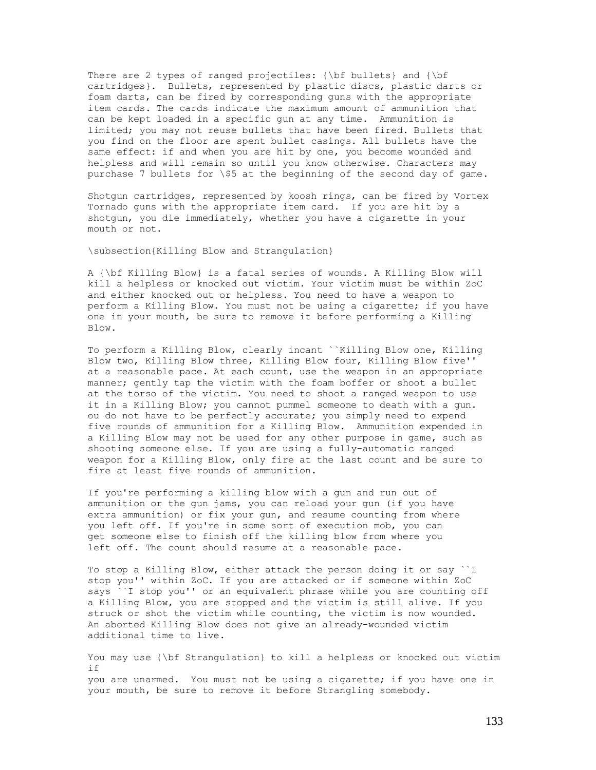There are 2 types of ranged projectiles: {\bf bullets} and {\bf cartridges}. Bullets, represented by plastic discs, plastic darts or foam darts, can be fired by corresponding guns with the appropriate item cards. The cards indicate the maximum amount of ammunition that can be kept loaded in a specific gun at any time. Ammunition is limited; you may not reuse bullets that have been fired. Bullets that you find on the floor are spent bullet casings. All bullets have the same effect: if and when you are hit by one, you become wounded and helpless and will remain so until you know otherwise. Characters may purchase 7 bullets for \\$5 at the beginning of the second day of game.

Shotgun cartridges, represented by koosh rings, can be fired by Vortex Tornado guns with the appropriate item card. If you are hit by a shotgun, you die immediately, whether you have a cigarette in your mouth or not.

\subsection{Killing Blow and Strangulation}

A {\bf Killing Blow} is a fatal series of wounds. A Killing Blow will kill a helpless or knocked out victim. Your victim must be within ZoC and either knocked out or helpless. You need to have a weapon to perform a Killing Blow. You must not be using a cigarette; if you have one in your mouth, be sure to remove it before performing a Killing Blow.

To perform a Killing Blow, clearly incant ``Killing Blow one, Killing Blow two, Killing Blow three, Killing Blow four, Killing Blow five'' at a reasonable pace. At each count, use the weapon in an appropriate manner; gently tap the victim with the foam boffer or shoot a bullet at the torso of the victim. You need to shoot a ranged weapon to use it in a Killing Blow; you cannot pummel someone to death with a gun. ou do not have to be perfectly accurate; you simply need to expend five rounds of ammunition for a Killing Blow. Ammunition expended in a Killing Blow may not be used for any other purpose in game, such as shooting someone else. If you are using a fully-automatic ranged weapon for a Killing Blow, only fire at the last count and be sure to fire at least five rounds of ammunition.

If you're performing a killing blow with a gun and run out of ammunition or the gun jams, you can reload your gun (if you have extra ammunition) or fix your gun, and resume counting from where you left off. If you're in some sort of execution mob, you can get someone else to finish off the killing blow from where you left off. The count should resume at a reasonable pace.

To stop a Killing Blow, either attack the person doing it or say ``I stop you'' within ZoC. If you are attacked or if someone within ZoC says ``I stop you'' or an equivalent phrase while you are counting off a Killing Blow, you are stopped and the victim is still alive. If you struck or shot the victim while counting, the victim is now wounded. An aborted Killing Blow does not give an already-wounded victim additional time to live.

You may use {\bf Strangulation} to kill a helpless or knocked out victim if you are unarmed. You must not be using a cigarette; if you have one in your mouth, be sure to remove it before Strangling somebody.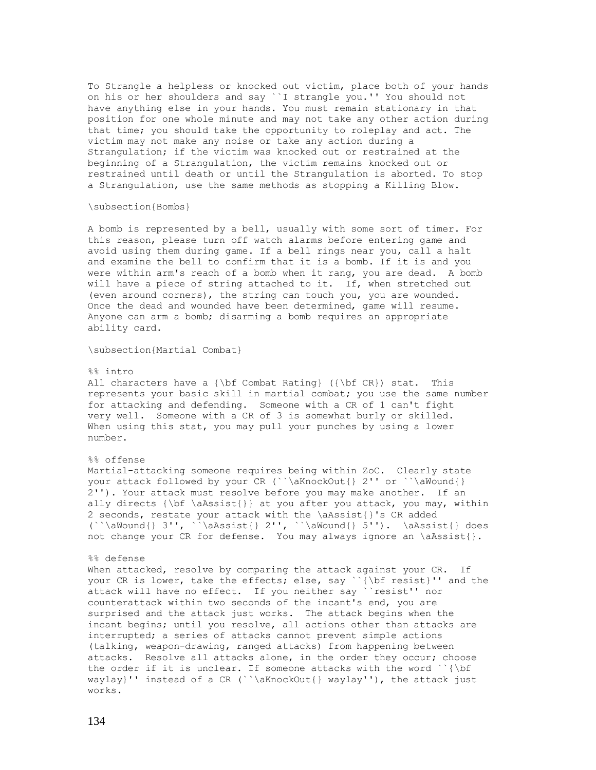To Strangle a helpless or knocked out victim, place both of your hands on his or her shoulders and say ``I strangle you.'' You should not have anything else in your hands. You must remain stationary in that position for one whole minute and may not take any other action during that time; you should take the opportunity to roleplay and act. The victim may not make any noise or take any action during a Strangulation; if the victim was knocked out or restrained at the beginning of a Strangulation, the victim remains knocked out or restrained until death or until the Strangulation is aborted. To stop a Strangulation, use the same methods as stopping a Killing Blow.

#### \subsection{Bombs}

A bomb is represented by a bell, usually with some sort of timer. For this reason, please turn off watch alarms before entering game and avoid using them during game. If a bell rings near you, call a halt and examine the bell to confirm that it is a bomb. If it is and you were within arm's reach of a bomb when it rang, you are dead. A bomb will have a piece of string attached to it. If, when stretched out (even around corners), the string can touch you, you are wounded. Once the dead and wounded have been determined, game will resume. Anyone can arm a bomb; disarming a bomb requires an appropriate ability card.

\subsection{Martial Combat}

#### %% intro

All characters have a  ${\bf Rating}$  ( ${\bf CR}$ ) stat. This represents your basic skill in martial combat; you use the same number for attacking and defending. Someone with a CR of 1 can't fight very well. Someone with a CR of 3 is somewhat burly or skilled. When using this stat, you may pull your punches by using a lower number.

#### %% offense

Martial-attacking someone requires being within ZoC. Clearly state your attack followed by your CR (``\aKnockOut{} 2'' or ``\aWound{} 2''). Your attack must resolve before you may make another. If an ally directs  $\{\bf t\}$  aassist $\}$  at you after you attack, you may, within 2 seconds, restate your attack with the \aAssist{}'s CR added  $(\cdot \alpha)$   $\{ \}$  3'',  $\backslash$  and  $\{ \}$  2'',  $\backslash$  awound{} 5'').  $\backslash$  and  $\{ \}$  does not change your CR for defense. You may always ignore an \aAssist{}.

#### %% defense

When attacked, resolve by comparing the attack against your CR. If your CR is lower, take the effects; else, say ``{\bf resist}'' and the attack will have no effect. If you neither say ``resist'' nor counterattack within two seconds of the incant's end, you are surprised and the attack just works. The attack begins when the incant begins; until you resolve, all actions other than attacks are interrupted; a series of attacks cannot prevent simple actions (talking, weapon-drawing, ranged attacks) from happening between attacks. Resolve all attacks alone, in the order they occur; choose the order if it is unclear. If someone attacks with the word ``{\bf waylay}'' instead of a CR (``\aKnockOut{} waylay''), the attack just works.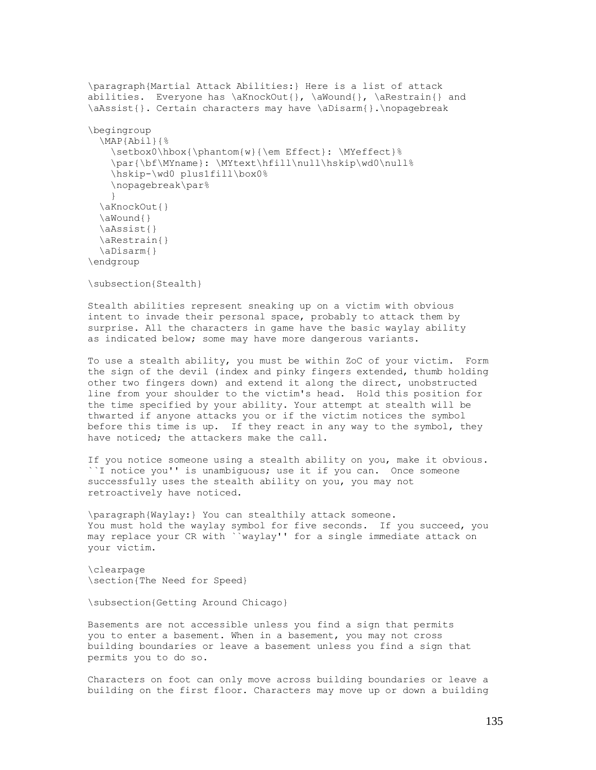```
\paragraph{Martial Attack Abilities:} Here is a list of attack
abilities. Everyone has \aKnockOut{}, \aWound{}, \aRestrain{} and
\aAssist{}. Certain characters may have \aDisarm{}.\nopagebreak
\begingroup
  \MAP{Abil}{%
    \setbox0\hbox{\phantom{w}{\em Effect}: \MYeffect}%
    \par{\bf\MYname}: \MYtext\hfill\null\hskip\wd0\null%
     \hskip-\wd0 plus1fill\box0%
     \nopagebreak\par%
     }
  \aKnockOut{}
  \aWound{}
  \aAssist{}
 \aRestrain{}
  \aDisarm{}
\endgroup
```
\subsection{Stealth}

Stealth abilities represent sneaking up on a victim with obvious intent to invade their personal space, probably to attack them by surprise. All the characters in game have the basic waylay ability as indicated below; some may have more dangerous variants.

To use a stealth ability, you must be within ZoC of your victim. Form the sign of the devil (index and pinky fingers extended, thumb holding other two fingers down) and extend it along the direct, unobstructed line from your shoulder to the victim's head. Hold this position for the time specified by your ability. Your attempt at stealth will be thwarted if anyone attacks you or if the victim notices the symbol before this time is up. If they react in any way to the symbol, they have noticed; the attackers make the call.

If you notice someone using a stealth ability on you, make it obvious. ``I notice you'' is unambiguous; use it if you can. Once someone successfully uses the stealth ability on you, you may not retroactively have noticed.

\paragraph{Waylay:} You can stealthily attack someone. You must hold the waylay symbol for five seconds. If you succeed, you may replace your CR with ``waylay'' for a single immediate attack on your victim.

\clearpage \section{The Need for Speed}

\subsection{Getting Around Chicago}

Basements are not accessible unless you find a sign that permits you to enter a basement. When in a basement, you may not cross building boundaries or leave a basement unless you find a sign that permits you to do so.

Characters on foot can only move across building boundaries or leave a building on the first floor. Characters may move up or down a building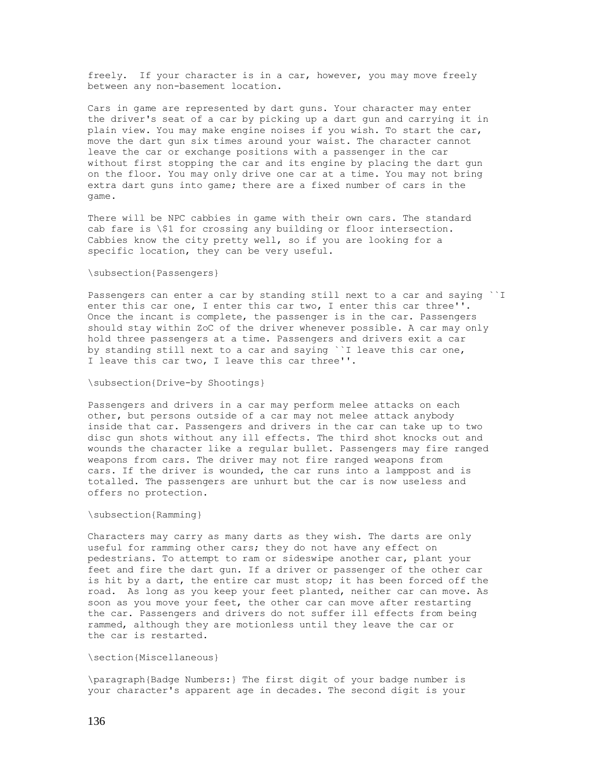freely. If your character is in a car, however, you may move freely between any non-basement location.

Cars in game are represented by dart guns. Your character may enter the driver's seat of a car by picking up a dart gun and carrying it in plain view. You may make engine noises if you wish. To start the car, move the dart gun six times around your waist. The character cannot leave the car or exchange positions with a passenger in the car without first stopping the car and its engine by placing the dart gun on the floor. You may only drive one car at a time. You may not bring extra dart guns into game; there are a fixed number of cars in the game.

There will be NPC cabbies in game with their own cars. The standard cab fare is \\$1 for crossing any building or floor intersection. Cabbies know the city pretty well, so if you are looking for a specific location, they can be very useful.

#### \subsection{Passengers}

Passengers can enter a car by standing still next to a car and saying ``I enter this car one, I enter this car two, I enter this car three''. Once the incant is complete, the passenger is in the car. Passengers should stay within ZoC of the driver whenever possible. A car may only hold three passengers at a time. Passengers and drivers exit a car by standing still next to a car and saying ``I leave this car one, I leave this car two, I leave this car three''.

#### \subsection{Drive-by Shootings}

Passengers and drivers in a car may perform melee attacks on each other, but persons outside of a car may not melee attack anybody inside that car. Passengers and drivers in the car can take up to two disc gun shots without any ill effects. The third shot knocks out and wounds the character like a regular bullet. Passengers may fire ranged weapons from cars. The driver may not fire ranged weapons from cars. If the driver is wounded, the car runs into a lamppost and is totalled. The passengers are unhurt but the car is now useless and offers no protection.

#### \subsection{Ramming}

Characters may carry as many darts as they wish. The darts are only useful for ramming other cars; they do not have any effect on pedestrians. To attempt to ram or sideswipe another car, plant your feet and fire the dart gun. If a driver or passenger of the other car is hit by a dart, the entire car must stop; it has been forced off the road. As long as you keep your feet planted, neither car can move. As soon as you move your feet, the other car can move after restarting the car. Passengers and drivers do not suffer ill effects from being rammed, although they are motionless until they leave the car or the car is restarted.

#### \section{Miscellaneous}

\paragraph{Badge Numbers:} The first digit of your badge number is your character's apparent age in decades. The second digit is your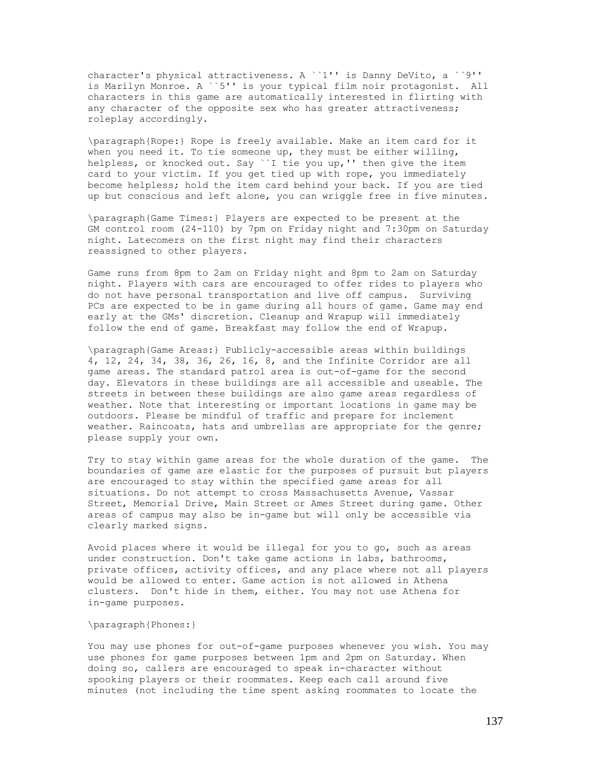character's physical attractiveness. A ``1'' is Danny DeVito, a ``9'' is Marilyn Monroe. A ``5'' is your typical film noir protagonist. All characters in this game are automatically interested in flirting with any character of the opposite sex who has greater attractiveness; roleplay accordingly.

\paragraph{Rope:} Rope is freely available. Make an item card for it when you need it. To tie someone up, they must be either willing, helpless, or knocked out. Say ``I tie you up,'' then give the item card to your victim. If you get tied up with rope, you immediately become helpless; hold the item card behind your back. If you are tied up but conscious and left alone, you can wriggle free in five minutes.

\paragraph{Game Times:} Players are expected to be present at the GM control room (24-110) by 7pm on Friday night and 7:30pm on Saturday night. Latecomers on the first night may find their characters reassigned to other players.

Game runs from 8pm to 2am on Friday night and 8pm to 2am on Saturday night. Players with cars are encouraged to offer rides to players who do not have personal transportation and live off campus. Surviving PCs are expected to be in game during all hours of game. Game may end early at the GMs' discretion. Cleanup and Wrapup will immediately follow the end of game. Breakfast may follow the end of Wrapup.

\paragraph{Game Areas:} Publicly-accessible areas within buildings 4, 12, 24, 34, 38, 36, 26, 16, 8, and the Infinite Corridor are all game areas. The standard patrol area is out-of-game for the second day. Elevators in these buildings are all accessible and useable. The streets in between these buildings are also game areas regardless of weather. Note that interesting or important locations in game may be outdoors. Please be mindful of traffic and prepare for inclement weather. Raincoats, hats and umbrellas are appropriate for the genre; please supply your own.

Try to stay within game areas for the whole duration of the game. The boundaries of game are elastic for the purposes of pursuit but players are encouraged to stay within the specified game areas for all situations. Do not attempt to cross Massachusetts Avenue, Vassar Street, Memorial Drive, Main Street or Ames Street during game. Other areas of campus may also be in-game but will only be accessible via clearly marked signs.

Avoid places where it would be illegal for you to go, such as areas under construction. Don't take game actions in labs, bathrooms, private offices, activity offices, and any place where not all players would be allowed to enter. Game action is not allowed in Athena clusters. Don't hide in them, either. You may not use Athena for in-game purposes.

#### \paragraph{Phones:}

You may use phones for out-of-game purposes whenever you wish. You may use phones for game purposes between 1pm and 2pm on Saturday. When doing so, callers are encouraged to speak in-character without spooking players or their roommates. Keep each call around five minutes (not including the time spent asking roommates to locate the